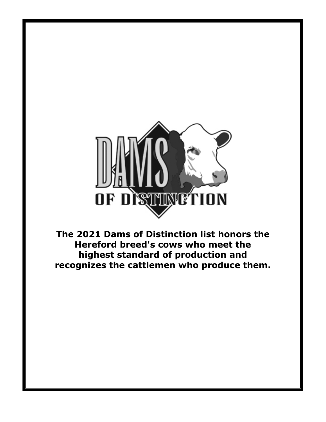

**The 2021 Dams of Distinction list honors the Hereford breed's cows who meet the highest standard of production and recognizes the cattlemen who produce them.**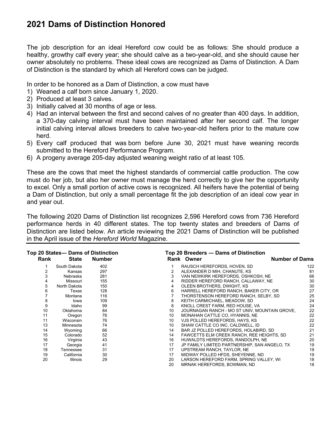## **2021 Dams of Distinction Honored**

The job description for an ideal Hereford cow could be as follows: She should produce a healthy, growthy calf every year; she should calve as a two-year-old, and she should cause her owner absolutely no problems. These ideal cows are recognized as Dams of Distinction. A Dam of Distinction is the standard by which all Hereford cows can be judged.

In order to be honored as a Dam of Distinction, a cow must have

- 1) Weaned a calf born since January 1, 2020.
- 2) Produced at least 3 calves.
- 3) Initially calved at 30 months of age or less.
- 4) Had an interval between the first and second calves of no greater than 400 days. In addition, a 370-day calving interval must have been maintained after her second calf. The longer initial calving interval allows breeders to calve two-year-old heifers prior to the mature cow herd.
- 5) Every calf produced that was born before June 30, 2021 must have weaning records submitted to the Hereford Performance Program.
- 6) A progeny average 205-day adjusted weaning weight ratio of at least 105.

These are the cows that meet the highest standards of commercial cattle production. The cow must do her job, but also her owner must manage the herd correctly to give her the opportunity to excel. Only a small portion of active cows is recognized. All heifers have the potential of being a Dam of Distinction, but only a small percentage fit the job description of an ideal cow year in and year out.

The following 2020 Dams of Distinction list recognizes 2,596 Hereford cows from 736 Hereford performance herds in 40 different states. The top twenty states and breeders of Dams of Distinction are listed below. An article reviewing the 2021 Dams of Distinction will be published in the April issue of the *Hereford World* Magazine.

|      | Top 20 States- Dams of Distinction |               |    | Top 20 Breeders - Dams of Distinction         |     |
|------|------------------------------------|---------------|----|-----------------------------------------------|-----|
| Rank | State                              | <b>Number</b> |    | <b>Number of Dams</b><br>Rank Owner           |     |
|      | South Dakota                       | 402           |    | RAUSCH HEREFORDS, HOVEN, SD                   | 122 |
|      | Kansas                             | 297           | 2  | ALEXANDER D MIH, CHANUTE, KS                  | 81  |
| 3    | Nebraska                           | 281           | 3  | VAN NEWKIRK HEREFORDS, OSHKOSH, NE            | 66  |
| 4    | Missouri                           | 155           | 4  | RIDDER HEREFORD RANCH, CALLAWAY, NE           | 30  |
| 5    | North Dakota                       | 150           | 4  | OLEEN BROTHERS, DWIGHT, KS                    | 30  |
| 6    | Texas                              | 128           | 6  | HARRELL HEREFORD RANCH, BAKER CITY, OR        | 27  |
|      | Montana                            | 116           |    | THORSTENSON HEREFORD RANCH, SELBY, SD         | 25  |
| 8    | Iowa                               | 109           | 8  | KEITH CARMICHAEL, MEADOW, SD                  | 24  |
| 9    | Idaho                              | 99            | 8  | KNOLL CREST FARM, RED HOUSE, VA               | 24  |
| 10   | Oklahoma                           | 84            | 10 | JOURNAGAN RANCH - MO ST UNIV, MOUNTAIN GROVE, | 22  |
| 11   | Oregon                             | 76            | 10 | MONAHAN CATTLE CO, HYANNIS, NE                | 22  |
| 11   | Wisconsin                          | 76            | 10 | VJS POLLED HEREFORDS, HAYS, KS                | 22  |
| 13   | Minnesota                          | 74            | 10 | SHAW CATTLE CO INC, CALDWELL, ID              | 22  |
| 14   | Wyoming                            | 66            | 14 | BAR JZ POLLED HEREFORDS, HOLABIRD, SD         | 21  |
| 15   | Colorado                           | 52            | 14 | FAWCETTS ELM CREEK RANCH, REE HEIGHTS, SD     | 21  |
| 16   | Virginia                           | 43            | 16 | HUWALDTS HEREFORDS, RANDOLPH, NE              | 20  |
| 17   | Georgia                            | 41            | 17 | JP FAMILY LIMITED PARTNERSHIP, SAN ANGELO, TX | 19  |
| 18   | Tennessee                          | 31            | 17 | UPSTREAM RANCH, TAYLOR, NE                    | 19  |
| 19   | California                         | 30            | 17 | MIDWAY POLLED HFDS, SHEYENNE, ND              | 19  |
| 20   | <b>Illinois</b>                    | 29            | 20 | LARSON HEREFORD FARM, SPRING VALLEY, WI       | 18  |
|      |                                    |               | 20 | MRNAK HEREFORDS, BOWMAN, ND                   | 18  |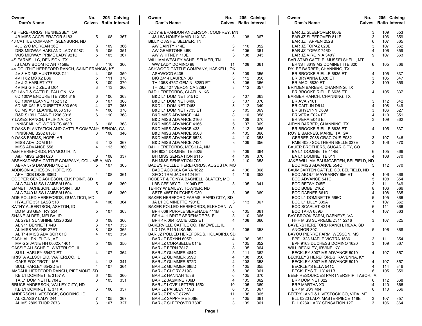| Owner                                                 | No.    |            | 205 Calving<br>Calves Ratio Interval | Owner                                                     | No.           |            | 205 Calving<br><b>Calves</b> Ratio Interval | Owner<br>Dam's Name                              | No.      |     | 205 Calving<br><b>Calves</b> Ratio Interval |
|-------------------------------------------------------|--------|------------|--------------------------------------|-----------------------------------------------------------|---------------|------------|---------------------------------------------|--------------------------------------------------|----------|-----|---------------------------------------------|
| Dam's Name                                            |        |            |                                      | Dam's Name                                                |               |            |                                             |                                                  |          |     |                                             |
| 4B HEREFORDS, HENNESSEY, OK                           |        |            |                                      | JODY & BRANDON ANDERSON, COMFREY, MN                      |               |            |                                             | <b>BAR JZ SLEEPOVER 800E</b>                     | 3        | 109 | 353                                         |
| 4B MISS ACCELERATOR 5183                              | 5      | 108        | 367                                  | J&J 8A HONEY MAID 11X 3C                                  | 5             | 108        | 367                                         | BAR JZ SLEEPOVER 811E                            | 3        | 106 | 359                                         |
| 4J CATTLE COMPANY, GLENBURN, ND                       |        |            |                                      | BILLY C ASHE, SELMER, TN                                  |               |            |                                             | <b>BAR JZ TAPPEN 252B</b>                        | 6        | 107 | 365                                         |
| 4JC 27C MORGAN 36E                                    | 3      | 109        | 366                                  | AW DAINTY 714E                                            | 3             | 110        | 352                                         | BAR JZ TOPAZ 020E                                | 3        | 107 | 362                                         |
| DRS MIDWAY HARLAND LADY 948C                          | 5      | 105        | 351                                  | AW GEMSTONE 46B                                           | 6             | 105        | 361                                         | BAR JZ TOPAZ 746D                                |          | 106 | 359                                         |
| WJS MIDWAY PRIME LADY 921C                            | 5      | 105        | 367                                  | AW WHITNEY 710E                                           | 3             | 108        | 343                                         | <b>BAR JZ VIRGINIA 340Y</b>                      | g        | 107 | 363                                         |
| 4S FARMS LLC, DENISON, TX                             |        |            |                                      | WILLIAM WESLEY ASHE, SELMER, TN                           |               |            |                                             | BAR STAR CATTLE, MUSSELSHELL, MT                 |          |     |                                             |
| /S LADY BOOMTOWN 7158E                                | 3      | 110        | 366                                  | WW LADY DOMINO 98                                         | 11            | 108        | 361                                         | ERNST 8619 MS DOMINETTTE 320                     | 6        | 105 | 366                                         |
| 4V DOUTHIT HEREFORD RANCH, SAINT FRANCIS, KS          |        |            |                                      | ASHWOOD CATTLE COMPANY, HASKELL, OK                       |               |            |                                             | RYLEE BARBER, CHANNING, TX                       |          |     |                                             |
| 4V 8 HD MS HUNTRESS C11                               |        | 105        | 359                                  | ASHWOOD 6435                                              | 3             | 109        | 355                                         | BR BROOKE RIELLE 6635 ET                         | 4        | 105 | 337                                         |
| 4V H 62 MS X2 B36                                     | 5      | 111        | 370                                  | BIG Z414 LAUREN 3D                                        | 3             | 112        | 356                                         | BR BRYANNA E028 ET                               | 3        | 105 | 347                                         |
| 4V J G HARLET Y77                                     | 8<br>3 | 109        | 370                                  | TH 105S 475Z GEMINI 628D ET                               | 3<br>3        | 105        | 366                                         | BR MACI 6830 ET                                  | 3        | 109 | 359                                         |
| 4V MS G HD ZEUS D04                                   |        | 113        | 366                                  | TH 29Z 427 VERONICA 328D                                  |               | 112        | 357                                         | BRYDEN BARBER, CHANNING, TX                      |          |     | 337                                         |
| 6D LAND & CATTLE, FALLON, NV                          |        | 106        | 363                                  | B&D HEREFORDS, CLAFLIN, KS                                | 5             |            |                                             | BR BROOKE RIELLE 6635 ET                         | 4        | 105 |                                             |
| 6D 100W ENDURETTE 7004 319<br>6D 100W LEANNE 7152 312 | 6<br>6 | 107        | 368                                  | B&D L1 DOMINET 5151C<br>B&D L1 DOMINET 6498               | 3             | 107<br>107 | 363<br>370                                  | BARBER RANCH, CHANNING, TX<br><b>BR AVA 7101</b> | 3        | 112 | 342                                         |
| 6D MS X51 ENDURETTE 303 506                           | 4      | 107        | 368                                  | B&D L1 DOMINET 7468                                       | 3             | 112        | 349                                         | BR CAITLIN D614                                  | 4        | 108 | 349                                         |
| 6D MS X51 LEANNE 6053 516                             | 4      | 106        | 370                                  | B&D L1 DOMINET 7735 ET                                    | 3             | 105        | 369                                         | BR SHYLYNN D609                                  | 3        | 106 | 327                                         |
| R&R S109 LEANNE 1206 3016                             | 6      | 110        | 368                                  | <b>B&amp;D MISS ADVANCE 144</b>                           | 8             | 110        | 358                                         | BR VERA E024 ET                                  |          | 110 | 351                                         |
| 7 LAKES RANCH, TALIHINA, OK                           |        |            |                                      | <b>B&amp;D MISS ADVANCE 2160</b>                          | 8             | 109        | 370                                         | BR VERA E043 ET                                  | 3        | 109 | 362                                         |
| INNISFAIL NO WORRIES 483B                             | 6      | 108        | 368                                  | <b>B&amp;D MISS ADVANCE 4166</b>                          | 6             | 107        | 369                                         | AIDYN BARBER, CHANNING, TX                       |          |     |                                             |
| 7 OAKS PLANTATION AND CATTLE COMPANY, SENOIA, GA      |        |            |                                      | <b>B&amp;D MISS ADVANCE 433</b>                           | 5             | 112        | 365                                         | BR BROOKE RIELLE 6635 ET                         | 4        | 105 | 337                                         |
| INNISFAIL B262 618D                                   | 3      | 108        | 340                                  | <b>B&amp;D MISS ADVANCE 6508</b>                          |               | 105        | 366                                         | ROY E BARNES, MARIETTA, GA                       |          |     |                                             |
| 9 OAKS FARMS, HOPE, AR                                |        |            |                                      | <b>B&amp;D MISS ADVANCE 6528</b>                          |               | 110        | 358                                         | GERBER Z088 GRACIOUS E082                        | 3        | 107 | 346                                         |
| MISS ADV DOM 615                                      | 3      | 112        | 367                                  | <b>B&amp;D MISS ADVANCE 7424</b>                          | 3             | 109        | 356                                         | RMB 4020 SOUTHERN BELLE 037E                     | 3        | 106 | 370                                         |
| MISS ADVANCE 556                                      | 4      | 113        | 360                                  | B&H HEREFORDS, MESILLA, NM                                |               |            |                                             | BAUER BROTHERS, SUGAR CITY, CO                   |          |     |                                             |
| A&H HEREFORDS, PLYMOUTH, IN                           |        |            |                                      | BH 9024 DOMINETTE 5025                                    | 5             | 109        | 364                                         | BA L1 DOMINETTE 414B                             | 6        | 105 | 366                                         |
| A&H MISS ERIN 620                                     | 3      | 108        | 337                                  | BH MISS SENSATION 6115                                    | 4             | 109        | 370                                         | BA L1 DOMINETTE 611                              | 4        | 108 | 370                                         |
| ABRAKADABRA CATTLE COMPANY, COLUMBIA, MO              |        |            |                                      | BH MISS SENSATION 705                                     | 3             | 110        | 358                                         | JAKE WILLIAM BAUMGARTEN, BELFIELD, ND            |          |     |                                             |
| ABRA 57G DIAMOND 10C ET                               | 5      | 107        | 365                                  | BADE'S POLLED HEREFORDS, AUGUSTA, MO                      |               |            |                                             | <b>BCC MISS ADVANCE 554C</b>                     | 5        | 112 | 370                                         |
| ADDISON ACHESON, HOPE, KS                             |        |            |                                      | BADE ACO 68A SARA 1622                                    |               | 106        | 368                                         | BAUMGARTEN CATTLE CO, BELFIELD, ND               |          |     |                                             |
| APH 430B DIXIE 606D                                   | 4      | 108        | 361                                  | SFCC TRM JADE 6124 ET                                     | $\Delta$      | 119        | 353                                         | BCC ABOUT MAYBARRY 656 ET                        | 4        | 106 | 368                                         |
| COOPER GENE ACHESON, ELK POINT, SD                    |        |            |                                      | ROBERT & TONYA BAGNELL, SLATER, MO                        |               |            |                                             | BCC ADVANCE 541C                                 | 5        | 108 | 354                                         |
| ALA 7449 MISS LAMBEAU 504                             | 5      | 106        | 360                                  | LBB CFF 38Y TILLY 04D ET                                  | 3             | 105        | 341                                         | BCC BETSY 745E                                   | 3        | 111 | 349                                         |
| EMMETT ACHESON, ELK POINT, SD                         |        |            |                                      | TERRY W BAILEY, TOWNER, ND                                |               |            |                                             | BCC BOBBI 216Z                                   | 8        | 106 | 366                                         |
| ALA 7449 MISS LAMBEAU 504                             | 5      | 106        | 360                                  | SBTB 485T DUTCHES C39                                     | 5             | 105        | 369                                         | BCC DAFNEE 661D                                  |          | 108 | 365                                         |
| ADE POLLED HEREFORDS, QUANTICO, MD                    |        |            |                                      | BAKER HEREFORD FARMS, RAPID CITY, SD                      |               |            |                                             | BCC L1 DOMINETTE 566C                            | 5        | 105 | 366                                         |
| HYALITE 331 LASS 518                                  | 4      | 106        | 364                                  | JA L1 DOMINETTE 7901E                                     | 3             | 113        | 367                                         | BCC L1 LILLY 339A                                |          | 107 | 362                                         |
| KATHY ALBERTSON, ASHTON, ID                           |        |            |                                      | BAKER POLLED HEREFORDS, ELKHORN, WI                       |               |            |                                             | <b>BCC SCARLET 421B</b>                          | 6        | 111 | 366                                         |
| DD MISS GENTRY 534                                    | 5      | 107        | 363                                  | BPH 068 PURPLE SERENADE 411B                              | 6             | 105        | 361                                         | BCC TARA 689D                                    | $\Delta$ | 107 | 363                                         |
| SHANE ALDER, MELBA, ID                                |        |            |                                      | BPH 411 BRITE SERENADE 761E                               | 3<br>$\Delta$ | 110        | 365                                         | BAY BROOK FARM, DABNEYS, VA                      |          |     |                                             |
| AL 27ET SUNSHINE M326 32B                             | 6<br>6 | 108        | 366                                  | <b>BPH 4R 064 KACIE 6222 ET</b>                           |               | 108        | 366                                         | HHF MISS SUPREME Z311 2216                       | 3        | 107 | 325                                         |
| AL 911 BENNETT 44B<br>AL MISS WAYNE 27ET              | 8      | 107<br>108 | 355<br>365                           | BAKERVILLE CATTLE CO, TIMEWELL, IL<br>LD 17A P115 LISA 5B |               | 106        | 358                                         | BAYERS HEREFORD RANCH, REVA, SD<br>ANCHOR 30C    | 5        | 106 | 368                                         |
|                                                       | 4      | 105        | 354                                  | BAR JZ POLLED HEREFORDS, HOLABIRD, SD                     |               |            |                                             | BAYOU PIERRE FARM. WESSON. MS                    |          |     |                                             |
| AL T14 MISS ADVISOR 61C<br>CASH ALLEN, ELGIN, AZ      |        |            |                                      | BAR JZ BRYNN 605D                                         |               | 106        | 352                                         | BPF 1323 MAPLE VICTRA 1636                       | 3        | 111 | 354                                         |
| MV GG JANIE HH 0002X 1401                             | 5      | 108        | 350                                  | <b>BAR JZ CORABELLE 014E</b>                              | 3             | 105        | 352                                         | BPF 9163 DUCHESS DOMINO 1620                     | 3        | 109 | 367                                         |
| CASSIE ALLSCHEID. WATERLOO. IL                        |        |            |                                      | BAR JZ FERN 781Z                                          | 8             | 105        | 364                                         | WILL BECKLEY, IRVINE, KY                         |          |     |                                             |
| SULL HARLEY 6542D ET                                  |        |            | 4 107 364                            | BAR JZ GLIMMER 484C                                       | 5             | 111        | 362                                         | BECKLEY 3007 MS ADVANCE 6019 4 107 357           |          |     |                                             |
| KRISTA ALLSCHEID, WATERLOO, IL                        |        |            |                                      | BAR JZ GLIMMER 659D                                       |               | 108        | 356                                         | BECKLEYS HEREFORDS, RAVENNA, KY                  |          |     |                                             |
| OAKS FOX TROT 115E                                    | 4      | 113        | 341                                  | <b>BAR JZ GLIMMER 672D</b>                                |               | 108        | 358                                         | BECKLEY 3007 MS ADVANCE 6019                     |          | 107 | 357                                         |
| SULL HARLEY 6542D ET                                  | 4      | 107        | 364                                  | BAR JZ GLIMMER 685D                                       |               | 105        | 355                                         | BECKLEYS ELLA 541C                               | 4        | 114 | 346                                         |
| AMDAHL HEREFORD RANCH, PIEDMONT, SD                   |        |            |                                      | BAR JZ GLORY 319C                                         | 5             | 106        | 361                                         | <b>BECKLEYS TILLY 411B</b>                       | 6        | 105 | 359                                         |
| KB L1 DOMINETTE 3157 A                                | 6      | 105        | 360                                  | BAR JZ HANNAH 158B                                        | 6             | 105        | 370                                         | BEEF RESOURCES PARTNERSHIP, TABOR, IA            |          |     |                                             |
| TA L1 DOMINETTE 704E                                  | 3      | 105        | 351                                  | BAR JZ JASMINE 706D                                       |               | 105        | 362                                         | <b>BRP DOMINET 322</b>                           | 6        | 112 | 368                                         |
| BRUCE ANDERSON, VALLEY CITY, ND                       |        |            |                                      | BAR JZ LOVE LETTER 155X                                   | 10            | 105        | 369                                         | <b>BRP MARTHA X3</b>                             | 14       | 110 | 366                                         |
| KB L1 DOMINETTE 371 A                                 | 6      | 106        | 357                                  | <b>BAR JZ PAISLEY 159B</b>                                | 6             | 105        | 367                                         | BRP MISSY 404                                    | 6        | 110 | 366                                         |
| ANDERSON LIVESTOCK, GOODING, ID                       |        |            |                                      | BAR JZ RENE 872W                                          | 11            | 106        | 365                                         | BEERY LAND & LIVESTOCK CO, VIDA, MT              |          |     |                                             |
| AL CLASSY LADY 244                                    | 7      | 105        | 367                                  | <b>BAR JZ SAPPHIRE 806E</b>                               | 3             | 105        | 361                                         | BLL 0220 LADY MASTERPIECE 118E                   | 3        | 107 | 357                                         |
| AL MS 2809 THOR 7073                                  | 3      | 107        | 327                                  | BAR JZ SLEEPOVER 783E                                     | 3             | 109        | 361                                         | BLL 028X LADY SENSATION 12E                      | 3        | 106 | 364                                         |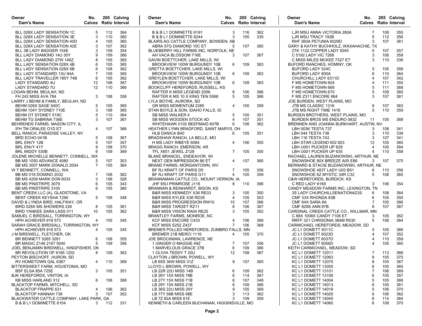| Owner<br>Dam's Name                                       | No.<br><b>Calves</b> Ratio Interval |     | 205 Calving | Owner<br>Dam's Name                                                  | No.            |            | 205 Calving<br><b>Calves</b> Ratio Interval | Owner<br>Dam's Name                                       | No.<br><b>Calves</b> Ratio Interval |            | 205 Calving |
|-----------------------------------------------------------|-------------------------------------|-----|-------------|----------------------------------------------------------------------|----------------|------------|---------------------------------------------|-----------------------------------------------------------|-------------------------------------|------------|-------------|
| BLL 028X LADY SENSATION 1C                                | 5                                   | 112 | 364         | B & B L1 DOMINETTE 6191                                              | 3              | 116        | 362                                         | LJR MSU ANNA VICTORIA 280A                                | 7                                   | 108        | 355         |
| BLL 028X LADY SENSATION 3E                                | 3                                   | 110 | 360         | B & B L1 DOMINETTE 6244                                              | 3              | 105        | 335                                         | LJR MSU TRACY 192B                                        | 5                                   | 112        | 356         |
| BLL 028X LADY SENSATION 40D                               | 4                                   | 105 | 360         | BLAIRS.AG CATTLE COMPANY, BOWDEN, AB                                 |                |            |                                             | RHF 260A PETUNIA 6029D                                    | 3                                   | 107        | 361         |
| BLL 028X LADY SENSATION 42E                               | 3                                   | 107 | 362         | ABRA 57G DIAMOND 10C ET                                              | 5              | 107        | 365                                         | GARY & KATHY BUCHHOLZ, WAXAHACHIE, TX                     |                                     |            |             |
| BLL 3B LADY BADGER 154E                                   | 3                                   | 109 | 354         | BLUEBERRY HILL FARMS INC, NORFOLK, NE                                |                |            |                                             | 2TK 1122 COPPER LADY 5045                                 | 5                                   | 107        | 357         |
| BLL LADY DIAMOND 14U 30Y                                  | 9                                   | 109 | 366         | AH VACA BLOSSOM 716E                                                 | 3              | 107        | 367                                         | C 5192 LADY VIC 7268                                      | 3                                   | 106        | 359         |
| BLL LADY DIAMOND 27W 146Z                                 | 8                                   | 105 | 365         | GAVIN BOETTCHER, LAKE MILLS, WI                                      |                |            |                                             | C MISS MILES MCKEE 7327 ET                                | 3                                   | 110        | 338         |
| BLL LADY SENSATION 028X 4B                                | 6                                   | 105 | 365         | BROOKVIEW 100W BURGUNDY 10B                                          | 6              | 109        | 363                                         | BUFORD RANCHES, HOMINY, OK                                |                                     |            |             |
| BLL LADY SENSATION 028X 6B                                | 6                                   | 108 | 362         | <b>GRETTA BOETTCHER, LAKE MILLS, WI</b>                              |                |            |                                             | BUFORD LADY 524C                                          | 5                                   | 105        | 358         |
| BLL LADY STANDARD 13U 94A                                 | $\overline{7}$                      | 105 | 365         | BROOKVIEW 100W BURGUNDY 10B                                          | 6              | 109        | 363                                         | BUFORD LADY 800A                                          | 6                                   | 110        | 364         |
| BLL LADY TRAVELLER 185Y 74B                               | 6                                   | 105 | 362         | <b>GREYLEN BOETTCHER, LAKE MILLS, WI</b>                             |                |            |                                             | CHURCHILL LADY 6311D                                      | $\overline{\mathcal{A}}$            | 107        | 342         |
| LADY STANDARD 4U                                          | 12                                  | 106 | 367         | BROOKVIEW 100W BURGUNDY 10B                                          | 6              | 109        | 363                                         | F MS HOMETOWN 604                                         | 4<br>5                              | 111        | 355         |
| LADY STANDARD 7U                                          | $12 \overline{ }$                   | 110 | 366         | <b>BOOKCLIFF HEREFORDS, RUSSELL, KS</b><br>RAFTER K MISS LEGEND 2056 |                |            |                                             | F MS HOMETOWN 669                                         |                                     | 111<br>109 | 368<br>365  |
| LOGAN BEHM, BEULAH, ND<br><b>FH 242 MISS AVA 784</b>      | 3                                   | 108 | 358         | RAFTER K MS 10 X KING TEN 5068                                       | 8<br>5         | 106<br>105 | 366<br>366                                  | F MS HOMETOWN 670<br>F MS Z311 ENCORE 664                 | 3                                   | 107        | 361         |
| LARRY J BEHM & FAMILY, BEULAH, ND                         |                                     |     |             | LYLA BOTHE, AURORA, SD                                               |                |            |                                             | JOE BURDEN, WEST PLAINS, MO                               |                                     |            |             |
| BEHM 026X SAGE 540C                                       | 5                                   | 105 | 365         | <b>GR MISS MOMENTUM 2285</b>                                         | 4              | 105        | 358                                         | JTB MS CLASSIC 1316                                       | 6                                   | 107        | 363         |
| BEHM 104Y SYDNEY 710E                                     | 3                                   | 106 | 365         | STAN BOYLE & SON, IDAHO FALLS, ID                                    |                |            |                                             | JTB MS RIGHT TIME 1416                                    | 5                                   | 110        | 359         |
| BEHM OT SYDNEY 519C                                       | 5                                   | 110 | 364         | SB MISS WALKER 4                                                     | 5              | 105        | 351                                         | BURDEN BROTHERS, WEST PLAINS, MO                          |                                     |            |             |
| <b>BEHM TG SABRINA 736E</b>                               | 3                                   | 107 | 367         | SB MISS WOODEN STOCK 4D                                              | 4              | 107        | 351                                         | BURDEN BROS MS ENDURO 0832                                | 11                                  | 105        | 368         |
| BEHRENDS FARMS, MASON CITY, IL                            |                                     |     |             | WHITEHAWK 0102 BEEFMAID 607B                                         | 6              | 108        | 362                                         | BRENNEN AND JOANNA BURKHART, AUSTIN, NV                   |                                     |            |             |
| IFH TM ORALEE O1D ET                                      | 4                                   | 107 | 366         | HEATHER LYNN BRADFORD, SAINT MARYS, OH                               |                |            |                                             | LBH 003K TESTA 737                                        | 3                                   | 108        | 341         |
| BELL RANCH, PARADISE VALLEY, NV                           |                                     |     |             | HLB DANICA B40                                                       | 6              | 105        | 351                                         | LBH 044 TESTA 738                                         | 3                                   | 110        | 339         |
| BRD ECHO 041B                                             | 5                                   | 108 | 367         | BRADSHAW RANCH, LA BELLE, MO                                         |                |            |                                             | LBH 116 TESTA 743                                         | 3                                   | 107        | 341         |
| BRL ENVY 12B                                              | 5                                   | 107 | 357         | H MS LADY RIBEYE 6084                                                | 4              | 106        | 355                                         | LBH STAR LEGEND 602 823                                   | 12                                  | 105        | 365         |
| BRL ENVY 41Y                                              | 9                                   | 108 | 370         | BRAGG RANCH, EMERSON, AR                                             |                |            |                                             | LBH U001 PUCKER UP 629                                    | $\overline{4}$                      | 105        | 364         |
| BRL MIDDY 530B                                            | 6                                   | 109 | 369         | TFL X651 JEWEL Z128                                                  | $\overline{7}$ | 105        | 355                                         | LBH U001 PUCKER UP 635                                    | $\overline{4}$                      | 110        | 358         |
| JOLENE MICHELLE BENNETT, CONNELL, WA                      |                                     |     |             | <b>BLAKE BRANCEL, ENDEAVOR, WI</b>                                   |                |            |                                             | RACHAEL LAUREN BUZANOWSKI, ARTHUR, NE                     |                                     |            |             |
| <b>BB MS 1050 ADVANCE 4080</b>                            | 5                                   | 107 | 353         | <b>NEXT GEN IMPRESSION 86 ET</b>                                     | 4              | 107        | 365                                         | SNOWSHOE 90X BREEZE A05 E86                               | 3                                   | 107        | 370         |
| BB MS 3007 MARK DONALD 2004                               | $\overline{7}$                      | 105 | 364         | BRAND FARMS, MORGANTOWN, WV                                          |                |            |                                             | BERNARD & STACIE BUZANOWSKI, ARTHUR, NE                   |                                     |            |             |
| W T BENNETT, CONNELL, WA                                  |                                     |     |             | BF RJ KRAFT OF PARIS D5                                              | 7              | 105        | 356                                         | SNOWSHOE 483T LADY U03 B51                                | 6                                   | 110        | 356         |
| <b>BB MS 018 DOMINO 2032</b>                              | 7                                   | 106 | 362         | BF RJ KRAFT OF PARIS G11                                             | $\overline{4}$ | 105        | 359                                         | SNOWSHOE 6Z MYSTIC 34R C32                                | 5                                   | 108        | 365         |
| BB MS 4209 MARK DON 6033                                  | 3                                   | 106 | 326         | BRANNAMAN CATTLE CO., MOUNT VERNON, IA                               |                |            |                                             | C&W HEREFORDS, BURDICK, KS                                |                                     |            |             |
| BB MS PINSTRIPE 3079                                      | 6                                   | 105 | 343         | JHF 65U PRIMROSE J116                                                | 8              | 110        | 366                                         | C RED LADY 6169                                           | 3                                   | 106        | 354         |
| <b>BB MS PINSTRIPE 3100</b>                               | 6                                   | 105 | 360         | BRANNAN & REINHARDT, BISON, KS                                       |                |            |                                             | CANDY MEADOW FARMS INC, LEXINGTON, TN                     |                                     |            |             |
| BENT CREEK LLC (A), GLADSTONE, VA                         |                                     |     |             | <b>B&amp;R MISS KENNEDY X36 RE03</b>                                 | 3              | 105        | 350                                         | 3S LADY CHURCHILLSENATION423S                             | 6                                   | 108        | 364         |
| <b>BENT CREEK KEYSHA T290</b>                             | 5                                   | 106 | 348         | <b>B&amp;R MISS KYLEE X36 RD35</b>                                   | $\overline{4}$ | 105        | 353                                         | CMF 33X RHONDA 83B                                        | 6                                   | 105        | 355         |
| DAVID & LYNDA BIRD, HALFWAY, OR                           |                                     |     |             | <b>B&amp;R MISS PROGRESSION RW10</b>                                 | 10             | 107        | 366                                         | CMF 64X SARA 8A                                           | 7                                   | 105        | 366         |
| BIRD 028X MS SHOWERS 226                                  | 8                                   | 105 | 361         | <b>B&amp;R MISS TARGET RZ11</b>                                      | 8<br>3         | 106        | 367                                         | <b>CMF 829S ANN 97B</b>                                   |                                     | 107        | 367         |
| <b>BIRD YANKEE SARA LASS 011</b>                          | 10                                  | 105 | 362         | <b>B&amp;R MISS VISION RA04 RE25</b>                                 |                | 105        | 352                                         | CARDINAL CREEK CATTLE CO., WILLMAR, MN                    |                                     |            |             |
| SAMUEL C BIRDSALL, TORRINGTON, WY<br>HPH ACHIEVER 919 573 | 4                                   | 105 | 345         | BRANTLEY FARMS, MONROE, NC<br>KCF MISS ENCORE C433                   | $\overline{4}$ | 106        | 369                                         | C 88X 1008X CANDY 7106 ET<br>RRFF 321 CHRISONIA 384M R530 | 3<br>5                              | 105<br>106 | 362<br>364  |
| SARAH GRACE BIRDSALL, TORRINGTON, WY                      |                                     |     |             | <b>KCF MISS S252 Z437</b>                                            | $\overline{7}$ | 106        | 368                                         | CARMICHAEL HEREFORDS, MEADOW, SD                          |                                     |            |             |
| HPH ACHIEVER 919 573                                      | 4                                   | 105 | 345         | BREMER POLLED HEREFORDS, ZUMBRO FALLS, MN                            |                |            |                                             | JC L1 DOMETT 5011C                                        | 5                                   | 105        | 366         |
| J M BIRDWELL, FLETCHER, OK                                |                                     |     |             | BREMER 21B MERCI 1116                                                | 4              | 105        | 370                                         | JC L1 DOMETT 6023D                                        | 4                                   | 107        | 352         |
| BR BENNETT 5265 3291                                      | 6                                   | 106 | 355         | JOE BROCKMAN, LAWRENCE, NE                                           |                |            |                                             | JC L1 DOMETT 6037D                                        |                                     | 110        | 359         |
| BR MAGIC Z146 2167 5040                                   | 5                                   | 109 | 356         | 1 GINGER O MAGGIE 49Z                                                | 7              | 107        | 356                                         | JC L1 DOMETT 6056D                                        | $\overline{\mathcal{A}}$            | 105        | 360         |
| JOEL BENJAMIN BIRDWELL, KINGFISHER, OK                    |                                     |     |             | 1 MARVELOUS GRACE 37B                                                | 6              | 109        | 366                                         | KEITH CARMICHAEL, MEADOW, SD                              |                                     |            |             |
| BR REVOLUTION OF 9185 1202                                | 8                                   |     | 109 363     | 1 OLIVIA TEDDY T 20U                                                 | 12             | 108        | 367                                         | KC L1 DOMETT 12011                                        |                                     | 7 113      | 366         |
| PEYTON BISCHOFF, HURON, SD                                |                                     |     |             | CLAYTON J BROWN, POWELL, WY                                          |                |            |                                             | KC L1 DOMETT 12063                                        | 8                                   | 105        | 370         |
| RV HOMETOWN GAL 6367                                      | 4                                   | 110 | 369         | LB 65S 36W MISS 31Z                                                  | 8              | 107        | 365                                         | KC L1 DOMETT 12075                                        | 8                                   | 105        | 367         |
| BITTERSWEET FARM, HOUSTONIA, MO                           |                                     |     |             | LLOYD L BROWN, POWELL, WY                                            |                |            |                                             | <b>KC L1 DOMETT 13055</b>                                 | 6                                   | 105        | 365         |
| BSF ELSA 85A 725E                                         | 3                                   | 105 | 351         | LB 22R 22U MISS 14B                                                  | 6              | 109        | 362                                         | <b>KC L1 DOMETT 13101</b>                                 |                                     | 106        | 369         |
| BJK HEREFORDS, VINTON, IA                                 |                                     |     |             | LB 26Y 15X MISS 78B                                                  | 6              | 114        | 367                                         | KC L1 DOMETT 13106                                        | 6                                   | 105        | 357         |
| KB MISS HARLAND 312                                       | 6                                   | 106 | 368         | LB 27Y 15X MISS 71B                                                  | 6              | 107        | 348                                         | KC L1 DOMETT 14004                                        | 5                                   | 105        | 368         |
| <b>BLACKTOP FARMS, MITCHELL, SD</b>                       |                                     |     |             | LB 29Y 15X MISS 21B                                                  | 6              | 109        | 366                                         | <b>KC L1 DOMETT 14013</b>                                 | 6                                   | 105        | 361         |
| <b>BLACKTOP FRAPPE 631</b>                                | 4                                   | 106 | 362         | LB 36S 22U MISS 29Y                                                  | 9              | 105        | 369                                         | KC L1 DOMETT 14018                                        | 5                                   | 106        | 370         |
| <b>BLACKTOP HANNAH 738</b>                                | 3                                   | 107 | 352         | LB 77Y 58B MISS 98E                                                  | 3              | 113        | 362                                         | KC L1 DOMETT 14025                                        | 6                                   | 106        | 362         |
| BLACKWATER CATTLE COMPANY, LAKE PARK, GA                  |                                     |     |             | LB 7Z 82A MISS 61E                                                   | 3              | 109        | 359                                         | KC L1 DOMETT 14045                                        | 6                                   | 114        | 364         |
| B & B L1 DOMINETTE 6154                                   | 3                                   | 112 | 331         | KENNETH & CARLEEN BUCHANAN, HIGGINSVILLE, MO                         |                |            |                                             | KC L1 DOMETT 14060                                        | 6                                   | 108        | 370         |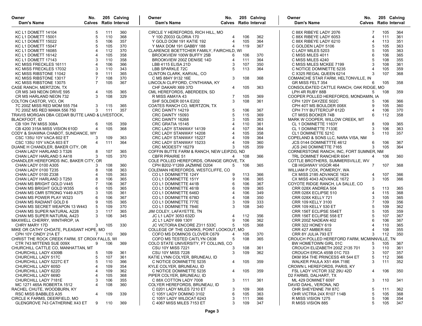| Owner<br>Dam's Name                                     | No.            |            | 205 Calving<br><b>Calves</b> Ratio Interval | Owner<br>Dam's Name                          | No.            |            | 205 Calving<br><b>Calves</b> Ratio Interval | Owner<br>Dam's Name                               | No.<br><b>Calves</b> Ratio Interval | 205 Calving |            |
|---------------------------------------------------------|----------------|------------|---------------------------------------------|----------------------------------------------|----------------|------------|---------------------------------------------|---------------------------------------------------|-------------------------------------|-------------|------------|
| KC L1 DOMETT 14104                                      | 5              | 111        | 360                                         | CIRCLE Y HEREFORDS, RICH HILL, MO            |                |            |                                             | C 88X RIBEYE LADY 2076                            | 7                                   | 105         | 364        |
| KC L1 DOMETT 15001                                      | 5              | 110        | 368                                         | Y 100 Z0033 GLORIA 170                       | $\overline{4}$ | 106        | 362                                         | C 88X RIBEYE LADY 6053                            | 4                                   | 111         | 361        |
| KC L1 DOMETT 15022                                      | 5              | 106        | 357                                         | Y GOLD DOM 191 KATIE 192                     | $\overline{4}$ | 105        | 364                                         | C 88X RIBEYE LADY 6210                            | $\overline{4}$                      | 113         | 351        |
| KC L1 DOMETT 15047                                      | 5              | 105        | 370                                         | Y MAX DOM 191 GABBY 188                      | $\overline{4}$ | 119        | 367                                         | C GOLDEN LADY 5106                                | 5                                   | 105         | 363        |
| KC L1 DOMETT 16085                                      |                | 112        | 370                                         | CLARENCE BOETTCHER FAMILY, FAIRCHILD, WI     |                |            |                                             | C LADY MILES 5203                                 |                                     | 105         | 363        |
| KC L1 DOMETT 16142                                      |                | 105        | 358                                         | BROOKVIEW 100W BUFFY 25B                     | 6              | 106        | 370                                         | C MISS MILES 4011                                 | 6                                   | 106         | 365        |
| KC L1 DOMETT 17143                                      | 3              | 110        | 358                                         | BROOKVIEW 200Z DENISE 14D                    | $\overline{4}$ | 111        | 364                                         | C MISS MILES 4240                                 |                                     | 108         | 355        |
| KC MISS FRECKLES 16111                                  |                | 106        | 366                                         | LBB 4115 ELISA 21D                           | 3              | 107        | 350                                         | C MISS MILES MCKEE 7199                           |                                     | 108         | 361        |
| KC MISS FRECKLES 17032                                  | 3              | 110        | 343                                         | <b>LBB SPARKLE 72C</b>                       | .5             | 113        | 364                                         | C NOTICE DOMINETTE 5235                           |                                     | 105         | 359        |
| KC MISS RIBSTONE 11042                                  | 9              | 111        | 365                                         | CLINTON CLARK, KARVAL, CO                    |                |            |                                             | C X325 REGAL QUEEN 6214                           | 3                                   | 107         | 368        |
| KC MISS RIBSTONE 13017                                  | 7              | 108        | 370                                         | C MS 884Y 9132 16E                           | 3              | 108        | 368                                         | COMANCHE STAR FARM, HELTONVILLE, IN               |                                     |             |            |
| KC MISS RIBSTONE 13075                                  | $\overline{7}$ | 105        | 367                                         | LINCOLN CLIFFORD, CYNTHIANA, KY              |                |            |                                             | GR MISS FELT 354                                  | 6                                   | 105         | 358        |
| CASE RANCH, MERTZON, TX                                 |                |            |                                             | CHF DAKARI X69 37D                           | $\overline{4}$ | 105        | 363                                         | CONSOLIDATED CATTLE RANCH, OAK RIDGE, MO          |                                     |             |            |
| CR MS 349 NEON DRIVE 595                                | 4              | 105        | 365                                         | CML HEREFORDS, ABERDEEN, SD                  |                |            |                                             | LPH 4R RUBY 88B                                   | 5                                   | 108         | 359        |
| CR MS HARLAND NEON 732                                  | 3              | 108        | 329                                         | R MISS AMAYA 43                              | -7             | 105        | 369                                         | COOPER POLLED HEREFORDS, MONDAMIN, IA             |                                     |             |            |
| COLTON CASTOR, VICI, OK                                 |                |            |                                             | SHF SOLDIER 001A E202                        | 3              | 108        | 361                                         | CPH 120Y DAYZEE 502C                              | 5                                   | 106         | 366        |
| 7C 200Z MISS RED MOM 555 754                            | 3              | 115        | 365                                         | COATES RANCH CO, MERTZON, TX                 |                |            |                                             | CPH 40T MS BOULDER 008X                           | 9                                   | 105         | 360        |
| 7C 200Z MS RED MAMA 556 750                             | 3              | 111        | 357                                         | CRC DAINTY 14219                             | 5              | 106        | 367                                         | CPH 71Y BUTTERCUP 612D                            | 4                                   | 106         | 370        |
| TRAVIS MORGAN DBA CEDAR BUTTE LAND & LIVESTOCK.         |                |            |                                             | CRC DAINTY 15093                             | 5              | 115        | 369                                         | CT MISS BOOKER 74B                                | 6                                   | 112         | 358        |
| <b>BLACKFOOT, ID</b>                                    |                |            |                                             | CRC DAINTY 16268                             | 3              | 105        | 363                                         | MARK W COOPER, WILLOW CREEK, MT                   |                                     |             |            |
| CB 10H 7W MISS 308A                                     | 6              | 105        | 359                                         | CRC GRATIA 15145                             |                | 110        | 361                                         | CL 1 DOMINETTE 1163Y                              | 8                                   | 109         | 365        |
| CB 4200 315A MISS VISION 610D                           | $\overline{4}$ | 105        | 368                                         | CRC LADY STANWAY 14139                       |                | 107        | 364                                         | CL 1 DOMINETTE 7133E                              | 3                                   | 106         | 363        |
| CODY & SHAWNA CHABOT, SUNDANCE, WY                      |                |            |                                             | CRC LADY STANWAY 14208                       |                | 105        | 358                                         | CL1 DOMINETTE 521C                                | 5                                   | 110         | 357        |
| CSC 135U 10Y VACA 602 ET                                | 3              | 109        | 363                                         | CRC LADY STANWAY 15227                       | $\overline{4}$ | 109        | 364                                         | COPELAND & SONS LLC, NARA VISA, NM                |                                     |             |            |
| CSC 135U 10Y VACA 603 ET                                | $\overline{4}$ | 111        | 364                                         | CRC LADY STANWAY 15233                       | $\overline{4}$ | 109        | 360                                         | JCS 0144 DOMINETTTE 4612                          | 6                                   | 106         | 367        |
| DUANE H CHANDLER, BAKER CITY, OR                        |                |            |                                             | CRC MODESTY 16279                            | 3              | 105        | 359                                         | JCS 240 DOMINETTE 7165                            | 3                                   | 105         | 364        |
| CHAN LADY HARLAND 3 T326                                | 8              | 107        | 365                                         | COFFIN BUTTE FARM & RANCH, NEW LEIPZIG, ND   |                |            |                                             | CORNERSTONE RANCH, INC, FORT SUMNER, NM           |                                     |             |            |
| CHAN LADY HARLAND 5 A418                                | 3              | 105        | 370                                         | <b>CBFR PRAIRIE 51</b>                       | 4              | 108        | 366                                         | TRL DOMINET RANCHER 6041                          | 4                                   | 106         | 360        |
| CHANDLER HEREFORDS INC, BAKER CITY, OR                  |                |            |                                             | COLE POLLED HEREFORDS, ORANGE GROVE, TX      |                |            |                                             | COTTLE BROTHERS, SUMMERSVILLE, WV                 |                                     |             |            |
| CHAN LADY 0100 A305                                     |                | 108        | 360                                         | CPH B202-Y1269 JAZMINE D204                  | 5              | 106        | 365                                         | CB HIGHWAY VIGOR 464                              | $\overline{7}$                      | 107         | 368        |
| CHAN LADY 0100 T235                                     | 8              | 108        | 363                                         | COLEMAN HEREFORDS, WESTCLIFFE, CO            |                |            |                                             | WILLIAM P COX, POMEROY, WA                        |                                     |             |            |
| CHAN LADY 0100 Z338                                     |                | 105        | 363                                         | CO L1 DOMINETTE 124Y                         | 9              | 113        | 366                                         | CX MISS 2185 ADVANCE 1624                         | 4                                   | 107         | 366        |
| CHAN LADY HARLAND 3 T250                                |                | 106        | 365                                         | CO L1 DOMINETTE 151Y                         | 9              | 106        | 365                                         | CX MISS 4043 ADVANCE 1672                         | 3                                   | 105         | 366        |
| CHAN MS BRIGHT GOLD V445                                | 6              | 106        | 367                                         | CO L1 DOMINETTE 441B                         | 6<br>6         | 106        | 367                                         | COYOTE RIDGE RANCH, LA SALLE, CO                  |                                     |             |            |
| CHAN MS BRIGHT GOLD W355                                | 3              | 105<br>105 | 365<br>361                                  | CO L1 DOMINETTE 461B                         | $\overline{4}$ | 109<br>106 | 365<br>349                                  | CRR 028X ANDREA 504                               | 5<br>$\overline{4}$                 | 113<br>115  | 365<br>368 |
| CHAN MS CMR STRONG Y449 A375<br>CHAN MS POWER PLAY W323 |                | 106        | 367                                         | CO L1 DOMINETTE 646D<br>CO L1 DOMINETTE 678D | $\overline{4}$ | 108        | 350                                         | CRR 028X ECLIPSE 510<br><b>CRR 028X KELLY 721</b> |                                     | 105         | 365        |
| CHAN MS RADIANT GOLD 6                                  | 9              | 105        | 365                                         | CO L1 DOMINETTE 777E                         | 3              | 109        | 333                                         | <b>CRR 109 KELLY 3100</b>                         | 7                                   | 109         | 356        |
| CHAN MS SECRET WEAPON 13 W443                           |                | 109        | 370                                         | CO L1 DOMINETTE 784E                         | 3              | 108        | 340                                         | <b>CRR 109 KELLY 530 ET</b>                       | 5                                   | 109         | 362        |
| CHAN MS SUPER NATURAL A228                              | 3              | 117        | 365                                         | JIM COLEY, LAFAYETTE, TN                     |                |            |                                             | CRR 156T ECLIPSE 554ET                            | 5                                   | 105         | 359        |
| CHAN MS SUPER NATURAL A423                              | 3              | 106        | 345                                         | JC L1 LADY 3053 632D                         | $\overline{4}$ | 112        | 356                                         | CRR 156T ECLIPSE 558 ET                           |                                     | 107         | 367        |
| MAXWELL CHERRY, WINTHROP, IA                            |                |            |                                             | JC L1 LADY 699 130Y                          | 9              | 106        | 362                                         | CRR 200Z NADEAN 402                               | 6                                   | 106         | 367        |
| CHRY MARY 17D                                           | 3              | 105        | 330                                         | JC VICTORIA ENCORE Z311 533C                 | 5              | 105        | 368                                         | CRR 322 HONEY 619                                 | $\overline{4}$                      | 110         | 365        |
| MIKE OR CATHY CHOATE, PLEASANT HOPE, MO                 |                |            |                                             | COLLEGE OF THE OZARKS, POINT LOOKOUT, MO     |                |            |                                             | <b>CRR 427 AMBER 602</b>                          |                                     | 108         | 355        |
| CPH 10Y CINDY 21A ET                                    |                | 7 110      | 369                                         | COFO MS DOMINOS CLOVER C679                  | $\overline{4}$ | 105        | 370                                         | CRR 8Y JULIA 793 ET                               | 3                                   | 112         | 350        |
| CHRIST THE ROCK CREEK FARM, ST CROIX FALLS, WI          |                |            |                                             | COFO MS TESTED CAITLYN C638                  | 5              | 108        | 365                                         | CROUCH POLLED HEREFORD FARM, MCMINNVILLE, TN      |                                     |             |            |
| CTR 743 MITTENS SUE 009X                                | 9              | 106        | 369                                         | COLO STATE UNIVERSITY, FT COLLINS, CO        |                |            |                                             | BW HOMETOWN GIRL 01C                              | 5                                   | 105         | 367        |
| CHURCHILL CATTLE CO, MANHATTAN, MT                      |                |            |                                             | <b>CSU 10Y MISS 7221</b>                     | 3              | 108        | 361                                         | CROUCH ELIZABETH 200Z 2135 701                    | 3                                   | 110         | 361        |
| CHURCHILL LADY 4309B                                    |                |            | 5 109 361                                   | <b>CSU 10Y MISS 7228</b>                     | 3              | 109        | 362                                         | CROUCH ERICA 455B 01C 703                         |                                     | 107         | 357        |
| CHURCHILL LADY 517C                                     | 5              | 107        | 361                                         | KATIE LYNN COLYER, BRUNEAU, ID               |                |            |                                             | DKM 954 THE PRINCESS 4R 544 ET                    | 5                                   | 112         | 366        |
| CHURCHILL LADY 5227C ET                                 | 5              | 110        | 366                                         | C NOTICE DOMINETTE 5235                      |                | 105        | 359                                         | WALKER PAULA X51 49A 718E                         | 3                                   | 111         | 352        |
| CHURCHILL LADY 605D                                     |                | 109        | 354                                         | KYLE COLYER, BRUNEAU, ID                     |                |            |                                             | CROWN L HEREFORDS, PARIS, KY                      |                                     |             |            |
| CHURCHILL LADY 622D                                     |                | 109        | 362                                         | C NOTICE DOMINETTE 5235                      | 4              | 105        | 359                                         | FSL LADY VICTOR 33Z 29U 42D                       | 4                                   | 106         | 350        |
| CHURCHILL LADY 669D                                     |                | 105        | 368                                         | PIPER COLYER, BRUNEAU, ID                    |                |            |                                             | D2 FARMS, DALHART, TX                             |                                     |             |            |
| CHURCHILL LADY 7181E                                    | 3              | 106        | 355                                         | C 88X COTTON LADY 7008                       | 3              | 111        | 361                                         | ML 429 DOMINET 6097                               | 3                                   | 110         | 341        |
| MC 1271 465A ROBERTA 1512                               | $\overline{4}$ | 108        | 360                                         | COLYER HEREFORDS, BRUNEAU, ID                |                |            |                                             | DAVID DAHL, VERONA, ND                            |                                     |             |            |
| RACHEL CHUTE, WOODBURN, KY                              |                |            |                                             | C 0201 LADY MILES 7210 ET                    | -3             | 109        | 368                                         | OHR SHEYENNE 7W 87C                               | 5                                   | 111         | 362        |
| <b>RSC MISS BABBLES A35</b>                             | 4              | 109        | 339                                         | C 105Y LADY DOMINO 3102                      | 6              | 105        | 363                                         | OHR VICTRA 24X R107 114B                          | 5                                   | 105         | 368        |
| CIRCLE K FARMS, DEERFIELD, MO                           |                |            |                                             | C 105Y LADY WILDCAT 6243                     | 3              | 111        | 366                                         | R MISS VISION 1275                                | 5                                   | 106         | 354        |
| GLENGROVE 743 CATHERINE X43 ET                          | 9              | 110        | 369                                         | C 4067 MISS MILES 7153 ET                    | 3              | 109        | 347                                         | R MISS VISION 885                                 | 5                                   | 105         | 347        |
|                                                         |                |            |                                             |                                              |                |            |                                             |                                                   |                                     |             |            |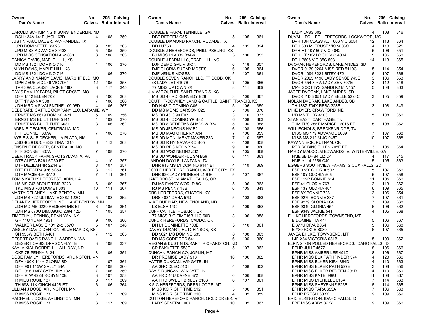| Owner<br>Dam's Name                      | No.            |     | 205 Calving<br><b>Calves</b> Ratio Interval | Owner<br>Dam's Name                             | No.            |     | 205 Calving<br><b>Calves</b> Ratio Interval | Owner<br>Dam's Name                         | No.<br><b>Calves</b> Ratio Interval |     | 205 Calving |
|------------------------------------------|----------------|-----|---------------------------------------------|-------------------------------------------------|----------------|-----|---------------------------------------------|---------------------------------------------|-------------------------------------|-----|-------------|
| DAROLD SCHIMMING & SONS, ENDERLIN, ND    |                |     |                                             | DOUBLE B FARM, TENNILLE, GA                     |                |     |                                             | LADY LASS 602                               | $\overline{4}$                      | 108 | 346         |
| DSH 134A 141B JACI 163D                  | 4              | 108 | 359                                         | DBF REDEEM C55                                  | 5              | 105 | 361                                         | DUVALL POLLED HEREFORDS, LOCKWOOD, MO       |                                     |     |             |
| JUSTIN PAUL DAUER, PANHANDLE, TX         |                |     |                                             | DOUBLE DIAMOND RANCH, MCDADE, TX                |                |     |                                             | DPH 10H CLASS ACT 606 VIC 6054              | 12                                  | 113 | 364         |
| JPD DOMINETTE 35023                      | 9              | 105 | 365                                         | DD LUZ53                                        | 4              | 105 | 324                                         | DPH 303 MI TRUST VIC 5003C                  | 4                                   | 110 | 325         |
| JPD MISS ADVANCE 39433                   | 5              | 105 | 359                                         | DOUBLE J HEREFORDS, PHILLIPSBURG, KS            |                |     |                                             | DPH HT 10Y 507 VIC 4042                     | 5                                   | 106 | 351         |
| JPD MISS SENSATION A 49600               | 3              | 108 | 363                                         | BJ MISS L1 4082 B34-6                           | 3              | 106 | 353                                         | DPH HT 10Y LOGIC VIC 4004                   | 5                                   | 105 | 350         |
| DANICA DAVIS, MAPLE HILL, KS             |                |     |                                             | DOUBLE J FARM LLC, TRAP HILL, NC                |                |     |                                             | DPH P606 VIC 35C 503                        | 14                                  | 113 | 365         |
| <b>DD MS 1321 DOMINO 716</b>             | 4              | 106 | 370                                         | DJF DEMO GAL VISION                             | 6              | 118 | 357                                         | DVORAK HEREFORDS, LAKE ANDES, SD            |                                     |     |             |
| JALYN DAVIS, MAPLE HILL, KS              |                |     |                                             | DJF GLORIA SUGAR MOSES                          | 6              | 105 | 364                                         | DVOR 0139 9264 MISS RED 5119C               | 5                                   | 114 | 354         |
| DD MS 1321 DOMINO 716                    | 4              | 106 | 370                                         | DJF VENUS MOSES                                 | 5              | 107 | 361                                         | DVOR 1094 8224 BITSY 472                    | 6                                   | 107 | 366         |
| LARRY AND NANCY DAVIS, MARSHFIELD, MO    |                |     |                                             | DOUBLE SEVEN RANCH LLC, FT COBB, OK             |                |     |                                             | DVOR 2025 4190 LADY SENSE 745E              | 3                                   | 106 | 353         |
| DPH ZEUS VIC 246 VIC 7061                | 12             | 105 | 358                                         | /S LADY JET 4107B                               |                | 105 | 356                                         | DVOR 554 304A LADY ZEN 707E                 | 3                                   | 112 | 348         |
| TAR 39A CLASSY JACKIE 16D                | 3              | 117 | 345                                         | 77 MISS UPTOWN 2X                               | 8              | 111 | 369                                         | MPH SCOTTYS SANDI K215 N457                 | 5                                   | 108 | 363         |
| DAY'S FAMILY FARM, PILOT GROVE, MO       |                |     |                                             | JIM W DOUTHIT, SAINT FRANCIS, KS                |                |     |                                             | JACEE DVORAK, LAKE ANDES, SD                |                                     |     |             |
| <b>DFF 1512 ELLEN 702</b>                | 3              | 106 | 363                                         | MS DD 43 RD KENNEDY E28                         | 3              | 106 | 367                                         | DVOR Y133 051 LADY BELLE 5223C              | 3                                   | 105 | 359         |
| DFF 1Y ANNA 308                          | 7              | 106 | 366                                         | DOUTHIT-DOWNEY LAND & CATTLE, SAINT FRANCIS, KS |                |     |                                             | NOLAN DVORAK, LAKE ANDES, SD                |                                     |     |             |
| JDH MRD MS VALENTINE 109 98D             | 4              | 106 | 367                                         | DD H 43 C DOMINO C06                            | 5              | 106 | 359                                         | TH 188Z 704X REBA 328E                      | 3                                   | 108 | 349         |
| DEBERARD CATTLE COMPANY LLC, LARAMIE, WY |                |     |                                             | DD MS MOMS CARSON C25                           | 5              | 106 | 370                                         | MIKE DYER, CRAWFORD, NE                     |                                     |     |             |
| ERNST MS 8619 DOMINO 421                 | 5              | 109 | 356                                         | MS DD 43 C 90 E07                               | 3              | 110 | 337                                         | MD MS THOR 4108                             | 5                                   | 108 | 366         |
| <b>ERNST MS BUILT TUFF 5141</b>          | 4              | 109 | 370                                         | MS DD 43 DOMINO YK B82                          | 6              | 108 | 363                                         | STAN EAST, CARTHAGE, TN                     |                                     |     |             |
| <b>ERNST MS BUILT TUFF 6031</b>          | 3              | 106 | 362                                         | MS DD 8 REDEEMS SHADOW B74                      | 5              | 106 | 358                                         | THM TL'S 755T MARICEL 6016 ET               | 5                                   | 108 | 362         |
|                                          |                |     |                                             | MS DD JENSONS NV B21                            | 6              |     | 356                                         |                                             |                                     |     |             |
| JADEN E DECKER, CENTRALIA, MO            | $\overline{7}$ |     |                                             |                                                 | $\overline{7}$ | 108 |                                             | WILL ECHOLS, BRECKENRIDGE, TX               | 7                                   |     |             |
| FTF SONNET 307A                          |                | 108 | 370                                         | MS DD MAGIC HENRY A34                           | $\overline{7}$ | 106 | 359                                         | MISS MS 179 ADVANCE 2609                    |                                     | 107 | 368         |
| JAYE E & SUE DECKER, LA PLATA, NM        |                |     |                                             | MS DD MONUMENT MAKER Z33                        |                | 110 | 357                                         | MISS MS 212 M JO 9457                       | 10                                  | 107 | 368         |
| JSD 4029 DUCHESS TINA 1315               | 6              | 113 | 363                                         | MS DD R HY NAVARRO B05                          | 6              | 108 | 358                                         | KAYANN ECK, PUTNAM, OK                      |                                     |     |             |
| JENSEN E DECKER, CENTRALIA, MO           |                |     |                                             | MS DD REG NEON Y74                              | 9              | 106 | 360                                         | <b>RER ROBINS ELLEN 705E ET</b>             | 3                                   | 105 | 364         |
| FTF SONNET 307A                          | $7^{\circ}$    | 108 | 370                                         | MS DD WG2 NEON2 Z62                             | $\overline{7}$ | 105 | 368                                         | HARDY MALCOLM EDWARDS IV, WINTERVILLE, GA   |                                     |     |             |
| DEER TRACK FARM, SPOTSYLVANIA, VA        |                |     |                                             | MS DD WONDERFUL SM B56                          | 6              | 111 | 363                                         | HME 6B DHB4 LIZ D4                          | 4                                   | 117 | 345         |
| DTF ALETA B261 6D30 ET                   | 4              | 110 | 357                                         | LANDON DOYLE, LANTANA, TX                       |                |     |                                             | HME Y114 2559 C40                           | 5                                   | 105 | 363         |
| DTF DELILAH 4R 2Z44 ET                   | 8              | 107 | 357                                         | DHR 613 MS L1 DOMINO 6141 ET                    | $\overline{4}$ | 110 | 369                                         | EGGERS SOUTHVIEW FARMS, SIOUX FALLS, SD     |                                     |     |             |
| DTF ELECTRA 936 5C59                     | 3              | 112 | 361                                         | DOYLE HEREFORD RANCH, WOLFE CITY, TX            |                |     |                                             | ESF 028X GLORIA 502                         | 5                                   | 107 | 356         |
| DTF MACIE 426 3A12                       |                | 111 | 364                                         | DHR 926 LADY PIONEER L1 616                     | 5              | 107 | 367                                         | ESF 10Y GLORIA 505                          | 5                                   | 107 | 358         |
| TOM & KATHY DEFOREST, ADIN, CA           |                |     |                                             | JAKE DROST, KLAMATH FALLS, OR                   |                |     |                                             | ESF 119P BONNIE 814                         | 11                                  | 105 | 366         |
| H5 MS 743 ABOUT TIME 3223                | 6              | 109 | 367                                         | RJ MS FANCY WORLD 8C                            | 5              | 106 | 363                                         | ESF 41 GLORIA 763                           | 3                                   | 113 | 362         |
| TKD MISS 703 DOMET 003                   | 10             | 111 | 367                                         | RJ MS PENNY 18B                                 | 6              | 105 | 343                                         | ESF 43Y GLORIA 401                          | 6                                   | 109 | 365         |
| MARTY DELANEY, LAKE BENTON, MN           |                |     |                                             | DRS HEREFORDS, GUSTON, KY                       |                |     |                                             | ESF 8Y BONNIE 708                           | 3                                   | 106 | 354         |
| JDH MS 32Z ULTIMATE 236Z 122C            | 5              | 108 | 362                                         | DRS 4084 DANA 57D                               | 5              | 108 | 363                                         | <b>ESF 9279 BONNIE 337</b>                  | $\overline{7}$                      | 107 | 361         |
| DELANEY HEREFORDS INC., LAKE BENTON, MN  |                |     |                                             | MIKE DUBISAR, NEW ENGLAND, ND                   |                |     |                                             | ESF 9279 GLORIA 204                         | 7                                   | 109 | 368         |
| JDH MD MS 0229 REDEEM 54B ET             | 6              | 105 | 364                                         | LS ELSA 14C                                     | 5              | 109 | 358                                         | ESF 9349 GLORIA 454                         | 6                                   | 106 | 362         |
| JDH MS 670U DIMAGGIO 2094 12D            | $\overline{4}$ | 105 | 357                                         | DUFF CATTLE, HOBART, OK                         |                |     |                                             | <b>ESF 9349 JACKIE 541</b>                  | $\overline{4}$                      | 105 | 368         |
| TIMOTHY J DENNIS, PENN YAN, NY           |                |     |                                             | 77 MISS BIG TIME16B 11C 60D                     | 3              | 106 | 358                                         | EHLKE HEREFORDS, TOWNSEND, MT               |                                     |     |             |
| GH 44U YUMA 4931                         | 9              | 106 | 366                                         | DUFUR HEREFORDS, CADDO, OK                      |                |     |                                             | <b>B DOMINETTA 444</b>                      | 5                                   | 106 | 367         |
| WALKER LASSIE 10Y 242 557C               | 5              | 107 | 346                                         | DH L1 DOMINETTE 703E                            | 3              | 110 | 361                                         | E 377U DIVA B054                            | 5                                   | 106 | 368         |
| WESLEY DAVID DENTON, BLUE RAPIDS, KS     |                |     |                                             | DAVEY DUKART, HUTCHINSON, KS                    |                |     |                                             | E Y80 ROXIE B080                            | 6                                   | 107 | 365         |
| SH 955W BETH A461                        | $\overline{7}$ | 112 | 365                                         | DD 9021 MS DOMINO 535                           | 6              | 108 | 363                                         | JANEA EHLKE, TOWNSEND, MT                   |                                     |     |             |
| DESERT OASIS RANCH, WARDEN, WA           |                |     |                                             | DD MS CODE RED 541                              | 6              | 106 | 360                                         | LJE X84 VICTORIA 031B                       | 5                                   | 109 | 362         |
| DESERT OASIS DRAGONFLY 1E                | 3              | 108 | 337                                         | MEGAN & DUSTIN DUKART, RICHARDTON, ND           |                |     |                                             | ELKINGTON POLLED HEREFORDS, IDAHO FALLS, ID |                                     |     |             |
| KAYLA KIAL DORRELL, HALLIDAY, ND         |                |     |                                             | SR BAKKETTE 553C                                | 5              | 107 | 362                                         | EPHR JULIE 457Z                             | 8                                   | 106 | 366         |
| CKP 7B PENNY 6124                        |                |     | 3 106 354                                   | DUNCAN RANCH CO, JOPLIN, MT                     |                |     |                                             | EPHR MISS AMBER LEE 491Z                    | 8                                   | 106 | 367         |
| DOSE FAMILY HEREFORDS, ARLINGTON, MN     |                |     |                                             | DR PROMISE LADY 918                             | 10             | 106 | 362                                         | EPHR MISS ELK PATHFINDER 374                | 4                                   | 120 | 366         |
| DFH 400X 144Y GLORIA 8D                  |                | 107 | 364                                         | HATTIE DUNCAN, WINGATE, IN                      |                |     |                                             | EPHR MISS ELKER KIRK 384D                   | 4                                   | 110 | 363         |
| DFH 901 115W SALLY 38A                   | 7              | 108 | 366                                         | AA SHO CLEO 5101                                | $\overline{4}$ | 108 | 352                                         | EPHR MISS ELKER PATH 597E                   | 3                                   | 108 | 356         |
| DFH 916 144Y CATALINA 10A                | 7              | 106 | 359                                         | RAY S DUNCAN, WINGATE, IN                       |                |     |                                             | EPHR MISS ELKER REDEEM 291D                 | $\overline{4}$                      | 110 | 359         |
| DFH 91W 492B ROBYN 10E                   | 3              | 107 | 353                                         | AA HRD 44U DAFNE 372                            | 6              | 106 | 368                                         | EPHR MISS KATE 699U                         | 11                                  | 108 | 367         |
| R MISS ROSIE 137                         | 3              | 117 | 309                                         | AA HRD SWEET BRILEY 3106                        | 6              | 107 | 361                                         | EPHR MISS MICHELLE 613A                     | 7                                   | 114 | 363         |
| TH 69S 11X CINCH 442B ET                 | 6              | 106 | 364                                         | K & C HEREFORDS, DEER LODGE, MT                 |                |     |                                             | EPHR MISS SHEYENNE 823B                     | 6                                   | 114 | 365         |
| LILLIAN J DOSE, ARLINGTON, MN            |                |     |                                             | MISS KC RIGHT TIME 512                          | 5              | 106 | 351                                         | EPHR MISS TARA 653A                         | 7                                   | 106 | 363         |
| R MISS ROSIE 137                         | 3              | 117 | 309                                         | MISS KC RIGHT TIME 610                          | $\overline{4}$ | 105 | 359                                         | EPHR PRESLI 303Y                            | 9                                   | 109 | 369         |
| RACHAEL J DOSE, ARLINGTON, MN            |                |     |                                             | DUTTON HEREFORD RANCH, GOLD CREEK, MT           |                |     |                                             | ERIC ELKINGTON, IDAHO FALLS, ID             |                                     |     |             |
| R MISS ROSIE 137                         | 3              | 117 | 309                                         | LADY GENERAL 007                                | 10             | 105 | 367                                         | EBE MISS ABBY 372Y                          | 9                                   | 109 | 366         |
|                                          |                |     |                                             |                                                 |                |     |                                             |                                             |                                     |     |             |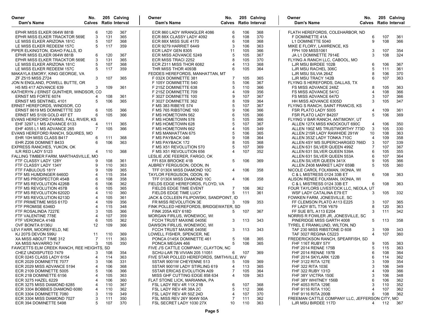| Owner<br>Dam's Name                                         | No.<br>Calves Ratio Interval |            | 205 Calving | Owner<br>No.<br>Dam's Name                     |                |            | 205 Calving<br><b>Calves</b> Ratio Interval | Owner<br>Dam's Name                                   | No.                   |     | 205 Calving<br><b>Calves</b> Ratio Interval |
|-------------------------------------------------------------|------------------------------|------------|-------------|------------------------------------------------|----------------|------------|---------------------------------------------|-------------------------------------------------------|-----------------------|-----|---------------------------------------------|
|                                                             |                              |            |             |                                                |                |            |                                             |                                                       |                       |     |                                             |
| EPHR MISS ELKER 064W 881B                                   | 6                            | 120        | 367         | ECR 860 LADY WRANGLER 4086                     | 6              | 106        | 368                                         | FLATH HEREFORDS, COLEHARBOR, ND                       |                       |     |                                             |
| EPHR MISS ELKER TRACKTOR 569E                               | 3                            | 131        | 365         | ECR 88X CLASSY LADY 4092                       | 6              | 108        | 370                                         | F DOMINETTE 41A                                       | 6                     | 107 | 361                                         |
| LE MISS ELKER ARIZONA 181C                                  | 5                            | 107        | 368         | ECR 88X MISS SUE 4170                          | 6              | 108        | 368                                         | L1 DOMINETTE 5040                                     | 9                     | 108 | 366                                         |
| LE MISS ELKER REDEEM 157C                                   | 5                            | 117        | 359         | ECR 9279 HARRIET 6449                          | 3              | 106        | 363                                         | MIKE E FLORY, LAWRENCE, KS                            |                       |     |                                             |
| PIPER ELKINGTON, IDAHO FALLS, ID                            |                              |            |             | ECR LADY GEN 8305                              | 11             | 105        | 366                                         | <b>FPH 109 MISS1061</b>                               | 3                     | 107 | 354                                         |
| EPHR MISS ELKER 064W 881B                                   | 6<br>3                       | 120<br>131 | 367<br>365  | ECR MISS ADVANCE 5249                          | 5<br>8         | 105<br>105 | 367                                         | JA L1 DOMINETTE 7914E                                 | 3                     | 108 | 324                                         |
| EPHR MISS ELKER TRACKTOR 569E<br>LE MISS ELKER ARIZONA 181C | 5                            | 107        | 368         | ECR MISS TRACI 2252<br>ECR Z311 MISS THOR 6082 | $\Delta$       | 113        | 370<br>368                                  | FLYING A RANCH LLC, CABOOL, MO<br>LJR MSU BIRDEE 102B | 6                     | 106 | 367                                         |
|                                                             | 5                            | 117        | 359         | THR MISS THOR 4093B                            | 6              | 105        | 364                                         |                                                       | 5                     | 111 |                                             |
| LE MISS ELKER REDEEM 157C                                   |                              |            |             | FEDDES HEREFORDS, MANHATTAN, MT                |                |            |                                             | LJR MSU RACHEL 306C<br>LJR MSU SILVIA 264Z            | 8                     | 106 | 361<br>370                                  |
| MAKAYLA EMORY, KING GEORGE, VA<br><b>ZF Z515 MISS Z724</b>  | 3                            | 107        | 365         | F 032X DOMINETTE 381                           | 7              | 105        | 365                                         | LJR MSU TRACY 142B                                    | 6                     | 107 | 363                                         |
| JON N ENGLAND, POWELL BUTTE, OR                             |                              |            |             | F 105Y DOMINETTE 540                           | 5              | 106        | 367                                         | FLYING S HEREFORDS, DALLAS, TX                        |                       |     |                                             |
| H5 MS 417 ADVANCE 639                                       | 3                            | 109        | 361         |                                                | 5              | 110        | 366                                         | FS MISS ADVANCE 248Z                                  | 8                     | 105 | 363                                         |
| KATHERYN J ERNST GUNTHER, WINDSOR, CO                       |                              |            |             | F 215Z DOMINETTE 638<br>F 215Z DOMINETTE 709   | 4              | 109        | 356                                         | FS MISS ADVANCE 541C                                  | $\overline{4}$        | 108 | 366                                         |
| <b>ERNST MS FORTE 6074</b>                                  | 4                            | 108        | 361         | F 3027 DOMINETTE 100                           | 9              | 107        | 367                                         | FS MISS ADVANCE 647D                                  | 3                     | 107 | 366                                         |
| <b>ERNST MS SENTINEL 4101</b>                               | 5                            | 106        | 365         | F 3027 DOMINETTE 362                           | 8              | 109        | 364                                         | HH MISS ADVANCE 6305D                                 | 3                     | 105 | 347                                         |
| ERNST HEREFORDS, WINDSOR, CO                                |                              |            |             | F MS 383 RIBEYE 574                            | 5              | 107        | 367                                         | FLYING S RANCH, SAINT FRANCIS, KS                     |                       |     |                                             |
| ERNST 8619 MS DOMINETTTE 320                                | 6                            | 105        | 366         | F MS 765 RIBSTONE 160                          | 9              | 106        | 366                                         | FSR PLATO LADY 5005                                   | 4                     | 109 | 361                                         |
| ERNST MS S109 GOLD 497 ET                                   | 6                            | 105        | 366         | F MS HOMETOWN 562                              | 6              | 105        | 366                                         | FSR PLATO LADY B4207                                  | 5                     | 106 | 369                                         |
| EVANS HEREFORD FARMS. FALL RIVER, KS                        |                              |            |             | F MS HOMETOWN 578                              | 5              | 105        | 366                                         | FLYING V BAR RANCH, ANTIMONY, UT                      |                       |     |                                             |
| EHF 3297 L1 MS ADVANCE 6133                                 | $\overline{4}$               | 111        | 365         | F MS HOMETOWN 628                              | 5              | 107        | 367                                         | ALLEN 127X MISS KNOCKOUT 690C                         | 4                     | 106 | 350                                         |
| EHF 4055 L1 MS ADVANCE 265                                  | 7                            | 105        | 366         | F MS HOMETOWN 662                              | $\overline{4}$ | 105        | 349                                         | ALLEN 190Z MS TRUSTWORTHY 773D                        | 3                     | 105 | 330                                         |
| EVANS HEREFORD RANCH, SQUIRES, MO                           |                              |            |             | F MS MANHATTAN 675                             | 5              | 106        | 365                                         | ALLEN 215R LADY RAWHIDE 291W                          | 10                    | 108 | 363                                         |
| EHR 10H MISS CLASS B417                                     | 6                            | 111        | 368         | F MS PAYBACK 046                               | 9              | 108        | 364                                         | ALLEN 353Z LADY TONKA 710C                            | $\overline{4}$        | 109 | 358                                         |
| EHR Z206 DOMINET B433                                       | 6                            | 106        | 363         | F MS PAYBACK 172                               | 8              | 105        | 368                                         | ALLEN 4SY MS SUPERCHARGED 766D                        | 3                     | 107 | 339                                         |
| EXPRESS RANCHES, YUKON, OK                                  |                              |            |             | F MS X51 REVOLUTION 570                        | 5              | 107        | 369                                         | ALLEN 631 SILVER QUEEN 499Z                           | 7                     | 107 | 367                                         |
| ILR RED LADY 5123                                           |                              | 110        | 368         | F MS X51 REVOLUTION 656                        | $\overline{4}$ | 107        | 352                                         | ALLEN 631 SILVER QUEEN 539A                           | 6                     | 105 | 355                                         |
| FALLING TIMBER FARM. MARTHASVILLE, MO                       |                              |            |             | LESLIE JOE FEERER, FARGO, OK                   |                |            |                                             | ALLEN 631 SILVER QUEEN 553A                           | 6                     | 107 | 364                                         |
| FTF CLASSY LADY 128Y                                        |                              | 108        | 361         | FFI 83X BROOKE 41B                             | 5              | 106        | 369                                         | ALLEN SILVER QUEEN 341X                               | 9                     | 105 | 366                                         |
| FTF CLASSY LADY 134Y                                        |                              | 110        | 363         | AUBREY FERGUSON, ODON, IN                      |                |            |                                             | ALLEN Z408 MARKET LADY 659B                           | 5                     | 105 | 360                                         |
| FTF FABULOUS 181Y                                           | 9                            | 109        | 365         | TFF 0130X MISS DIAMOND 10C                     | $\overline{4}$ | 106        | 358                                         | NICOLE CAROL FOLKMAN, IXONIA, WI                      |                       |     |                                             |
| FTF MS HUMDINGER 6460D                                      |                              | 115        | 354         | TAYLOR FERGUSON, ODON, IN                      |                |            |                                             | C & L MISTRESS 0124 33B ET                            | 6                     | 108 | 363                                         |
| FTF MS PROSPECTOR 454B                                      | 6                            | 108        | 358         | TFF 0130X MISS DIAMOND 10C                     | 4              | 106        | 358                                         | ALISON RENEE FOLKMAN, IXONIA, WI                      |                       |     |                                             |
| FTF MS REVOLUTION 4226B                                     |                              | 106        | 362         | FIELDS EDGE HEREFORDS, FLOYD, VA               |                |            |                                             | C & L MISTRESS 0124 33B ET                            | 6                     | 108 | 363                                         |
| FTF MS REVOLUTION 457B                                      | 6                            | 105        | 365         | FIELDS EDGE TIME EVENT                         | $\overline{7}$ | 106        | 362                                         | FOUR TAYLORS LIVESTOCK LLC, NEOLA, UT                 |                       |     |                                             |
| FTF MS REVOLUTION 6202D                                     |                              | 110        | 360         | FIELDS EDGE TIME LUCY                          | 5              | 111        | 361                                         | WSF LADY CATALINA E79 ET                              | 3                     | 105 | 332                                         |
| FTF MS REVOLUTION 6213D                                     |                              | 105        | 361         | JACK & COLLEEN FILIPOWSKI, SANDPOINT, ID       |                |            |                                             | FOWKEN FARM, JONESVILLE, SC                           |                       |     |                                             |
| FTF PRIMETIME MISS 617D                                     |                              | 109        | 356         | FR MISS REVOLUTION 3E                          | 3              | 109        | 353                                         | FF CLEMSON PLATO A113 E225                            | 3                     | 107 | 365                                         |
| FTF PROMISE 6346D                                           |                              | 115        | 348         | FINK POLLED HEREFORDS, BRIDGEWATER, SD         |                |            |                                             | FF LADY BTL T706 Y679                                 | 8                     | 120 | 363                                         |
| FTF ROSALINDA 7227E                                         | 3                            | 105        | 366         | <b>FINK 205A KEY 618D</b>                      | 5              | 107        | 367                                         | FF SUE BTL A113 E204                                  | 3                     | 111 | 342                                         |
| FTF VALENTINE 778E                                          |                              | 107        | 359         | MORGAN FIRLUS, WONEWOC, WI                     |                |            |                                             | NORRIS R FOWLER JR, JONESVILLE, SC                    |                       |     |                                             |
| FTF VERONICA 414B                                           | 6                            | 105        | 362         | FCCH TRUST MAXINE 0405E                        | 3              | 113        | 343                                         | PINERIDGE MISS GARTH 4008                             | 5                     | 113 | 358                                         |
| OVF BONITA 8136U                                            | 12                           | 109        | 366         | DAWSON FIRLUS, WONEWOC, WI                     |                |            |                                             | TYREL E FRANKLUND, WILTON, ND                         |                       |     |                                             |
| LEVI FARR, MOOREFIELD, NE                                   |                              |            |             | FCCH TRUST MAXINE 0405E                        | 3              | 113        | 343                                         | TAF 230 MISS RIBSTONE D 608                           | 3                     | 109 | 343                                         |
| <b>KJ 207S DEVON 599U</b>                                   | 11                           | 110        | 369         | LOWELL FISHER, SPENCER, NE                     |                |            |                                             | TAF 3027 REGINA C5223                                 | $\boldsymbol{\Delta}$ | 107 | 360                                         |
| XA MISS ABOUT TIME 312                                      | $\overline{7}$               | 111        | 363         | PONCA 0145X DOMINETTE 461                      | 5              | 108        | 365                                         | FREDERICKSON RANCH, SPEARFISH, SD                     |                       |     |                                             |
| XA MISS NAVARRO 747                                         | 3                            | 105        | 350         | PONCA MEGAN 466                                | 5              | 106        | 365                                         | FHF 116T RUBY 57Y                                     | 9                     | 105 | 363                                         |
| FAWCETTS ELM CREEK RANCH, REE HEIGHTS, SD                   |                              |            |             | FIVE J'S CATTLE COMPANY, CLAYTON, NC           |                |            |                                             | FHF 2014 RENAE 175B                                   | 5                     | 115 | 363                                         |
| CHEZ UNDISPUTED 7479                                        |                              | 108        | 354         | SCHU-LAR 7B VIVIAN 205 11051                   |                |            | 6 107 369                                   | FHF 2014 RENAE 197B                                   | 6                     | 108 | 364                                         |
| ECR 0245 CLASS LADY 6154                                    | 4                            | 114        | 363         | FIVE STAR POLLED HEREFORDS, SMITHVILLE, WV     |                |            |                                             | FHF 2014 SKYLARK 122B                                 | 6                     | 114 | 362                                         |
| ECR 2029 DOMINETTE 7077                                     | 3                            | 106        | 331         | 5STAR 9001W CHEYENNE 513                       | 5              | 109        | 369                                         | FHF 3122 RITA 127E                                    | 3                     | 109 | 354                                         |
| ECR 2029 MISS ADVANCE 5194                                  |                              | 106        | 368         | 5STAR 9001W LADY STIRLING 619                  | 4              | 113        | 365                                         | FHF 322 RITA 103E                                     | 3                     | 106 | 349                                         |
| ECR 2109 DOMINETTE 5005                                     | 5                            | 106        | 366         | 5STAR ERICAS EVOLUTION A09                     | 7              | 105        | 364                                         | FHF 322 RUBY 131D                                     | 4                     | 109 | 366                                         |
| ECR 21B DOMINETTE 6156                                      |                              | 105        | 363         | MISS GHF CUTTING EDGE 858 634                  | $\overline{4}$ | 109        | 363                                         | FHF 38Y VICTRA 150E                                   | 3                     | 106 | 348                                         |
| ECR 3275 HAZEL 6229                                         |                              | 106        | 360         | FLAT STONE LICK, MARIANNA, PA                  |                |            |                                             | FHF 38Y WHITNEY 156B                                  | 6                     | 106 | 362                                         |
| ECR 3275 MISS DIAMOND 6285                                  |                              | 110        | 367         | FSL LADY REV 4R 11X 21B                        | 6              | 107        | 368                                         | FHF 4053 RITA 129E                                    | 3                     | 110 | 352                                         |
| ECR 3304 BOBBIES DIAMOND 6080                               |                              | 110        | 362         | FSL LADY REV 4R 38A 2C                         | 5              | 112        | 366                                         | FHF 9116 RITA 110C                                    | 4                     | 107 | 362                                         |
| ECR 3304 DOMINETTE 7080                                     | 3                            | 119        | 349         | FSL LADY REV 4R 50Z 24D                        | $\overline{4}$ | 107        | 370                                         | FHF 9116 RITA 200B                                    | 6                     | 108 | 362                                         |
| ECR 3304 MISS DIAMOND 7027                                  | 3                            | 111        | 350         | <b>FSL MISS REV 26Y 904W 50A</b>               | 7              | 111        | 362                                         | FREEMAN CATTLE COMPANY LLC, JEFFERSON CITY, MO        |                       |     |                                             |
| ECR 394 DOMINETTE 5498                                      | 5                            | 107        | 370         | FSL SECRET LADY 1030 27X                       | 10             | 110        | 363                                         | LJR MSU BIRDEE 117D                                   | 4                     | 112 | 367                                         |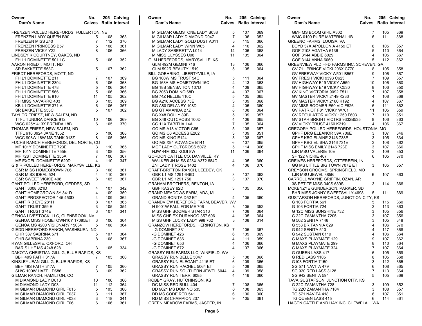| Owner<br>Dam's Name                      | No.            |     | 205 Calving<br><b>Calves</b> Ratio Interval | Owner<br>Dam's Name                     | No.            |     | 205 Calving<br><b>Calves</b> Ratio Interval | Owner<br>Dam's Name                      | No.            |     | 205 Calving<br><b>Calves</b> Ratio Interval |
|------------------------------------------|----------------|-----|---------------------------------------------|-----------------------------------------|----------------|-----|---------------------------------------------|------------------------------------------|----------------|-----|---------------------------------------------|
|                                          |                |     |                                             |                                         |                |     |                                             |                                          |                |     |                                             |
| FRENZEN POLLED HEREFORDS. FULLERTON, NE  |                |     |                                             | M GILMAR GEMSTONE LADY B038             | 5              | 107 | 369                                         | GMF MS BOOM GIRL A302                    | 7              | 105 | 369                                         |
| FRENZEN LADY QUEEN B90                   | 5              | 108 | 363                                         | M GILMAR LADY DIAMOND D047              | 7              | 106 | 352                                         | WMC 0109 PURE MATERNAL 1B                | 6              | 111 | 368                                         |
| <b>FRENZEN MISS Z40</b>                  | 7              | 112 | 370                                         | M GILMAR LADY GOLD DUST A011            | 3              | 115 | 366                                         | GREENO FARMS, LOUISA, VA                 |                |     |                                             |
| FRENZEN PRINCESS B57                     | 5              | 108 | 361                                         | M GILMAR LADY WINN W05                  | $\overline{4}$ | 110 | 362                                         | BOYD 37X APOLLONIA 4159 ET               | 6              | 105 | 357                                         |
| <b>FRENZEN VICKY Y22</b>                 |                | 106 | 366                                         | M LADY SABERETTA L014                   | 14             | 106 | 368                                         | GOF 2108 AGATHA 6136                     |                | 110 | 364                                         |
| LINDSEY K COURTNEY, OAKES, ND            |                |     |                                             | M MISS ULYSSES U08                      | 11             | 105 | 364                                         | GOF 3144 ABBIE 6029                      | 4              | 105 | 367                                         |
| FH L1 DOMINETTE 501 LC                   | 5              | 106 | 352                                         | <b>GLM HEREFORDS, MARYSVILLE, KS</b>    |                |     |                                             | GOF 3144 ANNA 6060                       |                | 112 | 362                                         |
| AARON FRIEDT, MOTT, ND                   |                |     |                                             | GLM 492M GEMINI 716                     | 13             | 106 | 366                                         | GREENVIEW PLD HFD FARMS INC, SCREVEN, GA |                |     |                                             |
| SR BAKKETTE 553C                         | 5              | 107 | 362                                         | GLM 592R BEAUTY 1519                    | 5              | 105 | 364                                         | GV 71 I PRINCE VICKI 206X C770           | 8              | 105 | 358                                         |
| FRIEDT HEREFORDS, MOTT, ND               |                |     |                                             | BILL GOEHRING, LIBERTYVILLE, IA         |                |     |                                             | GV FREEWAY VICKY W501 B557               |                | 106 | 367                                         |
| FH L1 DOMINETTE 211                      | 7              | 107 | 369                                         | BG 100W MS TRUST 54C                    | 5              | 111 | 364                                         | GV FRESH VICKI 9393 C623                 | 7              | 109 | 357                                         |
| FH L1 DOMINETTE 2304                     | 6              | 106 | 368                                         | BG 163A MS HOMETOWN 15C                 |                | 113 | 363                                         | GV HIGHWAY E19 VICKY A559                | 10             | 106 | 360                                         |
| FH L1 DOMINETTE 478                      | 5              | 106 | 364                                         | BG 18B SENSATION 107D                   |                | 109 | 365                                         | GV HIGHWAY E19 VICKY C530                | 8              | 106 | 350                                         |
| FH L1 DOMINETTE 566                      |                | 106 | 366                                         | <b>BG 3053 DOMINO 68D</b>               |                | 107 | 367                                         | GV KING VICTORIA 9092 F511               | 7              | 107 | 358                                         |
| FH L1 DOMINETTE 910                      | 11             | 105 | 362                                         | BG 74Z NELLIE 110C                      | 5              | 105 | 365                                         | GV MASTER VICKY 2149 K233                | $\overline{4}$ | 108 | 368                                         |
| FH MISS NAVARRO 403                      | 6              | 105 | 369                                         | BG A216 ACCESS 75E                      |                | 109 | 368                                         | GV MASTER VICKY 2160 K192                | 4              | 107 | 367                                         |
| KB L1 DOMINETTE 371 A                    | 6              | 106 | 357                                         | BG A80 DELANEY 108D                     | 4              | 105 | 360                                         | GV MISS BOOMER E50 VIC F626              | 6              | 111 | 362                                         |
| SR BAKKETTE 553C                         |                | 107 | 362                                         | <b>BG GT AMANDA 27Z</b>                 |                | 108 | 364                                         | GV PATRIOT F81 VICKY W701                | 11             | 105 | 359                                         |
| TAYLOR FRIESZ, NEW SALEM, ND             |                |     |                                             | BG X48 DOLLY 89B                        |                | 109 | 357                                         | GV REGULATOR VICKY 1250 F603             | 7              | 110 | 351                                         |
| TTFL TUNDRA DANCE 912                    | 10             | 106 | 369                                         | BG X48 OUTCROSS 100D                    |                | 106 | 365                                         | GV STAR BRIGHT VICTRS 9332B535           | 8              | 106 | 363                                         |
| <b>WCC 025Y 413X BRENDA 18B</b>          |                | 105 | 370                                         | CG 11X TABITHA 14A                      |                | 105 | 364                                         | GV VICKY TRUST 4160 K219                 | 4              | 106 | 367                                         |
| THOMAS FRIESZ, NEW SALEM, ND             |                |     |                                             | GO MS A18 VICTOR C65                    | 5              | 108 | 357                                         | GREGORY POLLED HEREFORDS, HOUSTONIA, MO  |                |     |                                             |
| TTFL 910 0924 JANE 1552                  | 5              | 106 | 368                                         | GO MS C6 ACCESS E202                    | 3              | 109 | 351                                         | GPHF DRG ELEANOR 59A 706E                | 3              | 107 | 346                                         |
| <b>WCC 908W 18W MS TANK 013Z</b>         | 8              | 105 | 366                                         | GO MS KING E124                         | 3              | 108 | 367                                         | GPHF KBG ELAINE 2146 738E                | 3              | 105 | 334                                         |
| FUCHS RANCH HEREFORDS, DEL NORTE, CO     |                |     |                                             | GO MS X94 ADVANCE B141                  | 6              | 107 | 365                                         | GPHF KBG ELISHA 2146 731E                | 3              | 108 | 362                                         |
| MF 101Y DOMINETTE 723E                   |                | 110 | 365                                         | MCF LADY OUTCROSS 5072                  | 5              | 114 | 366                                         | GPHF MISS EMILY 2146 723E                | 3              | 107 | 366                                         |
| MF 101Y DOMINETTE 755E                   |                | 108 | 356                                         | NJW 44M 63J KODI 8W                     | 11             | 106 | 364                                         | LJR MSU VALERIE 10E                      | 3              | 109 | 353                                         |
| MF 728T DOMINETTE 355A                   |                | 106 | 367                                         | GORDON CATTLE CO, DANVILLE, KY          |                |     |                                             | <b>SF 122 VICKIE 407</b>                 |                | 105 | 370                                         |
| MF EXCEL DOMINETTE 620D                  |                | 110 | 347                                         | WALKER JH MISS 028X A372 684D           | 4              | 105 | 360                                         | GREIVES HEREFORDS, OTTERBEIN, IN         |                |     |                                             |
| G & R POLLED HEREFORDS, MARYSVILLE, KS   |                |     |                                             | ZNI LADY T ROSE 1402                    | 4              | 106 | 370                                         | GG MS LITTLE BIG TOWN 707E ET            | 3              | 105 | 357                                         |
| G&R MISS HOMEGROWN 706                   |                | 108 | 361                                         | GRAFT-BRITTON RANCH, LEEDEY, OK         |                |     |                                             | GREYSON GROOMS, SPRINGFIELD, MO          |                |     |                                             |
| G&R MISS IDEAL 524                       |                | 110 | 367                                         | GBR L1 MS 1291 646D                     | 3              | 107 | 362                                         | LJR MSU JEWEL 385B                       | 6              | 107 | 363                                         |
| G&R SWEET VICKIE 408                     | 6              | 105 | 367                                         | GBR L1 MS 1291 750                      | 3              | 107 | 370                                         | CARROLL WAYNE GRIFFIN, OZAN, AR          |                |     |                                             |
| GANT POLLED HEREFORD, GEDDES, SD         |                |     |                                             | <b>GRAHAM BROTHERS, BENTON, IA</b>      |                |     |                                             | 3S PETITE MISS 340S 639S                 | 3              | 114 | 366                                         |
| GANT 3008 321D                           | 4              | 107 | 342                                         | GBF KASEY 62D                           | 3              | 105 | 356                                         | MCKENZYE GUNDERSON, PARKER, SD           |                |     |                                             |
| GANT HOMEGROWN 8Y 341D                   |                | 109 | 359                                         | GRAND MEADOWS FARM, ADA, MI             |                |     |                                             | BHR MISS JONNY SWEETSALLY 4698           | 5              | 111 | 369                                         |
| GANT PROSPECTOR 145 450D                 |                | 109 | 362                                         | <b>GRAND BONITA D52 ET</b>              | 4              | 105 | 360                                         | GUSTAFSON HEREFORDS, JUNCTION CITY, KS   |                |     |                                             |
| <b>GANT RIB EYE 281H</b>                 |                | 107 | 365                                         | GRANDVIEW HEREFORD FARM, BEAVER, WV     |                |     |                                             | G 103 FORTIA 561                         | 5              | 115 | 360                                         |
| <b>GANT TRUST 359 E</b>                  |                | 105 | 354                                         | H 9001W FALL FOR ME 706                 |                | 105 | 352                                         | G 103 FORTIA 724                         | 3              | 113 | 363                                         |
| <b>GANT TRUST 374E</b>                   | 3              | 107 | 341                                         | MISS GHF BOOMER STAR 313                | 7              | 108 | 364                                         | G 12C MISS SUNSHINE 732                  |                | 105 | 356                                         |
| GENOA LIVESTOCK, LLC, GLENBROOK, NV      |                |     |                                             | MISS GHF EX DURANGO 357 606             | 4              | 105 | 364                                         | G 22C ZAMANTHA 7205                      |                | 107 | 356                                         |
| GENOA MISS HOMETOWN10Y 17085ET 3         |                | 106 | 364                                         | MISS GHF LUCKY LADY 998 762             |                | 108 | 314                                         | G 502 SENITA 7148                        |                | 105 | 348                                         |
| GENOA MS 4200 VISIONARY 15034            | 5              | 108 | 364                                         | <b>GRANZOW HEREFORDS, HERINGTON, KS</b> |                |     |                                             | G 553 BRITANNIA 629                      |                | 106 | 370                                         |
| GIEDD HEREFORD RANCH, WASHBURN, ND       |                |     |                                             | - G DOMINET 331                         | -7             | 105 | 367                                         | G 942 SENITA 510                         |                | 117 | 368                                         |
| GHR 337 SABRINA 571                      | 5              | 107 | 364                                         | -G DOMINET 426                          | 6              | 109 | 369                                         | G 942 SUSTAIN 6119                       |                | 106 | 364                                         |
| GHR SABRINA 230                          | 8              | 108 | 367                                         | -G DOMINET 636                          |                | 111 | 359                                         | G MAXS PLAYMATE 129                      |                | 107 | 362                                         |
| RYAN GILLESPIE, OXFORD, OH               |                |     |                                             | -G DOMINET 653                          | $\Delta$       | 106 | 366                                         | G MAXS PLAYMATE 299                      | 8              | 110 | 364                                         |
| BAR S LHF MS 4248 628                    | 3              | 105 | 334                                         | -G DOMINET 672                          | 4              | 107 | 366                                         | G MAXS PLAYMATE 324                      | 7              | 107 | 364                                         |
| DAKOTA CHRISTIAN GILLIG, BLUE RAPIDS, KS |                |     |                                             | GRASSY RUN FARMS LLC, WINFIELD, WV      |                |     |                                             | G QUEEN LASS 417                         | 6              | 105 | 359                                         |
| BBH 49S FAITH 317A                       | $\overline{7}$ | 105 | 360                                         | <b>GRASSY RUN BELLE 5047</b>            | 5              | 108 | 366                                         | G RED LASS 1105                          | 8              | 105 | 368                                         |
| KINSLEY JEAN GILLIG, BLUE RAPIDS, KS     |                |     |                                             | <b>GRASSY RUN ELEGANT 4115 ET</b>       | 6              | 109 | 366                                         | G103 FORTIA 7150                         |                | 112 | 365                                         |
| BBH 49S FAITH 317A                       | 7              | 105 | 360                                         | <b>GRASSY RUN RACHEL 5064 ET</b>        | 5              | 109 | 365                                         | <b>SG 571 NAVITA 479</b>                 | 6              | 108 | 365                                         |
| SH/G 100W HAZEL D686                     | 3              | 109 | 362                                         | <b>GRASSY RUN SOUTHERN JEWEL 6044</b>   | 4              | 109 | 358                                         | SG 920 RED LASS 3128                     |                | 113 | 364                                         |
| GILMAR RANCH, HAMILTON, CO               |                |     |                                             | <b>GRASSY RUN TERRI 6085</b>            | 4              | 116 | 360                                         | <b>SG 942 SENITA 594</b>                 | 5              | 105 | 369                                         |
| M DIAMOND LADY D013                      | 10             | 106 | 366                                         | ROBBY GRAY, HUTCHINSON, KS              |                |     |                                             | TAVA GUSTAFSON, JUNCTION CITY, KS        |                |     |                                             |
| M DIAMOND LADY D03                       | 11             | 112 | 364                                         | DC MISS RED BULL 404                    |                | 108 | 365                                         | G 22C ZAMANTHA 728                       | 3              | 109 | 352                                         |
| M GILMAR DIAMOND GIRL F015               | 5              | 105 | 360                                         | DD 9021 MS DOMINO 535                   | 6              | 108 | 363                                         | TG 22C ZAMANTHA 7184                     | 3              | 108 | 357                                         |
| M GILMAR DIAMOND GIRL F037               | 3              | 111 | 367                                         | DD MS CODE RED 541                      | 6              | 106 | 360                                         | <b>TG 571 NAVITA 418</b>                 | 6              | 107 | 351                                         |
| M GILMAR DIAMOND GIRL F038               | 3              | 118 | 341                                         | <b>RD MISS CHAMPION 237</b>             | 9              | 105 | 361                                         | TG QUEEN LASS 415                        | 6              | 114 | 361                                         |
| M GILMAR DIAMOND GIRL F06                | 6              | 106 | 361                                         | GREEN MEADOW FARMS, JASPER, IN          |                |     |                                             | HAGEN CATTLE AND HAY INC, CHEWELAH, WA   |                |     |                                             |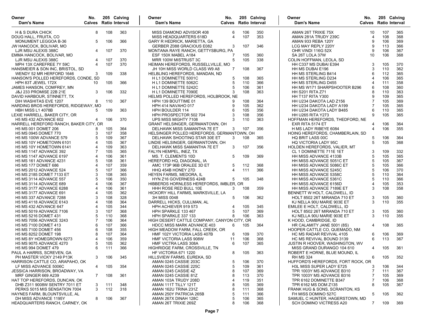| Owner<br>Dam's Name                    | No. |     | 205 Calving<br><b>Calves</b> Ratio Interval | Owner<br>205 Calving<br>No.<br>Dam's Name<br><b>Calves</b> Ratio Interval | Owner<br>Dam's Name                | No.            |     | 205 Calving<br><b>Calves</b> Ratio Interval |
|----------------------------------------|-----|-----|---------------------------------------------|---------------------------------------------------------------------------|------------------------------------|----------------|-----|---------------------------------------------|
| <b>H &amp; S DURA CHICK</b>            | 8   | 108 | 363                                         | MISS DIAMOND ADVISOR 408<br>106<br>350<br>6                               | AMAN 26T TRIXIE 75X                | 10             | 107 | 365                                         |
| DOUG HALL, FRUITA, CO                  |     |     |                                             | 353<br>MISS HEADQUARTERS 618D<br>107<br>4                                 | AMAN 281A TRUDY 239C               | 4              | 108 | 368                                         |
| MONUMENT LEGGOA B-36                   | 5   | 106 | 366                                         | GARY R HEDRICK, MARIETTA, GA                                              | AMAN 933 REBA 120Y                 | 9              | 106 | 369                                         |
| JW HANCOCK, BOLIVAR, MO                |     |     |                                             | 107<br>GERBER Z088 GRACIOUS E082<br>3<br>346                              | LCG MAY REPLY 220Y                 | 9              | 113 | 366                                         |
| LJR MSU ALEXIS 388C                    | 4   | 107 | 370                                         | MONTANA RAYE RANCH, GETTYSBURG, PA                                        | OHR VINDI 116G 52X                 | 9              | 106 | 367                                         |
| EMMA HANCOCK, BOLIVAR, MO              |     |     |                                             | 105<br>360<br>ESF 150X MABEL A184                                         | SA 26T LOLA 37W                    | 10             | 106 | 368                                         |
| LJR MSU ALEXIS 388C                    | 4   | 107 | 370                                         | 5<br>338<br>MRR 100W MISTRUST 3C<br>105                                   | COLIN HOFFMAN, LEOLA, SD           |                |     |                                             |
| MPH 13X CAREFREE 7Y 59C                | 4   | 107 | 370                                         | HEIMAN HEREFORDS, RUSSELLVILLE, MO                                        | HH C337 MS DUBAI E394              | 3              | 105 | 370                                         |
| HANSMEIER & SON INC, BRISTOL, SD       |     |     |                                             | 108<br>367<br>JH 10H MISS WORLD CLASS W9 A8<br>$\overline{7}$             | HH MS DUBAI E196                   | 3              | 110 | 362                                         |
| WENDY 52 MR HERFORD 1646               | 3   | 109 | 338                                         | HELBLING HEREFORDS, MANDAN, ND                                            | HH MS STERLING B414                | 6              | 112 | 365                                         |
| HANSON'S POLLED HEREFORDS, CONDE, SD   |     |     |                                             | H L1 DOMINETTE 5001C<br>108<br>365<br>5                                   | HH MS STERLING D234                | 4              | 106 | 365                                         |
| HPH 83T JEWEL 172X                     | 10  | 105 | 366                                         | 366<br>H L1 DOMINETTE 5062C<br>5<br>110                                   | HH MS STERLING D455                | 4              | 111 | 358                                         |
| JAMES HANSON, COMFREY, MN              |     |     |                                             | H L1 DOMINETTE 5242C<br>106<br>361<br>5                                   | HH MS W171 SHARPSHOOTER B296       | 6              | 108 | 360                                         |
| <b>J&amp;J 233 PROMISE 22B 21E</b>     | 3   | 106 | 332                                         | 363<br>3<br>108<br>H L1 DOMINETTE 7090E                                   | <b>HH S201 RITA Z71</b>            | 8              | 110 | 363                                         |
| DAVID HARBOUR, STINNETT, TX            |     |     |                                             | HELMS POLLED HEREFORDS, HOLBROOK, NE                                      | <b>HH T137 RITA Y300</b>           | 9              | 109 | 365                                         |
| DIH WASHITAS EVE 1207                  | 8   | 110 | 367                                         | HPH 139 BOUTTIME 01<br>108<br>364<br>9                                    | HH U234 DAKOTA LAD Z156            | $\overline{7}$ | 105 | 369                                         |
| HARDING BROS HEREFORDS, RIDGEWAY, MO   |     |     |                                             | HPH 414 NAVAHO 017<br>105<br>362<br>9                                     | HH U234 DAKOTA LADY A199           | $\overline{7}$ | 105 | 365                                         |
| <b>HBH MISS L1 4078B</b>               | 5.  | 109 | 363                                         | 105<br><b>HPH BOULDER 114</b><br>6<br>356                                 | HH U234 DAKOTA LADY B485           | 6              | 110 | 365                                         |
| LEXIE HARRELL, BAKER CITY, OR          |     |     |                                             | 3<br>108<br>356<br>HPH PROSPECTOR 502 704                                 | <b>HH U265 RITA Y273</b>           | 9              | 105 | 365                                         |
| <b>H5 MS 432 ADVANCE 602</b>           | 4   | 106 | 370                                         | UPS MISS MIGHTY 7108<br>3<br>110<br>363                                   | HOFFMAN HEREFORDS, THEDFORD, NE    |                |     |                                             |
| HARRELL HEREFORD RANCH, BAKER CITY, OR |     |     |                                             | GRANT HELSINGER, GERMANTOWN, OH                                           | EXR RITA 5174 ET                   | 4              | 106 | 364                                         |
| <b>H5 MS 001 DOMET 206</b>             |     | 105 | 364                                         | DELHAWK MISS SAMANTHA 7E ET<br>107<br>356<br>3                            | H MS LADY RIBEYE 6084              | $\overline{4}$ | 106 | 355                                         |
| H5 MS 0945 DOMET 770                   |     | 107 | 358                                         | HELSINGER POLLED HEREFORDS, GERMANTOWN, OH                                | HOING HEREFORDS, CHAMBERLAIN, SD   |                |     |                                             |
| H5 MS 100W ADVANCE 579                 |     | 109 | 367                                         | DELHAWK SHOOTING STAR 30E ET<br>3<br>108<br>365                           | HQ BRIT LASS 00C                   | 5              | 106 | 364                                         |
| H5 MS 10Y HOMETOWN 6101                |     | 105 | 367                                         | LINDIE HELSINGER, GERMANTOWN, OH                                          | <b>HQ VICTORIA LADY 95C</b>        | 5              | 105 | 368                                         |
| H5 MS 10Y HOMETOWN 6141                |     | 109 | 363                                         | 107<br>DELHAWK MISS SAMANTHA 7E ET<br>356<br>3                            | HOLDEN HEREFORDS, VALIER, MT       |                |     |                                             |
| <b>H5 MS 1147 ADVANCE 392</b>          |     | 105 | 365                                         | FALYN HEMPEL, INEZ, TX                                                    | CL 1 DOMINETTE 711E 1ET            | 3              | 109 | 332                                         |
| <b>H5 MS 1147 ADVANCE 6197</b>         | 4   | 106 | 361                                         | 109<br>MS. T. CLEMENTS 10D<br>5<br>369                                    | HH MISS ADVANCE 4133B              | 5              | 105 | 365                                         |
| <b>H5 MS 161 ADVANCE 4231</b>          | 5   | 108 | 361                                         | HEREFORD HQ, DIAGONAL, IA                                                 | HH MISS ADVANCE 5051C ET           | 5              | 105 | 367                                         |
| <b>H5 MS 177 DOMET 686</b>             |     | 107 | 359                                         | 5<br>112<br>368<br>AMC 173P 96B ORALEE 3D ET                              | HH MISS ADVANCE 5086C ET           | 5              | 105 | 366                                         |
| <b>H5 MS 2012 ADVANCE 524</b>          |     | 107 | 366                                         | 111<br>366<br>HHQ 454B HONEY 27D<br>$\Delta$                              | HH MISS ADVANCE 5245C              |                | 106 | 370                                         |
| H5 MS 2185 DOMET 7133 ET               |     | 108 | 365                                         | HEYEN FARMS, MEDORA, IL                                                   | HH MISS ADVANCE 5358C              |                | 110 | 364                                         |
| <b>H5 MS 3114 ADVANCE 557</b>          |     | 106 | 350                                         | 105<br>HYN Z16 GOVERNESS 424B<br>348<br>5                                 | HH MISS ADVANCE 5361C              | 5              | 110 | 366                                         |
| <b>H5 MS 3114 ADVANCE 689</b>          |     | 106 | 367                                         | HIBBERDS HORNLESS HEREFORDS, IMBLER, OR                                   | HH MISS ADVANCE 6156D              | 4              | 105 | 353                                         |
| H5 MS 3177 ADVANCE 6288                |     | 106 | 361                                         | HHH ROSE RED BULL 10E<br>3<br>108<br>359                                  | HH MISS ADVANCE 7189E ET           | 3              | 108 | 358                                         |
| <b>H5 MS 3177 ADVANCE 691</b>          |     | 105 | 362                                         | HICKORY HILL FARMS, MARKSVILLE, LA                                        | BENNETT W HOLT, CALDWELL, ID       |                |     |                                             |
| <b>H5 MS 337 ADVANCE 7288</b>          |     | 108 | 328                                         | 3H MISS 0048<br>106<br>362<br>5                                           | HOLT 8502 26T MIRANDA 710 ET       | 3              | 105 | 360                                         |
| H5 MS 4118 ADVANCE 6143                |     | 108 | 364                                         | DARRELL HICKS, CULLMAN, AL                                                | KJ NELLA 90U MARIE 903E ET         | 3              | 110 | 355                                         |
| <b>H5 MS 432 ADVANCE 647</b>           |     | 105 | 344                                         | HPH ACHIEVER 919 573<br>105<br>345<br>4                                   | EMILEE E HOLT, CALDWELL, ID        |                |     |                                             |
| H5 MS 5019 ADVANCE 7106                |     | 107 | 368                                         | 107<br>HPH SPARKLE 133 467<br>5<br>369                                    | HOLT 8502 26T MIRANDA 710 ET       | 3              | 105 | 360                                         |
| H5 MS 5216 DOMET 431                   |     | 110 | 368                                         | HPH SPARKLE 337 133<br>106<br>363<br>8                                    | KJ NELLA 90U MARIE 903E ET         | 3              | 110 | 355                                         |
| H5 MS 7056 ADVANCE 3243                |     | 106 | 364                                         | HIGH DESERT CATTLE COMPANY, CANYON CITY, OR                               | K HOOD, CAMBRIDGE, ID              |                |     |                                             |
| H5 MS 7100 DOMET 413                   |     | 107 | 366                                         | <b>HDCC MISS MARK ADVANCE 403</b><br>364<br>6<br>105                      | HR CALAMITY JANE 5001 (8S)         | 4              | 108 | 365                                         |
| H5 MS 7100 DOMET 456                   | 6   | 108 | 355                                         | HIGH MEADOW FARM, FALL CREEK, OR                                          | HOOPER CATTLE CO, QUEMADO, NM      |                |     |                                             |
| H5 MS 8252 DOMET 198                   |     | 107 | 364                                         | HMF 102Y VICTORIA LASS 407B<br>109<br>370<br>6                            | HC MS RADAR REVIVAL 4105           | 6              | 106 | 369                                         |
| H5 MS 8Y HOMEGROWN 6273                |     | 106 | 359                                         | <b>HMF VICTORIA LASS 908W</b><br>368<br>11<br>106                         | HC MS REVIVAL BOUND 3139           | 6              | 113 | 367                                         |
| <b>H5 MS 9075 ADVANCE 4270</b>         | 5   | 105 | 362                                         | 107<br>365<br>6<br><b>HMF VICTRA LASS 308A</b>                            | JUSTIN R HOOVER, WASHINGTON, WV    |                |     |                                             |
| H5 MS 994 DOMET 479                    | 6   | 111 | 366                                         | HIGHRIDGE FARM, CROSSVILLE, TN                                            | MISS GRAND DURANGO 104 610         | 4              | 105 | 361                                         |
| PAUL A HARRIS, SCREVEN, GA             |     |     |                                             | 8 105<br>363<br>HF VICTORIA 671 1220                                      | ROBERT E HORNE, BLUE MOUND, IL     |                |     |                                             |
| PH MASTER VICKY 2149 P13K              | 3   | 106 | 345                                         | HILLSVIEW FARMS, EUREKA, SD                                               | <b>RH MS 324</b>                   | 6              | 105 | 352                                         |
| HARRISON CATTLE CO, ARAPAHO, OK        |     |     |                                             | AMAN 0245 CASSIE 203C<br>5<br>370<br>106                                  | HUFFORD'S HEREFORDS, FORT ROCK, OR |                |     |                                             |
| LF MISS ADVANCE 5006C                  | 4   | 105 | 354                                         | AMAN 0245 CASSIE 225C<br>109<br>361<br>5                                  | H3L MISS SUPER LADY E725           | 3              | 106 | 344                                         |
| JESSICA HARRISON, BROADWAY, VA         |     |     |                                             | AMAN 0245 CASSIE 4Z<br>369<br>8<br>107                                    | TPR 1003Y MS ADVANCE B310          | 7              | 111 | 367                                         |
| MRF GINGER 669 A239                    | 7   | 108 | 361                                         | AMAN 0245 CASSIE 81Z<br>8<br>113<br>370                                   | TPR 1003Y MS ADVANCE B316          | 7              | 105 | 369                                         |
| HAT TOP HEREFORDS, DUNCAN, OK          |     |     |                                             | 351<br>AMAN 103A TRUDY 208D<br>119                                        | TPR 6162 DOMINETTE B347            | $\overline{7}$ | 106 | 368                                         |
| DHB Z311 9008W SENTRY 7011 ET          | 3   | 111 | 348                                         | AMAN 111T TILLY 121T<br>8<br>105<br>369                                   | TPR 6162 MS DOM Z135               | 8              | 105 | 367                                         |
| PERKS 5015 MIS SENSATION 7004          | 3   | 112 | 318                                         | AMAN 162U TRINA 231Z<br>368<br>8<br>111                                   | FRANK HUG & SONS, SCRANTON, KS     |                |     |                                             |
| HAYNES FARM, BLOUNTSVILLE, AL          |     |     |                                             | AMAN 250Y PATRICIA 265B<br>5<br>111<br>366                                | FH MISS DOMINO 527C                | 5              | 105 | 362                                         |
| DH MISS ADVANCE 1195Y                  | 8   | 106 | 367                                         | AMAN 267X DINAH 128C<br>5<br>106<br>365                                   | SAMUEL C HUNTER, HAGERSTOWN, MD    |                |     |                                             |
| HEADQUARTERS RANCH, CARNEY, OK         |     |     |                                             | AMAN 26T TRIXIE 269Z<br>8<br>106<br>368                                   | SCH DOMINO VICTRESS A20            | $\overline{7}$ | 109 | 369                                         |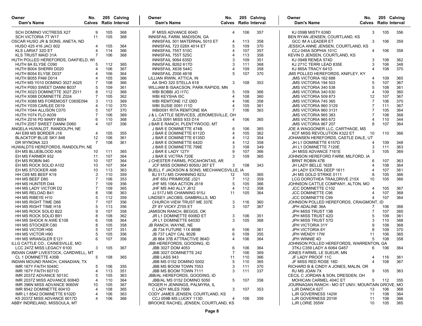| Owner<br>Dam's Name                            | No.            |            | 205 Calving<br><b>Calves</b> Ratio Interval | Owner<br>Dam's Name                               | No.            |            | 205 Calving<br><b>Calves</b> Ratio Interval | Owner<br><b>Dam's Name</b>                                       | No.<br><b>Calves</b> Ratio Interval | 205 Calving |            |
|------------------------------------------------|----------------|------------|---------------------------------------------|---------------------------------------------------|----------------|------------|---------------------------------------------|------------------------------------------------------------------|-------------------------------------|-------------|------------|
| SCH DOMINO VICTRESS X27                        | 9              | 105        | 368                                         | IF MISS ADVANCE 604D                              | 4              | 106        | 357                                         | KJ 059B MISTY 639D                                               | 3                                   | 105         | 356        |
| SCH VICTORIA 7T W17                            | 11             | 105        | 368                                         | INNISFAIL FARM, MADISON, GA                       |                |            |                                             | BEN RYAN JENSEN, COURTLAND, KS                                   |                                     |             |            |
| OSCAR HUSO JR & SONS, ANETA, ND                |                |            |                                             | INNISFAIL 501 MATERNAL 5010 ET                    | 4              | 113        | 358                                         | <b>GCC IM A LEADER ET</b>                                        | 3                                   | 106         | 359        |
| HUSO 425 416 JACI 602                          | $\overline{4}$ | 105        | 364                                         | <b>INNISFAIL 723 028X 4014 ET</b>                 | 5              | 109        | 370                                         | JESSICA ANNE JENSEN, COURTLAND, KS                               |                                     |             |            |
| <b>KLS LARIAT 32D ET</b>                       | 4              | 114        | 366                                         | INNISFAIL 755T 510C                               | 4              | 107        | 357                                         | CCJ 045A SOPHIA 101C                                             | 4                                   | 106         | 358        |
| <b>KLS TRUST MAID 31A</b>                      | $\overline{7}$ | 106        | 368                                         | INNISFAIL 755T 525C                               | 4              | 113        | 358                                         | KEVIN D JENSEN, COURTLAND, KS                                    |                                     |             |            |
| HUTH POLLED HEREFORDS, OAKFIELD, WI            |                |            |                                             | INNISFAIL 9064 635D                               | 3              | 109        | 351                                         | KJ 094B RENEA 574D                                               | 3                                   | 108         | 362        |
| HUTH 8A ELYSE C090                             |                | 112        | 365                                         | INNISFAIL B262 617D                               | 3              | 111        | 368                                         | KJ 271C TERRI LEAD 835E                                          | 3                                   | 106         | 348        |
| HUTH B004 SHERRI D020<br>HUTH B054 ELYSE D037  |                | 106<br>106 | 367<br>364                                  | INNISFAIL X638 544C                               | 5              | 109<br>107 | 358<br>370                                  | KJ 865A TRACY 641D                                               |                                     | 108         | 370        |
| HUTH B055 PAM D014                             |                | 105        | 366                                         | INNISFAIL Z006 481B<br>LILLIAN IRWIN, ATTICA, IN  |                |            |                                             | JMS POLLED HEREFORDS, KNIFLEY, KY<br><b>JMS VICTORIA 162 688</b> | 4                                   | 109         | 365        |
| HUTH MS Y010 DOMINO 3027 A025                  |                | 108        | 366                                         | AA SHO 320 STELLA 618                             | 3              | 108        | 353                                         | <b>JMS VICTORIA 194 503</b>                                      | 5                                   | 107         | 367        |
| HUTH P093 SWEET DANNI B037                     | 5              | 109        | 361                                         | WILLIAM B ISAACSON, PARK RAPIDS, MN               |                |            |                                             | <b>JMS VICTORIA 340 538</b>                                      | 5                                   | 108         | 361        |
| HUTH X023 DOMINETTE 3027 Z011                  | 8              | 112        | 366                                         | WBI BOBBI JO 117C                                 | 5              | 109        | 366                                         | JMS VICTORIA 340 630                                             | 4                                   | 109         | 360        |
| HUTH X088 DOMINETTE Z024                       | 7              | 105        | 362                                         | WBI KEYSHA I5C                                    | 4              | 108        | 360                                         | <b>JMS VICTORIA 509 873</b>                                      | 12                                  | 107         | 367        |
| HUTH X088 MS FOREMOST C065E094                 | 3              | 113        | 369                                         | WBI REMTONE I1Z I26D                              | 4              | 106        | 358                                         | <b>JMS VICTORIA 745 365</b>                                      | 7                                   | 106         | 370        |
| HUTH Y039 CARLEE D019                          |                | 110        | 370                                         | <b>WBI SUSIE 0091 I11D</b>                        |                | 105        | 361                                         | <b>JMS VICTORIA 960 3129</b>                                     | 7                                   | 111         | 367        |
| HUTH Y044 ALLISON C070                         | 5              | 107        | 370                                         | WBI0091 RITA REMTONE I6A                          | 7              | 106        | 363                                         | <b>JMS VICTORIA 960 3131</b>                                     |                                     | 105         | 364        |
| HUTH Y074 FLO A039                             |                | 106        | 369                                         | J & L CATTLE SERVICES, JEROMESVILLE, OH           |                |            |                                             | <b>JMS VICTORIA 965 383</b>                                      |                                     | 108         | 368        |
| HUTH Z016 PD MARY B004                         | 6              | 110        | 368                                         | JLCS 0091 MISS 933 D14                            | 4              | 106        | 365                                         | <b>JMS VICTORIA 965 672</b>                                      | 4                                   | 110         | 344        |
| HUTH Z057 SWEET DANNI D060                     | 4              | 107        | 356                                         | J BAR E RANCH, PLENTYWOOD, MT                     |                |            |                                             | <b>JMS VICTORIA 967 207</b>                                      | 8                                   | 107         | 364        |
| ANGELA HUWALDT, RANDOLPH, NE                   |                |            |                                             | J BAR E DOMINETTE 474B                            | 6              | 106        | 365                                         | JOE A WAGGONER LLC, CARTHAGE, MS                                 |                                     |             |            |
| AH E89 MS BORDER J16                           | 4              | 105        | 355                                         | J BAR E DOMINETTE 6112D                           | $\overline{4}$ | 105        | 362                                         | <b>KCF MISS REVOLUTION X322 ET</b>                               | 10                                  | 110         | 366        |
| <b>BLACKTOP BLUE SKY 848</b>                   | 12             | 106        | 361                                         | J BAR E DOMINETTE 6135D                           | 4              | 112        | 354                                         | JOHANSEN HEREFORDS, CASTLE DALE, UT                              |                                     |             |            |
| DR WYNONA 323                                  | 7              | 108        | 361                                         | J BAR E DOMINETTE 642D                            |                | 112        | 358                                         | JH L1 DOMINETTE 6157D                                            | 4                                   | 109         | 348        |
| HUWALDTS HEREFORDS, RANDOLPH, NE               |                |            |                                             | J BAR E DOMINETTE 799E                            | 3              | 108        | 349                                         | JH L1 DOMINETTE 7120E                                            | 3                                   | 111         | 363        |
| EH MS BLUEBLOOD A56                            | 10             | 111        | 365                                         | J BAR E LADY 127Y                                 |                | 107        | 366                                         | JH MISS ADVANCE 7161E                                            |                                     | 105         | 369        |
| EH MS FARMER 932                               | 11             | 107        | 364                                         | J BAR E VICTRA 720E                               | 3              | 109        | 365                                         | JOHNSON HEREFORD FARM, MILFORD, IA                               |                                     |             |            |
| EH MS ROBIN 940                                | 10             | 107        | 364                                         | J CHESTER FARMS, POCAHONTAS, AR                   |                |            |                                             | <b>BRNT ROBIN 47B</b>                                            |                                     | 107         | 363        |
| EH MS ROCK SOLID A102                          | 10             | 107        | 364                                         | JCF MISS DOMINO 8050U 267 ET                      | 3              | 108        | 343                                         | JH LADY BELLE 1628                                               | 4                                   | 108         | 364        |
| EH MS STOCKER A98                              | 10             | 113        | 363                                         | BUELL F JACKSON & SONS, MECHANICSVILLE, IA        |                |            |                                             | JH LADY EXTRA DEEP 1611                                          | 4                                   | 107         | 361        |
| HH C69 MS BEEF K19                             | 3              | 110        | 359                                         | BJ 517J MS CHANNING 823J                          | 12             | 105        | 365                                         | JH MS GOLD STRIKE 0111                                           | 8                                   | 105         | 366        |
| HH MS BEEF D80                                 |                | 106        | 353                                         | JHF 65U PRIMROSE J321                             | 7              | 112        | 359                                         | LCG DOROTHEA TRAILDRIVE 215X                                     | 10                                  | 105         | 366        |
| HH MS HUNTER D44                               |                | 109        | 356                                         | JHF MS 106A ACTION J518                           | 5              | 105        | 366                                         | JOHNSON CATTLE COMPANY, ALTON, MO                                |                                     |             |            |
| HH MS LADY VICTOR D2                           |                | 109        | 365                                         | JHF MS A40 ALLY J612                              | $\overline{4}$ | 112        | 358                                         | <b>JCC DOMINETTE C102</b>                                        | 4                                   | 105         | 367        |
| HH MS RELOAD B41                               | 8              | 106        | 363                                         | JJ 517J MS CHANNING 915J                          | 11             | 105        | 364                                         | <b>JCC DOMINETTE C96</b>                                         | 4                                   | 107         | 368        |
| HH MS RIBEYE H10                               | 5              | 112        | 359                                         | LINDSEY JACOBS, GAMBRILLS, MD                     |                |            |                                             | <b>JCC DOMINETTE C99</b>                                         |                                     | 107         | 364        |
| HH MS RIGHT TIME D66                           |                | 107        | 356                                         | CHURCH VIEW TRUST ME 337E                         | 3              | 116        | 360                                         | JOHNSON POLLED HEREFORDS, CRAIGMONT, ID                          |                                     |             |            |
| HH MS RIGHT TIME H18                           | 5              | 113        | 356                                         | ZF 8Y VICKY Z705 ET                               | 3              | 107        | 367                                         | JPH ADALINE 36A                                                  |                                     | 106         | 366        |
| HH MS ROCK SOLID B22                           |                | 107        | 358<br>362                                  | JAMISON RANCH, BEGGS, OK                          | 3              |            |                                             | JPH MISS TRUST 13B                                               | 5                                   | 107<br>109  | 365        |
| HH MS ROCK SOLID B91<br>HH MS SHOCK N AWE E108 | 6              | 108<br>108 | 364                                         | JR L1 DOMINETTE 6006D ET<br>JR L1 DOMINETTE 6403D | 3              | 106<br>105 | 351<br>368                                  | JPH MISS TRUST 42D<br>JPH MISS TRUST 57D                         |                                     | 110         | 361<br>368 |
| HH MS STOCKER C80                              |                | 105        | 358                                         | <b>JB RANCH, WAYNE, NE</b>                        |                |            |                                             | <b>JPH VICTORIA 31Y</b>                                          |                                     | 108         | 368        |
| HH MS VICTOR H56                               | 5              | 107        | 351                                         | <b>JB 734 FUTURE 11X 889B</b>                     | 6              | 106        | 361                                         | <b>JPH VICTORIA 6Y</b>                                           | 8                                   | 109         | 370        |
| HH MS VICTOR H90                               | 5              | 105        | 356                                         | JB 737 LADY CAL 902B                              | 6              | 109        | 355                                         | JPH WENDY 17W                                                    | 11                                  | 106         | 365        |
| HH MS WRANGLER E121                            | 6              | 107        | 356                                         | JB 864 37B ATTRACTIVE 964D                        | 4              | 106        | 364                                         | JPH WINNIE 4D                                                    | 5                                   | 108         | 358        |
| ILLG CATTLE CO., CAINESVILLE, MO               |                |            |                                             | JBB HEREFORDS, GOODING, ID                        |                |            |                                             | JOHNSON POLLED HEREFORDS, WARRENTON, GA                          |                                     |             |            |
| LCC 247Z MISS LEGACY 6100                      | 3              | 105        | 367                                         | JBB 3027 DOM 4053                                 | 6              | 106        | 364                                         | 3TKJ C359 LADY A 6064 G457                                       | 6                                   | 106         | 364        |
| INDIAN CAMP LIVESTOCK, CARDWELL, MT            |                |            |                                             | JBB 3027 DOMINETTE 242                            |                | 106        | 369                                         | JONES FARMS, LE SUEUR, MN                                        |                                     |             |            |
| CL 1 DOMINETTE 435B                            | 5              | 108        | 365                                         | JBB LASS 943                                      | 11             | 110        | 366                                         | JF LADY PROOF 11C                                                | 4                                   | 116         | 361        |
| INDIAN MOUND RANCH, CANADIAN, TX               |                |            |                                             | <b>JBB MS 0152 DOMINO 5002</b>                    | 5              | 110        | 365                                         | JF MISS RED ROSE 18D                                             | $\overline{\mathcal{A}}$            | 108         | 367        |
| <b>IMR 167Y FAITH 5049C</b>                    | 5              | 106        | 355                                         | JBB MS BOOM TOWN 7053                             | 3              | 111        | 370                                         | RICHARD B & CINDY A JONES, MALIN, OR                             |                                     |             |            |
| <b>IMR 167Y FAITH 6071D</b>                    | 4              | 113        | 351                                         | JBB MS BOOM TOWN 7111                             | 3              | 111        | 337                                         | RJ MS JOAN 7X                                                    | 9                                   | 105         | 363        |
| IMR 2037Z ADVANCE 5013C                        | 5              | 105        | 363                                         | JBB/AL HEREFORDS, GOODING, ID                     |                |            |                                             | CECIL C JORDAN & SON, DRESDEN, OH                                |                                     |             |            |
| IMR 2037Z MISS ADVANCE 6084D                   | 4              | 110        | 364                                         | JBB/AL MS 0152 DOMINO 5050                        | 5              | 107        | 358                                         | <b>MOHICAN CARMEL 404C ET</b>                                    | 5                                   | 112         | 355        |
| IMR 396N MISS ADVANCE 9060W                    | 10             | 105        | 367                                         | ROGER H JENNINGS, PALMYRA, IL                     |                |            |                                             | JOURNAGAN RANCH - MO ST UNIV. MOUNTAIN GROVE, MO                 |                                     |             |            |
| IMR 8542 DOMINETTE 6041D                       | 4              | 108        | 365                                         | C LADY MILES 7068                                 | 3              | 107        | 353                                         | LJR DANICA 62T                                                   | 13                                  | 106         | 368        |
| IMR L1 8542 DOMINETTE 6102D                    | 4              | 106        | 363                                         | CODY JAMES JENSEN, COURTLAND, KS                  |                |            |                                             | <b>LJR GOVERNESS 142W</b>                                        | 11                                  | 108         | 364        |
| K5 2037Z MISS ADVANCE 6017D                    | 4              | 106        | 366                                         | CCJ 059B MS LUCKY 113D                            | 4              | 106        | 359                                         | LJR GOVERNESS 201W                                               | 11                                  | 108         | 366        |
| ABBY INDRELAND, MISSOULA, MT                   |                |            |                                             | BROOKE RACHEL JENSEN, COURTLAND, KS               |                |            |                                             | LJR LORIE 355W                                                   | 10                                  | 105         | 365        |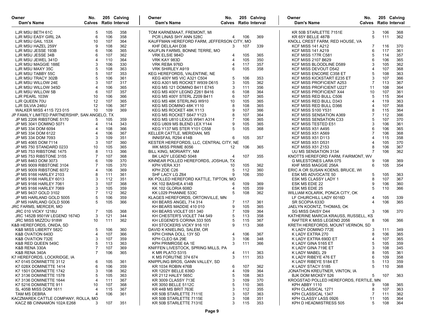| Owner<br>Dam's Name                                               | No.            |            | 205 Calving<br><b>Calves</b> Ratio Interval | Owner<br>Dam's Name                                                | No.            |            | 205 Calving<br><b>Calves</b> Ratio Interval | Owner<br>Dam's Name                                      | No.<br><b>Calves</b> Ratio Interval | 205 Calving |            |
|-------------------------------------------------------------------|----------------|------------|---------------------------------------------|--------------------------------------------------------------------|----------------|------------|---------------------------------------------|----------------------------------------------------------|-------------------------------------|-------------|------------|
| LJR MSU BETH 61C                                                  | 5              | 105        | 358                                         | TOM KARNEMAAT, FREMONT, MI                                         |                |            |                                             | KR 50B STARLETTE 7151E                                   | 3                                   | 106         | 368        |
| LJR MSU EASY GIRL 2A                                              | 6              | 106        | 358                                         | PCR LINAS SHY ANN 528C                                             | 4              | 106        | 369                                         | KR 65Y BELLE 487B                                        | 5                                   | 111         | 362        |
| LJR MSU GAIL 153X                                                 | 10             | 107        | 364                                         | KAUFFMAN HEREFORD FARM, JEFFERSON CITY, MO                         |                |            |                                             | KNOLL CREST FARM, RED HOUSE, VA                          |                                     |             |            |
| LJR MSU HAZEL 259Y                                                | 9              | 108        | 362                                         | KHF DELILAH D38                                                    | 3              | 107        | 339                                         | <b>KCF MISS 141 A212</b>                                 | 7                                   | 116         | 370        |
| LJR MSU JESSE 193B                                                | 6              | 106        | 365                                         | KAUFLIN FARMS, BONNE TERRE, MO                                     |                |            |                                             | <b>KCF MISS 141 A219</b>                                 | 6                                   | 117         | 361        |
| LJR MSU JESSE 34B                                                 | 6              | 107        | 362                                         | VRK ELSIE 984D                                                     | 4              | 105        | 365                                         | <b>KCF MISS 177R C581</b>                                | 5                                   | 114         | 357        |
| LJR MSU JEWEL 341D                                                | $\overline{4}$ | 110        | 364                                         | VRK KAY 983D                                                       | $\overline{4}$ | 105        | 350                                         | <b>KCF MISS 2107 B629</b>                                | 6                                   | 106         | 365        |
| LJR MSU MAGGIE 188E                                               | 3              | 106        | 330                                         | VRK REBA 976D                                                      | $\overline{4}$ | 117        | 357                                         | KCF MISS BLOODLINE D589                                  |                                     | 105         | 362        |
| LJR MSU MAXY 35C                                                  | 5<br>5         | 108        | 363                                         | <b>VRK SHIRLEY A919</b>                                            | 6              | 105        | 358                                         | KCF MISS DEVOUT D542                                     |                                     | 107         | 368        |
| LJR MSU TABBY 55C                                                 | 5              | 107        | 353                                         | KEG HEREFORDS, VALENTINE, NE                                       |                |            |                                             | <b>KCF MISS ENCORE C358 ET</b>                           |                                     | 108         | 363        |
| LJR MSU TRACY 302B<br>LJR MSU WILLOW 24E                          | 3              | 106<br>107 | 361                                         | <b>KEG 400Y MS VIC A321 C504</b>                                   | 5<br>3         | 106<br>105 | 353<br>362                                  | KCF MISS KICKSTART E235 ET                               | 3<br>$\overline{7}$                 | 107<br>113  | 366<br>367 |
|                                                                   | $\overline{4}$ | 106        | 317<br>365                                  | KEG A301 MS ROCKET W939 D615<br><b>KEG MS 121 DOMINO B411 E745</b> |                | 111        | 356                                         | <b>KCF MISS PROFICIENT A253</b>                          | 11                                  | 108         | 364        |
| LJR MSU WILLOW 345D                                               | 6              |            |                                             |                                                                    | 3<br>6         |            |                                             | <b>KCF MISS PROFICIENT U227</b>                          | 10                                  | 107         |            |
| LJR MSU WILLOW 5B<br>LJR PEARL 103W                               | 10             | 107<br>106 | 357<br>366                                  | KEG MS 400Y LEGND Z261 B416<br>KEG MS 400Y STERL Z209 B411         | 6              | 108<br>107 | 364<br>365                                  | <b>KCF MISS PROFICIENT X44</b><br>KCF MISS RED BULL C506 | 5                                   | 115         | 361<br>364 |
| LJR QUEEN 70U                                                     | 12             | 107        | 365                                         | KEG MS 48K STERLING W910                                           | 10             | 105        | 365                                         | KCF MISS RED BULL D343                                   | 4                                   | 119         | 363        |
| LJR SILVIA 246U                                                   | 12             | 106        | 367                                         | KEG MS DOMINO 48K Y110                                             | 8              | 108        | 365                                         | KCF MISS RED BULL D366                                   |                                     | 107         | 368        |
| <b>WALKER MISS 411S 723 015</b>                                   | 10             | 109        | 369                                         | KEG MS ROCKET 48K Y113                                             | 9              | 107        | 366                                         | <b>KCF MISS S100 Y531</b>                                |                                     | 115         | 364        |
| JP FAMILY LIMITED PARTNERSHIP, SAN ANGELO, TX                     |                |            |                                             | KEG MS ROCKET S647 Y123                                            | 8              | 107        | 364                                         | <b>KCF MISS SENSATION A369</b>                           |                                     | 112         | 366        |
| JP MS 2206 RIBSTONE 5170                                          | 5              | 105        | 359                                         | KEG MS U810 LEXUS W941 A314                                        | 7              | 106        | 365                                         | <b>KCF MISS SENSATION C33</b>                            |                                     | 107         | 370        |
| JP MS 3041 DOMINO 5071                                            | 4              | 114        | 343                                         | KEG U809 MS BLEND LEX Y144                                         | 9              | 105        | 365                                         | KCF MISS TESTED E51                                      |                                     | 106         | 361        |
| JP MS 334 DOM 6094                                                | 4              | 108        | 366                                         | KEG Y137 MS STER Y101 C558                                         | 5              | 105        | 368                                         | <b>KCF MISS X51 A495</b>                                 | 6                                   | 106         | 365        |
| JP MS 334 DOM 6122                                                | $\overline{4}$ | 106        | 367                                         | KELLER CATTLE, MERIDIAN, MS                                        |                |            |                                             | <b>KCF MISS X51 A569</b>                                 |                                     | 106         | 368        |
| JP MS 334 DOM 7093                                                | 3              | 109        | 351                                         | INNISFAIL R294 414B                                                | 6              | 105        | 357                                         | KCF MISS X51 D113                                        | $\overline{4}$                      | 115         | 358        |
| JP MS 4065 DOM 7114                                               | 3              | 107        | 360                                         | KESTER HEREFORDS, LLC, CENTRAL CITY, NE                            |                |            |                                             | <b>KCF MISS X51 D531</b>                                 | 4                                   | 105         | 370        |
| JP MS 750 STANDARD 0233                                           | 10             | 105        | 365                                         | WK MISS PRIME 8056                                                 | 12             | 106        | 365                                         | <b>KCF MISS X51 Z153</b>                                 |                                     | 106         | 367        |
| JP MS 753 RIBSTONE 1475                                           | 8              | 113        | 366                                         | BILL KING, MORIARTY, NM                                            |                |            |                                             | UU MS SENSATION 3134                                     |                                     | 106         | 362        |
| JP MS 753 RIBSTONE 3155                                           | $\overline{7}$ | 107        | 368                                         | BK LADY LEGEND 5048                                                | 4              | 107        | 355                                         | KNOTTS HEREFORD FARM, FAIRMONT, WV                       |                                     |             |            |
| JP MS 8463 DOM 3073                                               | 6              | 109        | 370                                         | KINNEAR POLLED HEREFORDS, JOSHUA, TX                               |                |            |                                             | G MILESTONES LARA 075                                    | 9                                   | 108         | 369        |
| JP MS 9009 RIBSTONE 3104                                          | 7              | 105        | 370                                         | KPH VERA X31                                                       | 10             | 105        | 362                                         | KHF MISS MAGGIE 256A                                     | 6                                   | 105         | 354        |
| JP MS 9009 RIBSTONE 6072                                          | 4              | 106        | 369                                         | KPH ZOE C26                                                        | 5              | 112        | 360                                         | ERIC A OR SUSAN KOENS, BRUCE, WI                         |                                     |             |            |
| JP MS 9166 HARLEY 2103                                            | 8              | 111        | 361                                         | SHF LACY LG Z64                                                    |                | 106        | 350                                         | ESK MS ADVOCATE 50                                       | 5                                   | 105         | 363        |
| JP MS 9166 HARLEY 6013                                            | 3              | 112        | 351                                         | KK POLLED HEREFORD KATTLE, TIPTON, MO                              |                |            |                                             | ESK MS CLASSY LADY 1                                     | 8                                   | 107         | 367        |
| JP MS 9166 HARLEY 7061                                            | 3              | 107        | 368                                         | KK 102 BASHEA 414B                                                 | 6              | 109        | 369                                         | ESK MS EDIE 22                                           |                                     | 106         | 360        |
| JP MS 9166 HARLEY 7069                                            | 3              | 105        | 359                                         | KK 102 GLORIA 608D                                                 | 4              | 105        | 359                                         | ESK MS EDIE 25                                           | 5                                   | 110         | 366        |
| JP MS 9437 GOLD 3102                                              | 7              | 112        | 362                                         | KK L029 PHANNIE 533C                                               | 5              | 108        | 362                                         | WILLIAM KOLARIK, PONCA CITY, OK                          |                                     |             |            |
| JP MS HARLAND GOLD 5005                                           | 5              | 106        | 359                                         | KLAGES HEREFORDS, ORTONVILLE, MN                                   |                |            |                                             | LF CHURCHILL LADY 6016D                                  | 4                                   | 105         | 339        |
| JP MS HARLAND GOLD 5006                                           | 5              | 105        | 366                                         | KH BEARS ANGEL 714 314                                             | 7              | 117        | 361                                         | SR SCOPIA 633D                                           | $\overline{4}$                      | 106         | 365        |
| JRC FARMS, MERCER, MO                                             |                |            |                                             | KH BEARS MADDIE 410 010                                            | 9              | 105        | 365                                         | JAELYN KOONTZ, THOMAS, OK                                |                                     |             |            |
| <b>JRC 010 VICKY 1218U</b>                                        | 7              | 105        | 368                                         | KH BEARS VIOLET 051 340                                            | $\overline{7}$ | 109        | 364                                         | SG MISS DAISY D44                                        | 3                                   | 106         | 370        |
| JRC 1452B 9501W LEGEND 1674D                                      | 3              | 121        | 344                                         | KH CHESTER'S VIOLET 744 549                                        | 5              | 113        | 358                                         | KATHERINE MARCIA KRAUSS, RUSSELL, KS                     |                                     |             |            |
| <b>JRC MISS MIZZOU 918W</b>                                       | 10             | 111        | 362                                         | KH LEGEND'S CORINA 333 505                                         | 5              | 115        | 367                                         | RAFTER K MISS LEGEND 2056                                | 8                                   | 106         | 366        |
| K&B HEREFORDS, ONIDA, SD                                          |                |            |                                             | KH STOCKERS VICKY 916 101                                          | 9              | 113        | 368                                         | KRETH HEREFORDS, MOUNT VERNON, SD                        |                                     |             |            |
| K&B MISS LIBERTY 582C                                             | 5              | 106        | 360                                         | DAVID K KNIELING, SALEM, OR                                        |                |            |                                             | K LADY DOMINO 772E                                       | 3                                   | 111         | 349        |
| K&B OVATION 640D                                                  | 4              | 107        | 366                                         | KPH CHINA DOLL 13Y 5D                                              | 4              | 106        | 367                                         | K LADY EXTRA 270                                         | 8                                   | 106         | 365        |
| K&B OVATION 732E                                                  | 3              | 107        | 359                                         | KPH CLEO 6A 29E                                                    | 3              | 106        | 348                                         | K LADY EXTRA 690D ET                                     | $\overline{4}$                      | 107         | 365        |
| K&B RED QUEEN 549C                                                | 5              | 113        | 363                                         | KPH PRIMROSE 6A 1E                                                 | 3              | 111        | 366                                         | K LADY GINA 5165 ET                                      | 5                                   | 105         | 359        |
| K&B RENA 330A                                                     | $\overline{7}$ | 107        | 369                                         | KNIFFEN LIVESTOCK, SPRING MILLS, PA                                |                |            |                                             | K LADY GINA 719E ET                                      | 3                                   | 108         | 345        |
| K&B RENA 340A                                                     | $\overline{7}$ | 106        | 365                                         | K MR PLATO 5315                                                    |                | 4 111      | 363                                         | K LADY MABEL 29                                          | 8                                   | 105         | 361        |
| K7 HEREFORDS, LOCKRIDGE, IA                                       |                |            |                                             | K MS FORUTNE 374 674                                               | 3              | 111        | 353                                         | K LADY RIBEYE 476 ET                                     | 6                                   | 109         | 358        |
| K7 0145 DOMINETTE 3112                                            | 6              | 105        | 361                                         | KNIPPLING BROS, GANN VALLEY, SD                                    |                |            |                                             | K LADY RIBEYE 5184 ET                                    | 5                                   | 113         | 359        |
| K7 028X DOMINETTE 1414                                            | 6              | 106        | 359                                         | KR 1034 ROBIN 476B                                                 | 6              | 107        | 362                                         | K LADY STACY 5185                                        | 5                                   | 110         | 368        |
| K7 1501 DOMINETTE 1742                                            | 3              | 108        | 362                                         | KR 1202Y BELLE 639D                                                | 4              | 109        | 364                                         | JONATHON KREUTNER, VINTON, IA                            |                                     |             |            |
| K7 3136 DOMINETTE 1578                                            | 5              | 105        | 363                                         | <b>KR 2112 HALEY 565C</b>                                          | 5              | 108        | 363                                         | <b>BJK DOM MICKEY 526</b>                                | 5                                   | 107         | 363        |
| K7 3136 DOMINETTE 1644                                            | 4              | 111        | 367                                         | KR 3009 CLASSY 713E                                                | 3              | 109        | 370                                         | KROGSTAD POLLED HEREFORDS. FERTILE, MN                   |                                     |             |            |
| K7 5216 DOMINETTE 911                                             | 10             | 107        | 368                                         | KR 3050 BELLE 5112C                                                | 5              | 110        | 365                                         | KPH ABBY 1110                                            | 9                                   | 108         | 365        |
| SL 405B MISS DOM 1611                                             | 4              | 115        | 367                                         | KR 44B MS BRIT 763E                                                | 3              | 112        | 355                                         | KPH CLASSICAL 1271                                       | 8                                   | 107         | 363        |
| TAM MS DEBRA                                                      | 4              | 106        | 361                                         | KR 50B STARLETTE 7111E                                             | 3              | 107        | 363                                         | KPH CLASSICAL 1347                                       | 7                                   | 111         | 362        |
| KACZMAREK CATTLE COMPANY, ROLLA, MO<br>KACZ 8B CINNAMON 102A E268 | 3              | 107        | 351                                         | KR 50B STARLETTE 7115E<br>KR 50B STARLETTE 7131E                   | 3<br>3         | 108<br>115 | 351<br>353                                  | KPH CLASSY LASS 0926<br>KPH D HEADMISTRESS 505           | 11<br>5                             | 105<br>108  | 364<br>364 |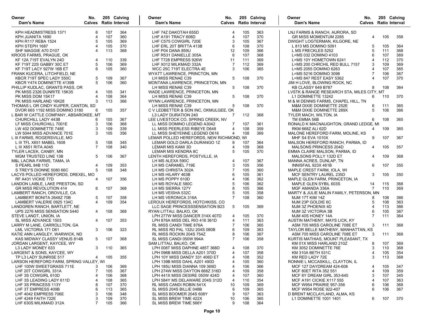| Owner<br>Dam's Name                                       | No.    |     | 205 Calving<br><b>Calves</b> Ratio Interval | Owner<br>Dam's Name                                                      | No.            |     | 205 Calving<br><b>Calves</b> Ratio Interval | Owner<br>Dam's Name                                  | No.            | Calves Ratio Interval | 205 Calving |
|-----------------------------------------------------------|--------|-----|---------------------------------------------|--------------------------------------------------------------------------|----------------|-----|---------------------------------------------|------------------------------------------------------|----------------|-----------------------|-------------|
| KPH HEADMISTRESS 1371                                     | 6      | 107 | 364                                         | LHF 74Z DAKOTAH 655D                                                     | 4              | 105 | 363                                         | LNJ FARMS & RANCH, AURORA, SD                        |                |                       |             |
| KPH JUANITA 1690                                          | 4      | 107 | 360                                         | LHF A191 TRACY 608D                                                      | 4              | 107 | 370                                         | <b>GR MISS MOMENTUM 2285</b>                         | 4              | 105                   | 358         |
| <b>KPH R117 REBA 1524</b>                                 | 5      | 105 | 369                                         | LHF C575 COWGIRL 720E                                                    | 3              | 105 | 367                                         | DWIGHT LOGTERMAN, KILGORE, NE                        |                |                       |             |
| KPH STEPH 1687                                            | 4      | 105 | 370                                         | LHF ERL 20T BRITTA 413B                                                  | 6              | 108 | 370                                         | L 813 MS DOMINO 5091                                 | 5              | 105                   | 364         |
| SHF MAGGIE A70 D107                                       | 4      | 113 | 368                                         | LHF P04 DANA 859U                                                        | 12             | 109 | 366                                         | L MS FRECKLES 5252                                   | 5              | 111                   | 368         |
| KROOS FARMS, PRAGUE, OK                                   |        |     |                                             | LHF R531 DANIELLE 305A                                                   | 6              | 107 | 368                                         | L=MS 032 DOMINO 4103                                 | 6              | 107                   | 369         |
| KF 12A 719T EVALYN 24D                                    | 4      | 110 | 339                                         | LHF T728 EMPRESS 926W                                                    | 11             | 111 | 369                                         | L=MS 10Y HOMETOWN 6241                               | $\overline{4}$ | 112                   | 370         |
| <b>KF 719T 22S GABBY 30C ET</b>                           | 5      | 106 | 369                                         | LHF X012 MILKMAID 332A                                                   | 7              | 112 | 369                                         | L=MS 200 CHRCHIL RED BULL 7157                       | 3              | 109                   | 369         |
| <b>KF 719T LACY 927W 16B ET</b>                           | 6      | 105 | 360                                         | WCC 25C 719T ELECTRA 4E                                                  | 3              | 106 | 365                                         | L=MS 2055 DOMINO 6263                                | $\overline{4}$ | 107                   | 365         |
| FRANK KUCERA, LITCHFIELD, NE                              |        |     |                                             | WYATT LAWRENCE, PRINCTON, MN                                             |                |     |                                             | L=MS 5216 DOMINO 3098                                | 7              | 106                   | 367         |
| KBCR 719T SPEC LADY 550C                                  | 5      | 109 | 367                                         | LH MISS RENAE C39                                                        | 5              | 108 | 370                                         | L=MS 847 REST EASY 5362                              | $\Delta$       | 107                   | 370         |
| KBCR Y474 DOMINETTE 4139B                                 | 5      | 106 | 360                                         | MONTANA LAWRENCE, PRINCETON, MN                                          |                |     |                                             | JIM H LOVE, BLOWING ROCK, NC                         |                |                       |             |
| PHILLIP KUDLAC, GRANTS PASS, OR                           |        |     |                                             | LH MISS RENAE C39                                                        | 5              | 108 | 370                                         | KB CLASSY 649 B787                                   | 8              | 108                   | 364         |
| PK MISS 2326 DUNRITE 15K35                                | 4      | 105 | 341                                         | WADE LAWRENCE, PRINCETON, MN                                             |                |     |                                             | LVSTK & RANGE RESEARCH STA, MILES CITY, MT           |                |                       |             |
| PK MISS DOM 15K17                                         | 4      | 108 | 364                                         | LH MISS RENAE C39                                                        | 5              | 108 | 370                                         | L1 DOMINETTE 13242                                   | 6              | 110                   | 370         |
| PK MISS HARLAND 16K28                                     | 3      | 113 | 366                                         | WYNN LAWRENCE, PRINCETON, MN                                             |                |     |                                             | M & M DENNIS FARMS, CHAPEL HILL, TN                  |                |                       |             |
| THOMAS L OR CINDY KUIPER, CANTON, SD                      |        |     |                                             | LH MISS RENAE C39                                                        | 5              | 108 | 370                                         | M&M DIXIE DOMINETTE 252E                             | 6              | 111                   | 365         |
| DVOR 665 1192 MISS DOMINO 3180                            | 6      | 105 | 357                                         | C V LEDBETTER & SON INC, OKMULGEE, OK                                    |                |     |                                             | M&M DIXIE DOMINETTE 289X                             | 5              | 106                   | 366         |
| L BAR W CATTLE COMPANY, ABSAROKEE, MT                     |        |     |                                             | L3 LADY DURATION 240                                                     | 7              | 112 | 368                                         | TYLER MACH, WILTON, IA                               |                |                       |             |
| CHURCHILL LADY 443B                                       | 6      | 105 | 367                                         | LEE LIVESTOCK CO, SPRING CREEK, NV                                       |                |     |                                             | TM EMMA 56B                                          | 6              | 108                   | 365         |
| LF MISS CHURCHILL 7001E                                   | 3      | 106 | 368                                         | LL MISS DOMINO LEGEND A3042                                              | 7              | 107 | 361                                         | RONALD K MACNAUGHTON, GRAND LEDGE, MI                |                |                       |             |
| LW 402 DOMINETTE 748E                                     | 3      | 109 | 339                                         | LL MISS PEERLESS RIBEYE D648                                             | 4              | 108 | 359                                         | RKM 668Z ALI 62D                                     | 4              | 109                   | 365         |
| LW 5044 MISS ADVANCE 701E                                 | 3      | 105 | 356                                         |                                                                          | 4              | 108 | 369                                         | MALONE HEREFORD FARM, MOLINE, KS                     |                |                       |             |
|                                                           |        |     |                                             | LL MISS SHEYENNE LEGEND D616<br>LEMAR POLLED HEREFORDS, NEW RICHMOND, WI |                |     |                                             |                                                      | 9              | 107                   | 367         |
| L III FARMS, ROGERSVILLE, MO<br>L III TFL X651 MABEL 1608 |        | 108 | 345                                         | LEMAR GOLD DARLA DURANGO 1Z                                              | 8              | 107 | 364                                         | MHF S4 EVA 1010X<br>MALSON HEREFORD RANCH, PARMA, ID |                |                       |             |
|                                                           | 5<br>7 | 108 | 340                                         |                                                                          | 4              |     | 368                                         |                                                      |                | 105                   | 357         |
| L III X651 RITA A045                                      |        |     |                                             | LEMAR MIS KAMI 3D                                                        |                | 109 |                                             | MALSONS PRINCESS 204D                                | 4              |                       |             |
| TYLER LACEK, CANBY, MN                                    |        |     |                                             | LEMAR MIS KENDRA 8C                                                      | 5              | 105 | 370                                         | EMMA CLAIRE MALSON, PARMA, ID                        |                |                       |             |
| MGM TRUSTED LINE 13B                                      | 5      | 106 | 367                                         | LENTH HEREFORDS, POSTVILLE, IA                                           |                |     |                                             | MALSONS POLLY 132D ET                                | 4              | 109                   | 368         |
| M&L LACINA FARMS, TAMA, IA                                |        |     |                                             | LH MS ALEXA 590C                                                         | 4              | 107 | 367                                         | MANNA ACRES, DUNLAP, TN                              |                |                       |             |
| S PEARL 84B 11D                                           | 4      | 109 | 353                                         | LH MS CARAMEL 719E                                                       | 3              | 105 | 356                                         | INNISFAIL 923X 461B                                  | 6              | 107                   | 355         |
| S TREY'S DIONNE 5080 66C                                  | 5      | 108 | 348                                         | LH MS CHRISTA 302A                                                       |                | 105 | 360                                         | MAPLE CREST FARM, IOLA, WI                           |                |                       |             |
| LACYS POLLED HEREFORDS, DREXEL, MO                        |        |     |                                             | LH MS HILARY 463B                                                        |                | 105 | 361                                         | MCF SENTRY LAUREL 235D                               | 3              | 105                   | 350         |
| RF A431 VICKIE 77D                                        | 4      | 107 | 356                                         | LH MS POPPY 610D                                                         |                | 106 | 362                                         | MAPLE GLEN FARM, PRINCETON, IA                       |                |                       |             |
| LANDON LAIBLE, LAKE PRESTON, SD                           |        |     |                                             | LH MS ROYALE 580C                                                        |                | 106 | 362                                         | MAPLE GLEN SYBIL 603S                                | 14             | 115                   | 368         |
| <b>GR MISS REVOLUTION 414</b>                             | 6      | 107 | 368                                         | LH MS SIERRA 127Y                                                        | 8              | 105 | 366                                         | MGF AMANDA 336A                                      | 7              | 110                   | 369         |
| LAMBERT RANCH, OROVILLE, CA                               |        |     |                                             | LH MS VEISHA 532C                                                        | 5              | 105 | 358                                         | MARTY & JULIE MALIN FAMILY, PETERSON, MN             |                |                       |             |
| LAMBERT BONITA 2648Z 70B                                  | 5      | 107 | 358                                         | LH MS VERONICA 316A                                                      | $\overline{7}$ | 108 | 360                                         | <b>MJM 17T KIM 14Z</b>                               | 8              | 108                   | 366         |
| LAMBERT VALERIE 0925 134C                                 | 4      | 109 | 354                                         | LEROUX HEREFORDS, HOTCHKISS, CO                                          |                |     |                                             | MJM 23P GOLDIE 6C                                    | 5              | 108                   | 363         |
| LANDGREN RANCH, BARTLETT, NE                              |        |     |                                             | LLC SAGE PRINCESSSENSATION B23                                           | 5              | 105 | 369                                         | MJM 3Z PHOENIX 4D                                    | $\overline{4}$ | 113                   | 366         |
| UPS 2276 MISS SENSATION 5440                              | 4      | 108 | 368                                         | RYAN LITTAU, BALKO, OK                                                   |                |     |                                             | MJM 3Z VICTORIA 3B                                   | 6              | 105                   | 367         |
| STEVE LANDT, UNION, IA                                    |        |     |                                             | LPH 277W MISS DANCER 314X 407D                                           | 4              | 105 | 370                                         | MJM 40S HONEY 14A                                    | $\overline{7}$ | 111                   | 364         |
| SL MISS ADVANCE 1503                                      | 4      | 107 | 353                                         | LPH 876A MISS DEL RIO 416 361D                                           | 4              | 111 | 363                                         | AUSTIN MATHENY, MAYS LICK, KY                        |                |                       |             |
| LARRY M LANE, CARROLLTON, GA                              |        |     |                                             | RL MISS CANDI TIME 876A                                                  |                | 106 | 365                                         | ASM 705 MISS CAROLINE 708E ET                        | 3              | 111                   | 368         |
| LML VICTORIA 171 D61                                      | 3      | 106 | 323                                         | RL MISS RD PAL 132U 204S 080B                                            | 6              | 109 | 363                                         | TAYLOR BELLE MATHENY, MANHATTAN, KS                  |                |                       |             |
| KATIE ANN LANGLEY, WARWICK, ND                            |        |     |                                             | RL MISS ROCKIN 204S 754Z                                                 | 8              | 106 | 367                                         | ASM 705 MISS CAROLINE 708E ET                        | 3              | 111                   | 368         |
| KAS MIDWAY CLASSY VENUS 814B                              | 5      | 107 | 368                                         | SL MISS CANDI 050W 994A                                                  | $\overline{7}$ | 106 | 358                                         | KURTIS MATHIAS, MOUNT PLEASANT, TX                   |                |                       |             |
| JORDAN LARGENT, KAYCEE, WY                                |        |     |                                             | SAM LITTAU, BALKO, OK                                                    |                |     |                                             | KM 01X MISS HARLAND 210Z                             | 8              | 107                   | 369         |
| L3 LADY MONEY 633                                         | 3      | 110 | 365                                         | LPH 008T MISS DAPHNE 485T 368D                                           | 4              | 108 | 370                                         | KM 3052 DOMINETTE 76E                                | 3              | 110                   | 368         |
| LARGENT & SONS, KAYCEE, WY                                |        |     |                                             | LPH 096B MISS DELLA A201 370D                                            | 4              | 107 | 358                                         | KM 310A BETH 531C                                    | 4              | 105                   | 354         |
| TP L3 LADY SUNRISE 517                                    | 4      | 105 | 355                                         | LPH 10Y MISS DANDY 331 406D ET                                           | 4              | 108 | 352                                         | KM RED LADY 72E                                      | 3              | 113                   | 368         |
| LARSON HEREFORD FARM, SPRING VALLEY, WI                   |        |     |                                             | LPH 139B MISS DAHL A201 490D                                             | 4              | 105 | 360                                         | RONNIE L MCCASKILL, CLAYTON, IL                      |                |                       |             |
| LHF 100W SWEETGRASS 711E                                  | 3      | 106 | 369                                         | LPH 185U MISS DIANNA 109 369D                                            | 4              | 106 | 366                                         | MCF 127 DAYDREAM 424-608                             | 4              | 105                   | 347         |
| LHF 20T COWGIRL 331A                                      | 7      | 105 | 367                                         | LPH 274W MISS DAYTON 668Z 316D                                           | 4              | 109 | 358                                         | MCF 80ET RITA 352 551                                | $\overline{4}$ | 109                   | 359         |
| LHF 3S COWGIRL 610D                                       | 4      | 106 | 368                                         | LPH 441X MISS DESIRE 050W 424D                                           | 4              | 107 | 360                                         | MCF 8Y DREAM GIRL 353-645                            | 3              | 107                   | 345         |
| LHF 3S LEADING LADY 611D                                  | 4      | 108 | 365                                         | LPH 584Y MS DELAWARE 204S 312D                                           | 4              | 110 | 354                                         | <b>MCF A191 CICKIE X117 555</b>                      | $\overline{4}$ | 107                   | 363         |
| LHF 3S PRINCESS 113Y                                      | 8      | 107 | 370                                         | RL MISS CANDI ROBIN 541X                                                 | 10             | 109 | 369                                         | <b>MCF W954 PRAIRIE 957-356</b>                      | 6              | 106                   | 368         |
| LHF 3T EMPRESS 409B                                       | 6      | 113 | 365                                         | SL MISS 204S BILLIE 048B                                                 | 6              | 109 | 365                                         | MCF W954 ROSE 922-407                                | 6              | 106                   | 367         |
| LHF 4042 EMPRESS 706E                                     | 3      | 106 | 348                                         | SL MISS BOOMER 204S 608Y                                                 | 9              | 107 | 363                                         | D BRENT MCCLAYLAND, ALMA, KS                         |                |                       |             |
| LHF 4249 FAITH 722E                                       | 3      | 109 | 370                                         | SL MISS BREW TIME 422X                                                   | 10             | 106 | 365                                         | L1 DOMINETTE 1001 1401                               | 6              | 107                   | 370         |
| LHF 630S MILKMAID 312A                                    | 7      | 105 | 366                                         | SL MISS BREW TIME 566Y                                                   | 9              | 108 | 364                                         |                                                      |                |                       |             |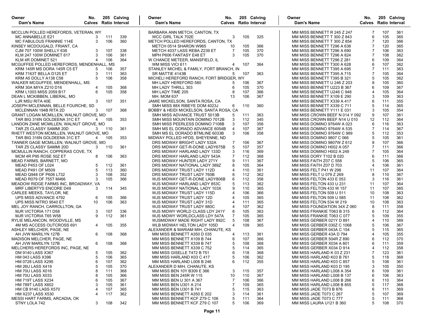| Owner<br>Dam's Name                       | No.<br><b>Calves</b> Ratio Interval |     | 205 Calving | Owner<br>Dam's Name                      | No.<br>Calves Ratio Interval |     | 205 Calving | Owner<br>Dam's Name            | No.<br><b>Calves</b> Ratio Interval | 205 Calving |     |
|-------------------------------------------|-------------------------------------|-----|-------------|------------------------------------------|------------------------------|-----|-------------|--------------------------------|-------------------------------------|-------------|-----|
| MCCLUN POLLED HEREFORDS, VETERAN, WY      |                                     |     |             | BARBARA ANN METCH, CANTON, TX            |                              |     |             | MM MISS BENNETT R 245 Z 247    | 7                                   | 107         | 361 |
| MC ANNABELLE E21                          | 3                                   | 111 | 339         | <b>WCC GIRL TALK 702E</b>                | 3                            | 105 | 325         | MM MISS BENNETT T 300 Z 843    | 6                                   | 105         | 365 |
| MC FABULOUS FRANNIE 114E                  | 3                                   | 106 | 360         | METCH POLLED HEREFORDS, CANTON, TX       |                              |     |             | MM MISS BENNETT T 300 Z 854    | 7                                   | 120         | 366 |
| KINSEY MCDOUGALD, FRIANT, CA              |                                     |     |             | METCH 0514 SHARON W965                   | 10                           | 105 | 366         | MM MISS BENNETT T296 A 638     | $\overline{7}$                      | 120         | 365 |
| CJM 707 100W SHELLY 638                   | 3                                   | 107 | 338         | METCH 4037 LASS REBA Z239 ET             | 7                            | 105 | 370         | MM MISS BENNETT T296 A 690     | 7                                   | 106         | 363 |
| KLM 247 100W DOMINET 617                  |                                     | 106 | 361         | MPH P606 FANTASY E48 ET                  | 3                            | 105 | 370         | MM MISS BENNETT T296 A 824     |                                     | 108         | 362 |
| KLM 4R DOMINET 521                        |                                     | 106 | 364         | W CHANCE METEER, MANSFIELD, IL           |                              |     |             | MM MISS BENNETT T296 Z 281     | 6                                   | 109         | 364 |
| MCGUFFEE POLLED HEREFORDS, MENDENHALL, MS |                                     |     |             | WM MISS VICI 611                         | 4                            | 107 | 364         | MM MISS BENNETT T300 A 628     |                                     | 107         | 362 |
| KRM 145R MS DORA 145R C5 ET               | 5                                   | 106 | 357         | STANLEY MICHEL & FAMILY, FORT BRANCH, IN |                              |     |             | MM MISS BENNETT T395 A 695     |                                     | 111         | 363 |
| KRM 7163T BELLA D125 ET                   | 3                                   | 111 | 363         | SR MATTIE 4143B                          | 5                            | 107 | 363         | MM MISS BENNETT T395 A 715     |                                     | 105         | 364 |
| KRM A5 DOLLY A138 C58                     | 5                                   | 106 | 358         | MICHELI HEREFORD RANCH, FORT BRIDGER, WY |                              |     |             | MM MISS BENNETT T395 B 321     | .5                                  | 105         | 362 |
| WALKER MCGUFFEE, MENDENHALL, MS           |                                     |     |             | MH LADY HEREFORD 580                     | 5                            | 106 | 367         | MM MISS BENNETT U 246 Z 203    |                                     | 105         | 360 |
| KRM 30A MIYA Z210 D16                     | 4                                   | 105 | 368         | MH LADY THRILL 303                       | 6                            | 105 | 370         | MM MISS BENNETT U223 B 367     | 6                                   | 109         | 367 |
| KRM L1003 MISS 2059 B17                   | 6                                   | 105 | 358         | MH LADY TIME 205                         | 8                            | 107 | 366         | MM MISS BENNETT U246 C 948     | 4                                   | 105         | 364 |
| DEAN L MCKIBBEN, LIBERAL, MO              |                                     |     |             | <b>MH. MOM 637</b>                       | 13                           | 106 | 367         | MM MISS BENNETT X109 E 290     | 3                                   | 109         | 363 |
| LJR MSU RITA 40E                          | 3                                   | 107 | 351         | JAMIE MICKELSON, SANTA ROSA, CA          |                              |     |             | MM MISS BENNETT X339 A 417     | 6                                   | 111         | 355 |
| JOSEPH MCLENNAN, BELLE FOURCHE, SD        |                                     |     |             | SMH MISS 88X RIBEYE DOM 4023J            | 6                            | 110 | 360         | MM MISS BENNETT X339 C 711     |                                     | 114         | 365 |
| MCLENNAN 194B RITA 2D                     | 3                                   | 107 | 368         | BOBBY & HEIDI MICKELSON, SANTA ROSA, CA  |                              |     |             | MM MISS BENNETT Y111 E 031     | 3                                   | 105         | 354 |
| GRANT LOGAN MCMILLEN, WALNUT GROVE, MO    |                                     |     |             | SMH MISS ADVANCE TRUST 5013B             | 5                            | 111 | 363         | MM MISS CROWN BEEF N 014 Y 092 | 9                                   | 107         | 361 |
| TAR BIG 316N GOLDEENA 31C ET              | 4                                   | 105 | 353         | SMH MISS MOUNTAIN DOMINO 7012B           | 3                            | 112 | 345         | MM MISS CROWN BEEF N14 U 010   | 12                                  | 112         | 364 |
| LANDON ZANE MCMILLEN, WALNUT GROVE, MO    |                                     |     |             | SMH MISS PEERLESS DOMINO 7108B           | 3                            | 107 | 356         | MM MISS DOMINO 9764W A 023     | 6                                   | 116         | 363 |
| TAR Z5 CLASSY SAMMI 20D                   | 3                                   | 110 | 361         | SMH MS EL DORADO ADVANCE 6054B           | 4                            | 107 | 367         | MM MISS DOMINO 9764W A 535     |                                     | 114         | 367 |
| RHETT WESTON MCMILLEN, WALNUT GROVE, MO   |                                     |     |             | SMH MS EL DORADO BTMLINE 6033B           | 3                            | 106 | 358         | MM MISS DOMINO 9764W C 989     | 5                                   | 112         | 353 |
| TAR BIG 316N GOLDEENA 31C ET              | 4                                   | 105 | 353         | MIDWAY POLLED HFDS, SHEYENNE, ND         |                              |     |             | MM MISS DOMINO 9807 C 066      |                                     | 105         | 361 |
| TANNER GAGE MCMILLEN. WALNUT GROVE. MO    |                                     |     |             | DRS MIDWAY BRIGHT LADY 532A              | 7                            | 106 | 367         | MM MISS DOMINO 9807W Z 612     |                                     | 107         | 366 |
| TAR Z5 CLASSY SAMMI 20D                   | 3                                   | 110 | 361         | DRS MIDWAY GET-R-DONE LADY675B           | 5                            | 107 | 357         | MM MISS DOMINO H002 A 057      |                                     | 111         | 366 |
| MCMULLIN RANCH, COPPERAS COVE, TX         |                                     |     |             | DRS MIDWAY HARLAND LADY 133D             | 3                            | 116 | 369         | MM MISS DOMINO H002 A 249      |                                     | 105         | 364 |
| MCM 4R P95 ROSE 50Z ET                    | 8                                   | 106 | 363         | DRS MIDWAY HARLAND LADY 543A             | 7                            | 112 | 368         | MM MISS DORY T102 B 020        | 6                                   | 111         | 366 |
| MEAD FARMS, BARNETT, MO                   |                                     |     |             | DRS MIDWAY HUNTER LADY 271Y              | 9                            | 111 | 367         | MM MISS FAITH Z07 C 558        |                                     | 106         | 365 |
| MEAD P453 OF L024                         |                                     | 112 | 361         | DRS MIDWAY NATIONAL LADY 389Z            | 8                            | 105 | 364         | MM MISS FAITH Z07 D 703        | $\overline{4}$                      | 106         | 361 |
| <b>MEAD P491 OF M509</b>                  |                                     | 113 | 360         | DRS MIDWAY TRUST LADY 112D               | 4                            | 110 | 361         | MM MISS FELT P41 W 298         | 11                                  | 107         | 364 |
| MEAD Q948 OF P606 L732                    | 3                                   | 108 | 352         | DRS MIDWAY TRUST LADY 760B               | 6                            | 112 | 362         | MM MISS FELT U 079 Z 269       | 8                                   | 110         | 367 |
| MEAD R079 OF 755T M466                    |                                     | 105 | 366         | WJS MIDWAY GET-R-DONE LADY806B           | 6                            | 112 | 358         | MM MISS FELTON 433 E 053       | 3                                   | 116         | 361 |
| MEADOW RIDGE FARMS INC, BROADWAY, VA      |                                     |     |             | WJS MIDWAY HARLAND LADY 853C             | 5                            | 113 | 362         | MM MISS FELTON 433 U 231       | 11                                  | 107         | 364 |
| MRF LIBERTYS ENCORE D49                   | 3                                   | 114 | 345         | WJS MIDWAY NATIONAL LADY 103X            | 9                            | 110 | 365         | MM MISS FELTON 433 W 157       | 11                                  | 107         | 365 |
| CARLEE MEEKS, TAYLOR, NE                  |                                     |     |             | WJS MIDWAY TRUST LADY 115D               | 4                            | 106 | 366         | MM MISS FELTON 509 U 511       | 10                                  | 108         | 363 |
| UPS MISS ADVANCE 4792                     | 6                                   | 105 | 366         | WJS MIDWAY TRUST LADY 12D                |                              | 105 | 365         | MM MISS FELTON 509 U 585       | 11                                  | 108         | 362 |
| UPS MISS NITRO 9540 ET                    | 10                                  | 106 | 363         | WJS MIDWAY TRUST LADY 31D                |                              | 111 | 365         | MM MISS FELTON 534 W 219       | 10                                  | 108         | 363 |
| MEL JOY RANCH, CARROLLTON, GA             |                                     |     |             | WJS MIDWAY TRUST LADY 880C               | 4                            | 107 | 362         | MM MISS FOUNDATION 34X Z 060   | 8                                   | 111         | 358 |
| MJR VICTORIA 171 D58                      | 3                                   | 107 | 336         | WJS MIDWY WORLD CLASS LDY 241Y           | 8                            | 105 | 363         | MM MISS FRANKIE T063 B 315     |                                     | 112         | 364 |
| MJR VICTORIA T65 W58                      | 9                                   | 112 | 361         | WJS MIDWY WORLDCLASS LDY 547A            |                              | 105 | 365         | MM MISS FRANKIE T063 C 077     |                                     | 109         | 355 |
| RYLIE MELANCON, WOODVILLE, MS             |                                     |     |             | WJSMIDWAY MADE RIGHT LADY 892C           | 5                            | 108 | 367         | MM MISS GERBER 021Y D 891      | $\overline{4}$                      | 110         | 369 |
| 4M MS ACCESS OUTCROSS 691                 | 4                                   | 105 | 355         | WLB MIDWAY HELTON LADY 105D              | 4                            | 109 | 365         | MM MISS GERBER 030Z C 1068     |                                     | 106         | 367 |
| ASHLEY MELCHER, PAGE, NE                  |                                     |     |             | ALEXANDER & MARIAM MIH, CHANUTE, KS      |                              |     |             | MM MISS GERBER 043A C 154      |                                     | 115         | 365 |
| AH JVW MARILYN 127B                       | 6                                   | 108 | 368         | MM MISS BENNETT A350 D 035               | 4                            | 113 | 361         | MM MISS GERBER 43A D 794       |                                     | 105         | 355 |
| MADISON MELCHER, PAGE, NE                 |                                     |     |             | MM MISS BENNETT X109 B 744               | 6                            | 107 | 366         | MM MISS GERBER 504R Z 890      | 6                                   | 112         | 370 |
| AH JVW MARILYN 127B                       | 6                                   | 108 | 368         | MM MISS BENNETT X339 B 747               | 5                            | 108 | 368         | MM MISS GERBER X034 A 801      | 6                                   | 111         | 359 |
| MELCHERS HEREFORDS INC, PAGE, NE          |                                     |     |             | MM MISS BENNETT X339 C 752               | 5                            | 114 | 365         | MM MISS GERBER X034 D 914      |                                     | 112         | 358 |
| DM 9140 LASS X367                         | 5                                   | 105 | 362         | MM MISS GISELLE T472 B 751               | 6                            | 118 | 368         | MM MISS HARLAND K 03 Z 231     |                                     | 123         | 361 |
| <b>HM 043 LASS X396</b>                   | 5                                   | 106 | 365         | MM MISS HARLAND K03 C 417                | 5                            | 106 | 362         | MM MISS HARLAND K03 B 761      | 5                                   | 118         | 368 |
| HM 0728 LASS X295                         | 6                                   | 107 | 362         | MM MISS HARLAND L008 B 246               | 6                            | 112 | 355         | MM MISS HARLAND K03 C 857      | 5                                   | 108         | 361 |
| <b>HM 26U LASS X419</b>                   | 5                                   | 105 | 370         | ALEXANDER D MIH, CHANUTE, KS             |                              |     |             | MM MISS HARLAND K03 D 195      | 3                                   | 105         | 350 |
| HM 70U LASS X016                          | 8                                   | 111 | 368         | MM MISS BEN 10Y B309 E 366               | 3                            | 115 | 357         | MM MISS HARLAND L008 A 354     | 6                                   | 109         | 361 |
| HM 70U LASS X033                          | 8                                   | 105 | 366         | MM MISS BEN 245R W 115                   | 10                           | 110 | 367         | MM MISS HARLAND L008 B 137     | 6                                   | 106         | 363 |
| <b>HM 719T LASS X234</b>                  | 6                                   | 105 | 367         | MM MISS BEN U 301 A 367                  | 7                            | 106 | 366         | MM MISS HARLAND L008 B 266     | 6                                   | 110         | 364 |
| <b>HM 789T LASS X602</b>                  | 3                                   | 105 | 361         | MM MISS BEN U301 A 214                   | 7                            | 109 | 365         | MM MISS HARLAND L008 B 855     | 5                                   | 117         | 368 |
| <b>HM CB 9140 LASS X570</b>               | $\overline{4}$                      | 107 | 365         | <b>MM MISS BEN U301 B 741</b>            | 5                            | 115 | 363         | MM MISS JADE T073 B 876        | 6                                   | 111         | 369 |
| <b>HM X237 LASS X530</b>                  | $\overline{4}$                      | 117 | 362         | MM MISS BENNETT A350 E 202               | 3                            | 114 | 361         | MM MISS JADE T073 C 267        | 5                                   | 107         | 369 |
| MESSI HART FARMS, ARCADIA, OK             |                                     |     |             | MM MISS BENNETT KCF Z79 C 106            | 5                            | 111 | 364         | MM MISS JADE T073 C 777        | 5                                   | 111         | 368 |
| STNY LOLA 742                             | 3                                   | 108 | 342         | MM MISS BENNETT KCF Z79 C 107            | 5                            | 106 | 369         | MM MISS LAURA U121 B 360       | 5                                   | 108         | 370 |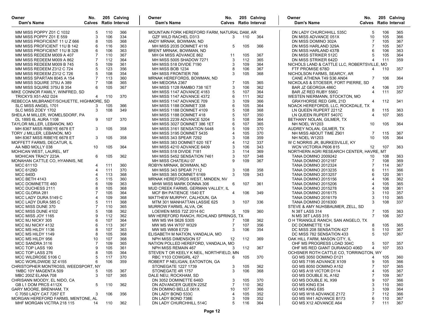| Owner<br>Dam's Name                      | No.<br><b>Calves</b> Ratio Interval |            | 205 Calving | Owner<br>Dam's Name                          | No.            |     | 205 Calving<br><b>Calves</b> Ratio Interval | Owner<br>Dam's Name                         | No.<br><b>Calves</b> Ratio Interval |            | 205 Calving |
|------------------------------------------|-------------------------------------|------------|-------------|----------------------------------------------|----------------|-----|---------------------------------------------|---------------------------------------------|-------------------------------------|------------|-------------|
| MM MISS POPPY Z01 C 1032                 | 5                                   | 110        | 366         | MOUNTAIN FORK HEREFORD FARM, NATURAL DAM, AR |                |     |                                             | DN LADY CHURCHHILL 535C                     | 5                                   | 106        | 365         |
| MM MISS POPPY Z01 E 559                  | 3                                   | 106        | 334         | <b>GZF WILD RACHEL D313</b>                  | 3              | 110 | 364                                         | DN MISS ADVANCE 051X                        | 10                                  | 105        | 366         |
| MM MISS PROFICIENT 11 U Z 666            | 8                                   | 105        | 368         | ANDY MRNAK, BOWMAN, ND                       |                |     |                                             | DN MISS DOMINO 302A                         | $\overline{7}$                      | 105        | 367         |
| MM MISS PROFICIENT 11U B 142             | 6                                   | 116        | 363         | MH MISS 2035 DOMNET 4116                     | 5              | 105 | 366                                         | DN MISS HARLAND 329A                        | $\overline{7}$                      | 105        | 367         |
| MM MISS PROFICIENT 11U B 328             | 6                                   | 106        | 363         | BRENT MRNAK, BOWMAN, ND                      |                |     |                                             | DN MISS HARLAND 437B                        | 6                                   | 106        | 363         |
| MM MISS REDEEM M009 A 407                | 7                                   | 110        | 367         | MH 04 MISS ADVANCE 862                       | 11             | 105 | 367                                         | DN MISS STRIKER 512C                        | 5                                   | 105        | 364         |
| MM MISS REDEEM M009 A 862                | $\overline{7}$                      | 112        | 364         | MH MISS 5005 SHADOW 7271                     | 3              | 112 | 365                                         | DN MISS STRIKER 642D                        | $\overline{4}$                      | 111        | 359         |
| MM MISS REDEEM M009 B 745                | 5                                   | 109        | 361         | MH MISS 518 DIVIDE 7190                      | 3              | 109 | 364                                         | NICHOLS LAND & CATTLE LLC, ROBERTSVILLE, MO |                                     |            |             |
| MM MISS REDEEM Z312 C 724                | 5                                   | 123        | 356         | MH MISS BOB 1234                             | 8              | 106 | 367                                         | FTF PROMISE 678D                            | 4                                   | 110        | 357         |
| MM MISS REDEEM Z312 C 726                | 5                                   | 108        | 354         | MH MISS FRONTIER 766                         | 3              | 105 | 368                                         | NICHOLSON FARMS, SEARCY, AR                 |                                     |            |             |
| MM MISS SPARTAN 8045 A 154               | $\overline{7}$                      | 113        | 360         | MRNAK HEREFORDS, BOWMAN, ND                  |                |     |                                             | CANE ATHENA T49 S36 AN04                    | $\overline{7}$                      | 106        | 364         |
| MM MISS SQUIRE 375U A 389                | $\overline{7}$                      | 108        | 365         | MH MEDORA 2367                               | $\overline{7}$ | 105 | 365                                         | NICKOLAS & STOESER, FORT PIERRE, SD         |                                     |            |             |
| MM MISS SQUIRE 375U B 354                | 6                                   | 105        | 367         | MH MISS 1128 RAMBO 738 1ET                   | 3              | 106 | 362                                         | BAR JZ GEORGIA 486C                         | 4                                   | 106        | 370         |
| MIKE CONNOR FAMILY, WINFRED, SD          |                                     |            |             | MH MISS 1147 ADVANCE 4183                    | 5              | 107 | 364                                         | BAR JZ RED RUBY 556C                        | $\overline{4}$                      | 111        | 357         |
| <b>TRICKYS X51-A52 D24</b>               | 4                                   | 110        | 370         | MH MISS 1147 ADVANCE 4372                    | 6              | 111 | 362                                         | WESTEN NIERMANN, STOCKTON, MO               |                                     |            |             |
| REBECCA MILBRANDT/SCHUETTE, HIGHMORE, SD |                                     |            |             | MH MISS 1147 ADVANCE 709                     | 3              | 109 | 366                                         | <b>GRAYHORSE RED GIRL 21D</b>               | 4                                   | 112        | 341         |
| SLC MISS ANGEL 1701                      | 3                                   | 105        | 366         | MH MISS 1188 DOMNET 338                      | 6              | 105 | 364                                         | NOACK HEREFORDS, LLC, ROCKDALE, TX          |                                     |            |             |
| SLC MISS ZOEY 1702                       | 3                                   | 108        | 349         | MH MISS 1188 DOMNET 4109                     | 5              | 108 | 368                                         | LN QUEEN RUPERT 2211Z                       | 8                                   | 115        | 363         |
| SHEILA M MILLER, WOMELSDORF, PA          |                                     |            |             | MH MISS 1188 DOMNET 418                      | 5              | 107 | 350                                         | LN QUEEN RUPERT 5407C                       | $\overline{4}$                      | 107        | 365         |
| DL 189S 6L AURA 1108                     | 9                                   | 107        | 370         | MH MISS 2239 ADVANCE 5204                    | 5              | 108 | 364                                         | BETHANY NOLAN, GILMER, TX                   |                                     |            |             |
| TAYLOR MILLER, LEBANON, MO               |                                     |            |             | MH MISS 3027 DOMNET 386 1ET                  | 6              | 107 | 365                                         | NH NOEL W1203                               | 10                                  | 105        | 364         |
| MH 8367 MISS RIBEYE 6678 ET              | 3                                   | 105        | 358         | MH MISS 3161 SENSATION 5448                  | 5              | 109 | 370                                         | AUDREY NOLAN, GILMER, TX                    |                                     |            |             |
| TORY J MILLER, LEBANON, MO               |                                     |            |             | MH MISS 3195 DOMNET 5435                     |                | 105 | 370                                         | NH MISS ABOUT TIME Z901                     | $\overline{7}$                      | 115        | 367         |
| MH 8367 MISS RIBEYE 6678 ET              | 3                                   | 105        | 358         | MH MISS 343 SPEAR 7292                       | 3              | 108 | 359                                         | NH NOEL W1203                               | 10                                  | 105        | 364         |
| MOFFETT FARMS, DECATUR, IL               |                                     |            |             | MH MISS 383 DOMNET 620 1ET                   | $\overline{4}$ | 112 | 337                                         | W C NORRIS JR. BURKESVILLE, KY              |                                     |            |             |
| AA NBD MOLLY 038                         | 10                                  | 105        | 364         | MH MISS 4210 ADVANCE 6409                    | 3              | 106 | 343                                         | WCN VICTORIA P606 815                       | 12                                  | 107        | 363         |
| MOHICAN WEST, LAUREL, MT                 |                                     |            |             | MH MISS 518 DIVIDE 7181                      | 3              | 114 | 369                                         | NORTHERN AGRI RESEARCH CENTER, HAVRE, MT    |                                     |            |             |
| <b>MOHICAN TRACY 223A</b>                | 6                                   | 105        | 362         | MH MISS 5452 SENSATION 7461                  | 3              | 107 | 348                                         | TANA DOMINO 2009242                         | 10                                  | 108        | 363         |
| MONAHAN CATTLE CO, HYANNIS, NE           |                                     |            |             | MH MISS CHATEAU 07                           | 9              | 109 | 367                                         | <b>TANA DOMINO 2012187</b>                  | 7                                   | 108        | 369         |
| <b>MCC 6111D</b>                         | 4                                   | 111        | 360         | ROBYN MRNAK, BOWMAN, ND                      |                |     |                                             | <b>TANA DOMINO 2012324</b>                  | $\overline{7}$                      | 114        | 367         |
| <b>MCC 6129D</b>                         |                                     | 111        | 370         | MH MISS 343 SPEAR 7112                       | 3              | 108 | 358                                         | TANA DOMINO 2013235                         | 6                                   | 111        | 366         |
| <b>MCC 640D</b>                          | $\overline{4}$                      | 113        | 368         | MH MISS 365 DOMNET 6169                      | 3              | 109 | 343                                         | <b>TANA DOMINO 2013257</b>                  | 6                                   | 120        | 361         |
| MCC BETH 4143                            | 5                                   | 115        | 360         | MRNAK HEREFORDS WEST, MINDEN, NV             |                |     |                                             | <b>TANA DOMINO 2015156</b>                  | $\overline{4}$                      | 106        | 362         |
| MCC DOMINETTE 460                        | 6                                   | 109        | 363         | MHW MISS MARK DONNA 306                      | 6              | 107 | 361                                         | <b>TANA DOMINO 2015206</b>                  | $\Delta$                            | 105        | 365         |
| MCC DUCHESS 2111                         | 8                                   | 105        | 368         | MUD CREEK FARMS, GERMAN VALLEY, IL           |                |     |                                             | <b>TANA DOMINO 2015278</b>                  | $\Delta$                            | 108        | 361         |
| MCC GLORIA 281                           | $\overline{7}$                      | 105        | 364         | MCF BH PATIENCE 1540 ET                      | 4              | 106 | 349                                         | TANA DOMINO 2016175                         | 3                                   | 110        | 357         |
| MCC LADY DURA 5149 C                     | 4                                   | 109        | 368         | MATTHEW MURPHY, CALHOUN, GA                  |                |     |                                             | <b>TANA DOMINO 2016179</b>                  | 3                                   | 110        | 365         |
| MCC LADY DURA 585 C                      | 5                                   | 111        | 368         | MTM 301 MANHATTAN LASSIE 625                 | 3              | 107 | 336                                         | <b>TANA DOMINO 2016300</b>                  | 3                                   | 108        | 337         |
| MCC MISS DUNE 370                        | $\overline{7}$                      | 110        | 365         | MURROW FARMS, ALVA, OK                       |                |     |                                             | STEVE & AMY NUHSBAUMER, ZELL, SD            |                                     |            |             |
| MCC MISS DUNE 4102                       | 5                                   | 108        | 362         | LOEWEN MISS 72Z 2014 6C                      | 5              | 109 | 360                                         | N 38T LASS 314                              | 7                                   | 105        | 363         |
| MCC MISS JOY 1165                        | 9                                   | 112        | 362         | MW HEREFORD RANCH, RICHLAND SPRINGS, TX      |                |     |                                             | N MS 38T LASS 315                           | $\overline{7}$                      | 106        | 357         |
| MCC MJ NICKY 305                         | 6                                   | 107        | 364         | MW MS W4 S626 S305                           | 7              | 108 | 362                                         | O H TRIANGLE RANCH, SAN ANGELO, TX          |                                     |            |             |
| MCC MJ NICKY 4132                        | 6                                   | 113        | 367         | MW MS W4 W707 W329                           | 7              | 107 | 356                                         | DC DOMINETTE 134                            | 8                                   | 105        | 365         |
| MCC MS HILDY 1136                        | 8                                   | 107        | 363         | MW MS W808 E729                              | 3              | 106 | 354                                         | DC MISS 208 SENSATION 427                   | 5                                   | 110        | 367         |
| MCC MS HILDY 1149                        | 8                                   | 105        | 368         | ELISABETH M NATION, VANDALIA, MO             |                |     |                                             | DC MISS 782 SENSATION 433                   | 5                                   | 107        | 367         |
| MCC MS HILDY 956                         | 10                                  | 107        | 368         |                                              | 12             | 112 | 369                                         | OAK HILL FARM, MASON CITY, IL               |                                     |            |             |
|                                          | $\overline{7}$                      |            |             | NPH MISS DIMENSION 57                        |                |     |                                             |                                             | 5                                   |            |             |
| MCC SANDRA 3116                          | 9                                   | 109<br>105 | 365         | NATION POLLED HEREFORD, VANDALIA, MO         |                |     |                                             | OHF MS PROGRESS LOAD 304C                   | $\overline{4}$                      | 107<br>107 | 357         |
| MCC TOP LASS 190                         |                                     |            | 361         | NPH MISS REMAIN 467                          | 3              | 112 | 367                                         | OHF MS RED GIANT DURANGO 406D               |                                     |            | 353         |
| MCC TOP LASS 276                         | 8                                   | 105        | 364         | STEVEN T OR KEELY K NEIL, NORTHFIELD, MN     |                |     |                                             | OCHSNER ROTH CATTLE CO, TORRINGTON, WY      |                                     |            |             |
| MCC WILDROSE 5106 C                      | 5                                   | 117        | 370         | RBC Y103 COWGIRL 427                         | 6              | 105 | 370                                         | GO MS 3050 DOMINO D121                      | 4                                   | 105        | 360         |
| MCC WORLDWIDE 3Z 4155                    | 6                                   | 106        | 359         | ROBERT P NELIGAN, EATONTON, GA               |                |     |                                             | GO MS 7195 ADVANCE X109                     | 9                                   | 105        | 366         |
| CHRISTOPHER MONTROSS, WEEDSPORT, NY      |                                     |            |             | <b>STONEGATE 1227 1739</b>                   | 3              | 105 | 362                                         | GO MS 8050 DOMINO A152                      |                                     | 107        | 365         |
| 1MBC 10Y MAGENTA 509                     | 5                                   | 105        | 367         | STONEGATE 4R 1757                            | 3              | 106 | 368                                         | GO MS A18 VICTOR D114                       | 4                                   | 105        | 367         |
| MBC 200Z ELANA 708                       | 3                                   | 107        | 365         | DALE NEU, ROCKHAM, SD                        |                |     |                                             | GO MS DOUBLE XL A162                        |                                     | 109        | 367         |
| CHRISANN MOODY, EL NIDO, CA              |                                     |            |             | DN 3052 DOMINETTE 646D                       | 3              | 105 | 370                                         | GO MS DOUBLE XL X99                         | 9                                   | 107        | 366         |
| GB L1 DOM PRCS 4112X                     | 5                                   | 110        | 362         | DN ADVANCER QUEEN 225Z                       | 7              | 110 | 362                                         | GO MS KING E34                              | 3                                   | 110        | 360         |
| GARY MOORE, BRENHAM, TX                  |                                     |            |             | DN DOMINO BELLE 061X                         | 10             | 107 | 366                                         | GO MS KING E85                              | З                                   | 109        | 364         |
| C 7050 LADY CAT 7267 ET                  | 3                                   | 106        | 356         | DN LADY BOND 533C                            | 4              | 105 | 352                                         | GO MS W18 ADVANCE Z172                      |                                     | 112        | 366         |
| MORGAN HEREFORD FARMS, MENTONE, AL       |                                     |            |             | DN LADY BOND 738E                            | 3              | 109 | 352                                         | GO MS W41 ADVANCE B173                      | 6                                   | 110        | 367         |
| MHF MORGAN VICTRA 218 115                | 14                                  | 110        | 362         | DN LADY CHURCHHILL 514C                      | 5              | 116 | 364                                         | GO MS X12 ADVANCE A64                       | 7                                   | 111        | 367         |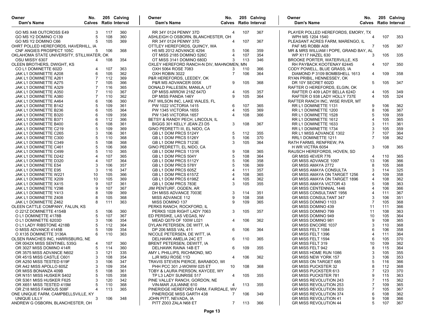| Owner<br>No.<br>Dam's Name<br><b>Calves</b> Ratio Interval     |            | 205 Calving | Owner<br>Dam's Name                                        | No.<br><b>Calves</b> Ratio Interval |            | 205 Calving | Owner<br>Dam's Name                                          | No.<br><b>Calves</b> Ratio Interval | 205 Calving |            |
|----------------------------------------------------------------|------------|-------------|------------------------------------------------------------|-------------------------------------|------------|-------------|--------------------------------------------------------------|-------------------------------------|-------------|------------|
| GO MS X48 OUTCROSS E49<br>3                                    | 117        | 360         | RR 34Y 0124 PENNY 37D                                      | $\overline{4}$                      | 107        | 367         | PLAYER POLLED HEREFORDS, EMORY, TX                           |                                     |             |            |
| GO MS Y2 DOMINO C139<br>5                                      | 108        | 360         | ASHLEIGH O OSBORN, BLANCHESTER, OH                         |                                     |            |             | WPH MS 1204 1540                                             | $\overline{4}$                      | 107         | 353        |
| GO MS Y2 DOMINO C66                                            | 105        | 369         | RR 34Y 0124 PENNY 37D                                      | 4                                   | 107        | 367         | PLEASANT ACRES FARM. MARENGO. IL                             |                                     |             |            |
| OHRT POLLED HEREFORDS, HAVERHILL, IA                           |            |             | OTTLEY HEREFORDS, QUINCY, WA                               |                                     |            |             | PAF MS ROBBI A08                                             | 7                                   | 105         | 367        |
| CNF ANGIES PROSPECT 105C<br>5                                  | 106        | 368         | <b>H5 MS 2012 ADVANCE 4294</b>                             | 5                                   | 106        | 359         | MR & MRS WILLIAM I POPE, GRAND BAY, AL                       |                                     |             |            |
| OKLAHOMA STATE UNIVERSITY, STILLWATER, OK                      |            |             | OT MISS 2185 DOMINO 526C                                   | 4                                   | 107        | 354         | WP X117 HAZEL 630                                            | 3                                   | 105         | 335        |
| OSU MISSY 6307<br>4                                            | 108        | 354         | OT MISS 3141 DOMINO 680D                                   | 3                                   | 113        | 346         | <b>BROOKE PORTER, WATERVILLE, KS</b>                         |                                     |             |            |
| OLEEN BROTHERS, DWIGHT, KS                                     |            |             | OXLEY HEREFORD RANCH-N DIV, MAHNOMEN, MN                   |                                     |            |             | RH PAYBACK KOOTENAY 62445                                    | 4                                   | 107         | 350        |
| CO L1 DOMINETTE 602D<br>4                                      | 107        | 363         | OXH 5064 ROSE 7083                                         | 3                                   | 110        | 366         | CODY POWELL, BLUE GRASS, IA                                  |                                     |             |            |
| JAK L1 DOMINETTE A208<br>6                                     | 105        | 362         | OXH ROBIN 3022                                             | 7                                   | 106        | 364         | DIAMOND P 3109 BOMBSHELL 1613                                | 4                                   | 109         | 358        |
| JAK L1 DOMINETTE A261                                          | 112        | 369         | P&R HEREFORDS, LEEDEY, OK                                  |                                     |            |             | RYAN PRIBIL, HENNESSEY, OK                                   |                                     |             |            |
| JAK L1 DOMINETTE A275                                          | 105        | 366         | P&R MS ADVANCER 005X                                       | 9                                   | 105        | 368         | DR 10Y SECRET 602D                                           | 5                                   | 105         | 347        |
| JAK L1 DOMINETTE A329                                          | 116        | 365         | DONALD PALLESEN, MANILA, UT                                |                                     |            |             | RAFTER O HEREFORDS, ELGIN, OK                                |                                     |             |            |
| JAK L1 DOMINETTE A350                                          | 110        | 367         | DP MISS ARROW 218Z 647D                                    | 4                                   | 105        | 357         | RAFTER O 409 LADY BELLA 624D                                 | 4                                   | 105         | 349        |
| JAK L1 DOMINETTE A380                                          | 110        | 362         | DP MISS PANDA 146Y                                         | 9                                   | 105        | 364         | RAFTER O 938 LADY HOLLY 737E                                 | 4                                   | 105         | 324        |
| 6<br>JAK L1 DOMINETTE A464                                     | 106        | 360         | PAT WILSON INC, LAKE WALES, FL                             | 6                                   |            |             | RAFTER RANCH INC, WISE RIVER, MT                             |                                     |             |            |
| JAK L1 DOMINETTE B142<br>5                                     | 109        | 361         | PW 1022 VICTORIA 1415                                      |                                     | 107        | 365         | RR L1 DOMINETTE 1131                                         | 9<br>8                              | 106         | 362        |
| JAK L1 DOMINETTE B236<br>6<br>6                                | 105        | 364<br>358  | <b>PW 1345 VICTORIA 1655</b>                               | 4<br>4                              | 105<br>108 | 369         | RR L1 DOMINETTE 1200                                         |                                     | 106<br>109  | 367        |
| JAK L1 DOMINETTE B320<br>JAK L1 DOMINETTE B371<br>6            | 109<br>112 | 366         | PW 1345 VICTORIA 1657<br>BETSY & RANDY PECH, LINCOLN, IL   |                                     |            | 366         | RR L1 DOMINETTE 1528                                         |                                     | 105         | 359<br>365 |
| 6<br>JAK L1 DOMINETTE B400                                     | 108        | 361         | BIGGS 301 KELLY JEAN Z3 D5                                 | 3                                   | 108        | 367         | RR L1 DOMINETTE 1612<br>RR L1 DOMINETTE 1633                 |                                     | 111         | 361        |
| JAK L1 DOMINETTE C219<br>5                                     | 109        | 369         | GINO PEDRETTI III. EL NIDO. CA                             |                                     |            |             | RR L1 DOMINETTE 1734                                         |                                     | 105         | 359        |
| JAK L1 DOMINETTE C265<br>3                                     | 106        | 361         | GB L1 DOM PRCS 5124Y                                       | 5                                   | 112        | 355         | RR L1 MISS ADVANCE 1302                                      |                                     | 107         | 364        |
| JAK L1 DOMINETTE C300<br>5                                     | 110        | 368         | GB L1 DOM PRCS 5126Y                                       | 5                                   | 106        | 370         | RRL1 DOMINETTE 1211                                          | 7                                   | 108         | 362        |
| JAK L1 DOMINETTE C349<br>5                                     | 108        | 368         | GB L1 DOM PRCS 7123E                                       | 3                                   | 105        | 364         | RATH FARMS, RENFREW, PA                                      |                                     |             |            |
| JAK L1 DOMINETTE C461<br>5                                     | 106        | 368         | GINO PEDRETTI, EL NIDO, CA                                 |                                     |            |             | H WR VICTRA 6054                                             | 3                                   | 108         | 365        |
| JAK L1 DOMINETTE C499<br>5                                     | 110        | 365         | GB L1 DOM PRCS 1131R                                       | 9                                   | 108        | 365         | RAUSCH HEREFORDS, HOVEN, SD                                  |                                     |             |            |
| JAK L1 DOMINETTE D242                                          | 107        | 365         | GB L1 DOM PRCS 504Y                                        | 5                                   | 108        | 364         | GR MISS 4EVER 776                                            | 4                                   | 110         | 365        |
| JAK L1 DOMINETTE D320<br>4                                     | 107        | 364         | GB L1 DOM PRCS 5112Y                                       | 5                                   | 106        | 358         | GR MISS ADVANCE 1097                                         | 13                                  | 106         | 366        |
| JAK L1 DOMINETTE E54<br>3                                      | 106        | 357         | GB L1 DOM PRCS 578Y                                        |                                     | 106        | 369         | GR MISS AMAYA 2772                                           | 8                                   | 105         | 368        |
| JAK L1 DOMINETTE E95<br>3                                      | 116        | 347         | GB L1 DOM PRCS 605Z                                        | 4                                   | 111        | 357         | <b>GR MISS AMAYA CONSULTA</b>                                | 3                                   | 114         | 325        |
| JAK L1 DOMINETTE W221<br>10                                    | 105        | 366         | GB L1 DOM PRCS 6157Z                                       | $\overline{4}$                      | 108        | 365         | GR MISS AMAYA ON TARGET 1256                                 | 4                                   | 109         | 358        |
| JAK L1 DOMINETTE X209<br>10                                    | 105        | 369         | GB L1 DOM PRCS 6198Z                                       | 4                                   | 105        | 362         | GR MISS AMAYA ON TARGET 1896                                 | 4                                   | 108         | 362        |
| JAK L1 DOMINETTE X415<br>9                                     | 107        | 361         | GB L1 DOM PRCS 783E                                        | 3                                   | 105        | 355         | <b>GR MISS AMAYA VICTOR 43</b>                               |                                     | 108         | 363        |
| JAK L1 DOMINETTE Y298<br>9                                     | 107        | 367         | JIM PENTURF, OGDEN, AR                                     |                                     |            |             | <b>GR MISS CENTENNIAL 1446</b>                               | 4                                   | 106         | 366        |
| JAK L1 DOMINETTE Y413<br>8                                     | 109        | 369         | DH MISS ADVANCE 7003E                                      | 3                                   | 114        | 351         | GR MISS CONSULTANT 1956                                      |                                     | 111         | 367        |
| JAK L1 DOMINETTE Z408<br>8                                     | 105        | 368         | MISS ADVANCE 112                                           |                                     | 108        | 358         | <b>GR MISS CONSULTANT 347</b>                                |                                     | 106         | 351        |
| JAK L1 DOMINETTE Z462<br>8                                     | 111        | 363         | MISS DOMINO 137                                            | g                                   | 109        | 365         | GR MISS DOMINO 1103                                          |                                     | 105         | 368        |
| OLEEN CATTLE COMPANY, FALUN, KS                                |            |             | PERKS RANCH, ROCKFORD, IL                                  |                                     |            |             | GR MISS DOMINO 439                                           | 11                                  | 111         | 366        |
| 5<br>O 221Z DOMINETTE 4154B                                    | 106        | 360         | PERKS 1028 RIGHT LADY 7063                                 | 3                                   | 105        | 357         | GR MISS DOMINO 799                                           | 11                                  | 108         | 363        |
| O L1 DOMINETTE 4178B<br>5                                      | 107        | 367         | ED PERSIKE, LAS VEGAS, NV                                  |                                     |            |             | GR MISS DOMINO 949                                           | 10                                  | 105         | 364        |
| O L1 DOMINETTE 6203D<br>3                                      | 106        | 354         | MEAD Q079 OF 100W L021                                     | 4                                   | 106        | 362         | GR MISS DOMINO 981                                           | 9                                   | 108         | 365        |
| O L1 LADY RIBSTONE 4218B<br>5                                  | 112        | 364         | DYLAN PETERSEN, DE WITT, IA                                |                                     |            |             | GR MISS ENCORE 1037                                          | 3                                   | 110         | 368        |
| O MISS ADVANCE 4145B                                           | 109        | 354         | DP 206 MISS VAL 411                                        | 6                                   | 106        | 364         | GR MISS FELT 1084                                            |                                     | 106         | 358        |
| O X135 DOMINETTE 3136A<br>6                                    | 110        | 363         | NICOLE PETERSEN, DE WITT, IA                               |                                     |            |             | GR MISS FELT 1396                                            |                                     | 111         | 364        |
| OLSEN RANCHES INC, HARRISBURG, NE                              |            |             | DELHAWK AMELIA 24C ET                                      | 6                                   | 110        | 365         | GR MISS FELT 1594                                            |                                     | 105         | 370        |
| OR 0042X MISS SENTINEL 535G<br>4                               | 107        | 360         | BRENT PETERSEN, DEWITT, IA                                 |                                     |            |             | GR MISS FELT 319                                             | 10                                  | 109         | 362        |
| 5<br>OR 3027 MISS DOMINO 414R                                  | 114        | 360         | DELHAWK RAINA 14B ET                                       | 6                                   | 109        | 355         | GR MISS FELT 942                                             | 8                                   | 115         | 364        |
| OR 3575 MISS ADVANCE N602<br>3                                 | 121        | 335         | AMY L PHILLIPS, RICHMOND, MO                               |                                     |            |             | GR MISS HOME RUN 1086                                        | 3                                   | 105         | 355        |
| OR 451S MISS CASTLE C601<br>3                                  | 108        | 354         | LJR MSU ROSE 11D                                           | 4                                   | 106        | 362         | GR MISS NEW YORK 157                                         | 3                                   | 106         | 353        |
| OR A250 MISS TESTED 619F<br>3                                  | 106        | 347         | TRAVIS STEVEN PIERCE, BARABOO, WI                          |                                     |            |             | <b>GR MISS ON TARGET 685</b>                                 |                                     | 116         | 366        |
| OR A42 MISS APOLLO 605Z<br>3                                   | 109        | 354         | PHH PCC 301 J-WOWW 025 ET                                  | 10                                  | 108        | 368         | <b>GR MISS PUCKSTER 32</b>                                   | 8                                   | 112         | 368        |
| 5<br>OR MISS BONANZA 409B                                      | 108        | 361         | TOBY & LAURA PIERSON, KAYCEE, WY<br>TP L3 LADY SUNRISE 517 |                                     |            |             | <b>GR MISS PUCKSTER 613</b>                                  |                                     | 123         | 370        |
| OR N151 MISS HUSKER S402<br>5<br>OR S361 MISS HUSKER F625<br>3 | 105        | 358<br>342  |                                                            | 4                                   | 105        | 355         | <b>GR MISS PUCKSTER 781</b><br><b>GR MISS REVOLUTION 243</b> |                                     | 115         | 363        |
| OR X651 MISS TESTED 415M<br>5                                  | 120<br>110 | 368         | PINE VALLEY RANCH, GORDON, NE<br>VIN-MAR JULIANNE 610      |                                     | 113        | 355         | GR MISS REVOLUTION 253                                       |                                     | 115<br>109  | 362<br>365 |
| OR Z18 MISS FAMOUS 508F                                        | 113        | 365         | PINERIDGE HEREFORD FARM, FAIRDALE, WV                      | 4                                   |            |             | GR MISS REVOLUTION 303                                       |                                     | 105         | 367        |
| ONE UNIQUE FARM, CAMPBELLSVILLE, KY                            |            |             | PINERIDGE MISS GARTH 438                                   | $\overline{7}$                      | 106        | 349         | <b>GR MISS REVOLUTION 374</b>                                | 6                                   | 108         | 362        |
| UNIQUE LILLY<br>3                                              | 106        | 348         | JOHN PITT, NEVADA, IA                                      |                                     |            |             | <b>GR MISS REVOLUTION 41</b>                                 | 9                                   | 108         | 366        |
| ANDREW G OSBORN, BLANCHESTER, OH                               |            |             | PITT Z003 ZALA N68 ET                                      | $7^{\circ}$                         | 113        | 366         | <b>GR MISS REVOLUTION 44</b>                                 | 5                                   | 107         | 367        |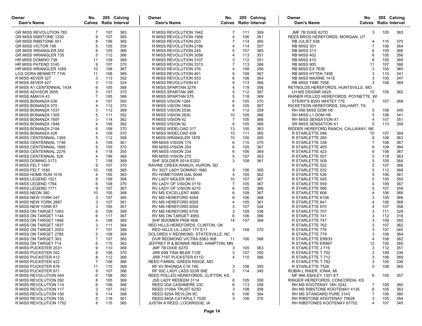| Owner<br>Dam's Name                      | No.            |            | 205 Calving<br><b>Calves</b> Ratio Interval | Owner<br>Dam's Name                              | No.            |            | 205 Calving<br><b>Calves</b> Ratio Interval | Owner<br>Dam's Name                   | No.<br><b>Calves</b> Ratio Interval | 205 Calving |     |
|------------------------------------------|----------------|------------|---------------------------------------------|--------------------------------------------------|----------------|------------|---------------------------------------------|---------------------------------------|-------------------------------------|-------------|-----|
| <b>GR MISS REVOLUTION 783</b>            | 7              | 107        | 363                                         | R MISS REVOLUTION 1942                           | 7              | 111        | 369                                         | JMF 7B DIXIE 627D                     | 3                                   | 105         | 363 |
| GR MISS RIBSTONE 1230                    | 9              | 107        | 365                                         | R MISS REVOLUTION 1956                           | 4              | 106        | 361                                         | REES BROS HEREFORDS, MORGAN, UT       |                                     |             |     |
| <b>GR MISS RIBSTONE 451</b>              | 8              | 106        | 365                                         | R MISS REVOLUTION 203                            | $\overline{7}$ | 114        | 365                                         | RB JULIET 638                         | 4                                   | 115         | 370 |
| <b>GR MISS VICTOR 195</b>                | 5              | 105        | 359                                         | R MISS REVOLUTION 2186                           | 4              | 114        | 357                                         | <b>RB MISS 301</b>                    | 7                                   | 106         | 364 |
| <b>GR MISS WRANGLER 542</b>              | 8              | 105        | 366                                         | R MISS REVOLUTION 245                            | 5              | 107        | 365                                         | <b>RB MISS 313</b>                    | 6                                   | 105         | 366 |
| <b>GR MISS WRANGLER 735</b>              | 5              | 112        | 366                                         | R MISS REVOLUTION 3056                           | 4              | 113        | 351                                         | <b>RB MISS 402</b>                    | 6                                   | 105         | 356 |
| HR MISS DOMINO 738                       | 11             | 109        | 369                                         | R MISS REVOLUTION 3107                           | 3              | 112        | 351                                         | <b>RB MISS 410</b>                    | 6                                   | 105         | 369 |
| HR MISS PATEND 3140                      | 9              | 107        | 370                                         | R MISS REVOLUTION 3313                           | 7              | 113        | 368                                         | <b>RB MISS 905</b>                    | 11                                  | 107         | 368 |
| HR MISS WRANGLER 1059                    | 10             | 108        | 367                                         | R MISS REVOLUTION 376                            | 4              | 108        | 356                                         | RB MISS EX 763E                       | 3                                   | 105         | 365 |
| <b>LCG DORA BENNETT 71W</b>              | 11             | 108        | 369                                         | R MISS REVOLUTION 461                            | 9              | 108        | 367                                         | <b>RB MISS HYTEK 745E</b>             | 3                                   | 110         | 341 |
| R MISS 4EVER 327                         | 3              | 113        | 352                                         | R MISS REVOLUTION 553                            | 6              | 106        | 364                                         | RB MISS MAXINE 141E                   | 3                                   | 105         | 347 |
| R MISS 4EVER 427                         | 3              | 110        | 324                                         | R MISS REVOLUTION 91                             | 9              | 113        | 366                                         | <b>RB MISS TIME 705E</b>              |                                     | 108         | 369 |
| R MISS A1 CENTENNIAL 1434                | 6              | 105        | 368                                         | R MISS SPARTAN 3276                              | 4              | 119        | 356                                         | REYNOLDS HEREFORDS, HUNTSVILLE, MO    |                                     |             |     |
| R MISS ADVISOR 2655                      |                | 107        | 370                                         | R MISS SPARTAN 395                               | 5              | 112        | 367                                         | LH MS DSIGNR 042X                     | 10                                  | 105         | 362 |
| R MISS AMAYA 43                          |                | 105        | 369                                         | R MISS SPARTAN 575                               | 5              | 118        | 369                                         | RHINER POLLED HEREFORDS, POYNETTE, WI |                                     |             |     |
| R MISS BONANZA 036                       |                | 107        | 350                                         | R MISS VISION 1264                               | 6              | 105        | 370                                         | STEINY'S B293 WHITEY 77E              | 3                                   | 107         | 368 |
| R MISS BONANZA 075                       | 4              | 112        | 370                                         | R MISS VISION 1804                               | 6              | 105        | 367                                         | RICKETSON HEREFORDS, DALHART, TX      |                                     |             |     |
| R MISS BONANZA 1037                      | 3              | 112        | 369                                         | R MISS VISION 2536                               | 4              | 112        | 359                                         | RH 456 MISS DOM H5                    | 5                                   | 108         | 349 |
| R MISS BONANZA 1305                      | 5              | 111        | 352                                         | R MISS VISION 2630                               | 10             | 105        | 366                                         | RH MISS L1 DOM H8                     | 5                                   | 106         | 341 |
| R MISS BONANZA 1697                      | 3              | 114        | 362                                         | R MISS VISION 42                                 | 7              | 105        | 368                                         | RH MISS SENSATION X1                  | 4                                   | 107         | 351 |
| R MISS BONANZA 1946                      |                | 106        | 362                                         | R MISS VISION 92                                 | 8              | 105        | 368                                         | <b>SR MISS SENSATION X1</b>           |                                     | 113         | 359 |
| R MISS BONANZA 2184                      | 6              | 108        | 370                                         | R MISS WIDELOAD 317                              | 13             | 105        | 363                                         | RIDDER HEREFORD RANCH, CALLAWAY, NE   |                                     |             |     |
| R MISS BONANZA 426                       |                | 109        | 370                                         | R MISS WIDELOAD 439                              | 10             | 111        | 365                                         | R STARLETTE 046                       | 10                                  | 107         | 364 |
| R MISS CENTENNIAL 1365                   | 5              | 112        | 358                                         | R MISS WRANGLER 1879                             | 10             | 105        | 365                                         | R STARLETTE 260                       | 8                                   | 106         | 363 |
| R MISS CENTENNIAL 1746                   | 4              | 109        | 361                                         | RR MISS VISION 174                               | 6              | 115        | 370                                         | R STARLETTE 338                       |                                     | 106         | 367 |
| R MISS CENTENNIAL 1995                   | 5              | 105        | 370                                         | <b>RR MISS VISION 204</b>                        | 6              | 105        | 367                                         | R STARLETTE 405                       | 6                                   | 109         | 364 |
| R MISS CENTENNIAL 2276                   | 4              | 118        | 355                                         | RR MISS VISION 234                               | 6              | 106        | 369                                         | R STARLETTE 423                       | 6                                   | 106         | 367 |
| R MISS CENTENNIAL 526                    |                | 106        | 369                                         | <b>RR MISS VISION 275</b>                        |                | 107        | 363                                         | R STARLETTE 507                       |                                     | 118         | 363 |
| R MISS DOMINO 3173                       |                | 108        | 369                                         | SHF SOLDIER 001A E202                            | 3              | 108        | 361                                         | R STARLETTE 509                       | 5                                   | 105         | 364 |
| R MISS FELT 1491                         | 9              | 107        | 370                                         | RAVINE CREEK RANCH, HURON, SD                    |                |            |                                             | R STARLETTE 522                       | 5                                   | 107         | 366 |
| R MISS FELT 1550                         | 10             | 106        | 365                                         | RV 3027 LADY DOMINO 1880                         | 9              | 106        | 365                                         | R STARLETTE 532                       | 5                                   | 112         | 368 |
| R MISS HOME RUN 1016                     | $\overline{4}$ | 105        | 363                                         | RV HOMETOWN GAL 6049                             | $\overline{4}$ | 105        | 362                                         | R STARLETTE 536                       |                                     | 106         | 361 |
| R MISS LEGEND 1521                       | 8              | 109        | 368                                         | RV LADY MOLER 9910                               | 10             | 107        | 367                                         | R STARLETTE 545                       | 5                                   | 105         | 355 |
|                                          | 6              | 108        | 370                                         |                                                  | 7              | 105        | 367                                         | R STARLETTE 559                       |                                     | 109         | 367 |
| R MISS LEGEND 1764<br>R MISS LEGEND 1771 | 9              | 107        | 367                                         | RV LADY OF VISION 3119<br>RV LADY OF VISION 4210 | 6              | 105        | 366                                         | R STARLETTE 566                       |                                     | 107         | 359 |
| R MISS NEON 360                          | 10             | 105        | 368                                         | RV MS EXCELLENT 4880                             | 6              | 109        | 367                                         | R STARLETTE 606                       |                                     | 106         | 368 |
| R MISS NEW YORK 047                      | 3              | 107        | 365                                         | RV MS HEREFORD 4054                              | 6              | 106        | 368                                         | R STARLETTE 6106                      |                                     | 105         | 366 |
|                                          | 3              |            |                                             |                                                  | 4              |            |                                             |                                       |                                     |             |     |
| R MISS NEW YORK 2887                     | 3              | 107<br>105 | 361<br>361                                  | RV MS HEREFORD 6005                              | 3              | 105<br>107 | 361                                         | R STARLETTE 641                       | 4                                   | 106<br>107  | 368 |
| R MISS NEW YORK 87                       | 6              | 109        | 369                                         | RV MS HEREFORD 6054                              |                |            | 344<br>338                                  | R STARLETTE 670                       |                                     |             | 358 |
| R MISS ON TARGET 1063                    |                |            |                                             | RV MS HEREFORD 6709                              | 3              | 109        |                                             | R STARLETTE 707                       |                                     | 111         | 329 |
| R MISS ON TARGET 1144                    | 6              | 117        | 367                                         | RV MS ON TARGET 4955                             | 6              | 106        | 366                                         | R STARLETTE 741                       | 3                                   | 112         | 318 |
| R MISS ON TARGET 1466                    | 4              | 108        | 369                                         | SHF BOOMER P606 R08                              | 14             | 107        | 369                                         | R STARLETTE 747                       | 3                                   | 109         | 355 |
| R MISS ON TARGET 1837                    | 3              | 111        | 364                                         | RED HILLS HEREFORDS, CLINTON, OK                 |                |            |                                             | R STARLETTE 762                       | 3                                   | 107         | 362 |
| R MISS ON TARGET 2553                    |                | 107        | 366                                         | RED HILLS LIL LADY 17Y E11                       | 3              | 108        | 370                                         | R STARLETTE 776                       |                                     | 107         | 345 |
| R MISS ON TARGET 2785                    | 5              | 108        | 369                                         | DOLORES V REDMOND, STATESVILLE, NC               |                |            |                                             | R STARLETTE 779                       | 3                                   | 108         | 364 |
| R MISS ON TARGET 363                     |                | 107        | 365                                         | DVR REDMOND VICTRA S563 908                      | 11             | 106        | 368                                         | R STARLETTE ER633                     |                                     | 108         | 362 |
| R MISS ON TARGET 714                     | 6              | 115        | 363                                         | JEFFREY R & BONNIE REED, HAMPTON, MN             |                |            |                                             | R STARLETTE ER867                     | 12                                  | 105         | 365 |
| R MISS PUCKSTER 2031                     | 9              | 110        | 369                                         | JMF 7B DIXIE 627D                                | 3              | 105        | 363                                         | R STARLETTE J 719                     | 3                                   | 112         | 351 |
| R MISS PUCKSTER 352                      | 8              | 106        | 370                                         | JRR 65B TINA BEAR 712E                           | 3              | 107        | 350                                         | R STARLETTE T 702                     | 3                                   | 109         | 336 |
| R MISS PUCKSTER 412                      | 8              | 112        | 369                                         | JRR 719T PUCKSTER 611D                           | 4              | 110        | 366                                         | R STARLETTE T 712                     | 3                                   | 106         | 369 |
| R MISS PUCKSTER 422                      |                | 106        | 366                                         | REED FARMS, GREEN RIDGE, MO                      |                |            |                                             | R STARLETTE T 792                     | 3                                   | 105         | 336 |
| R MISS PUCKSTER 678                      | 11             | 115        | 369                                         | RF 4V RHONDA C16 74E                             | 3              | 106        | 350                                         | R STARLETTE T526                      | 5                                   | 108         | 365 |
| R MISS PUCKSTER 971                      | 9              | 107        | 366                                         | RF 93C LADY LASS 023R 89E                        | 3              | 114        | 345                                         | ROBIN L RIKER, IONIA, MI              |                                     |             |     |
| R MISS REVOLUTION 044                    | 6              | 108        | 360                                         | REED POLLED HEREFORDS, CLIFTON, KS               |                |            |                                             | <b>MF 966 ASHLEY 1301 ET</b>          | 6                                   | 105         | 357 |
| R MISS REVOLUTION 092                    | 8              | 105        | 369                                         | JSS LADY REDEEM 3114                             | 8              | 105        | 358                                         | RINGER HEREFORDS, CONCORDIA, KS       |                                     |             |     |
| R MISS REVOLUTION 114                    | 6              | 106        | 366                                         | REED 20A CASHMERE 23C                            | 6              | 113        | 358                                         | RH MS KOOTENAY 18H 3242               |                                     | 106         | 360 |
| R MISS REVOLUTION 117                    | 3              | 107        | 342                                         | REED 3109A TRUST 623D                            | 3              | 108        | 358                                         | RH MS RIBSTONE KOOTENAY 4135          | 6                                   | 105         | 363 |
| R MISS REVOLUTION 150                    | 9              | 114        | 368                                         | REED 825A REVLON 9C                              | 6              | 106        | 364                                         | RH MS STANDARD PURE 3143              | 7                                   | 109         | 360 |
| R MISS REVOLUTION 155                    | 5              | 116        | 361                                         | REED 840A CATAPULT 702E                          | 3              | 106        | 370                                         | RH RIBSTONE KOOTENAY 70628            | 3                                   | 105         | 354 |
| R MISS REVOLUTION 1752                   | 8              | 115        | 365                                         | JUSTIN A REED, LOCKRIDGE, IA                     |                |            |                                             | RH RIBSTONES KOOTENAY 67702           | 4                                   | 107         | 345 |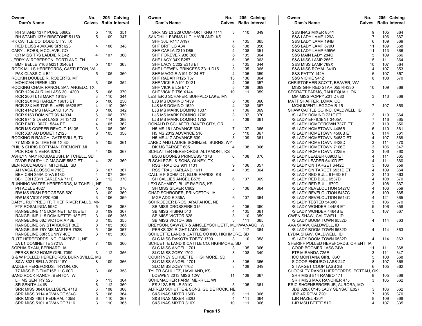| Owner<br>Dam's Name                                                | No.                 |            | 205 Calving<br><b>Calves</b> Ratio Interval | Owner<br>Dam's Name                                         | No.            |            | 205 Calving<br><b>Calves</b> Ratio Interval | Owner<br>Dam's Name                                    | No.            |            | 205 Calving<br>Calves Ratio Interval |
|--------------------------------------------------------------------|---------------------|------------|---------------------------------------------|-------------------------------------------------------------|----------------|------------|---------------------------------------------|--------------------------------------------------------|----------------|------------|--------------------------------------|
| RH STAND 137Y PURE 58602                                           | 5                   | 110        | 351                                         | SRR MS L3 229 COMFORT KNG 7111                              | 3              | 110        | 349                                         | S&S INAS MIXER 854Y                                    | 9              | 105        | 364                                  |
| RH STAND 137Y RIBSTONE 51150                                       | 5                   | 109        | 347                                         | SANDHILL FARMS LLC, HAVILAND, KS                            |                |            |                                             | S&S LADY LAMP 129A                                     | $\overline{7}$ | 106        | 367                                  |
| RK CATTLE CO, DODD CITY, TX                                        |                     |            |                                             | SHF 30U R117 A197                                           | 7              | 105        | 365                                         | S&S LADY LAMP 194B                                     | 6              | 109        | 369                                  |
| RED BLISS 404X346 SRR 623                                          | 4                   | 106        | 348                                         | SHF BRIT LG A34                                             | 6              | 108        | 356                                         | S&S LADY LAMP 679U                                     | 11             | 109        | 368                                  |
| CARY J ROBB, MCCLAVE, CO                                           |                     |            |                                             | SHF CARLA Z210 D85                                          | $\overline{4}$ | 108        | 351                                         | S&S LADY LAMP 695W                                     | 11             | 113        | 366                                  |
| CR MISS TRS LADDIE R D42                                           | 4                   | 107        | 360                                         | SHF FOREVER 936 B86                                         | 6              | 105        | 364                                         | S&S MAIN LADY 284C                                     | 5              | 109        | 366                                  |
| JERRY W ROBERSON, PORTLAND, TN                                     |                     |            |                                             | SHF LACY 34X B257                                           | 6              | 105        | 363                                         | S&S MISS LAMP 255C                                     | 5              | 111        | 364                                  |
| <b>BMF BELLE Y108 G231 0546ET</b>                                  | 5                   | 107        | 363                                         | SHF LACY C202 E318 ET                                       | 3              | 105        | 344                                         | S&S MISS LAMP 789X                                     | 10             | 107        | 364                                  |
| ROCK MILLS HEREFORDS, CASTLETON, VA                                |                     |            |                                             | SHF LOEWEN PRINCESS Z311 D15                                | 3              | 105        | 365                                         | S&S MISS ROYAL 341D                                    | $\overline{4}$ | 107        | 353                                  |
| PAK CLASSIC 4 B11                                                  | 5                   | 105        | 360                                         | SHF MAGGIE A191 D124 ET                                     | $\overline{4}$ | 105        | 359                                         | S&S PATTY 142A                                         | 6              | 107        | 357                                  |
| ROCKIN DOUBLE R. ROBERTS, MT                                       |                     |            |                                             | SHF RADAR R125 T37                                          | 13             | 106        | 364                                         | S&S VICKIE 941Z                                        | 8              | 108        | 370                                  |
| <b>MOHICAN IRENE 43D</b>                                           | 3                   | 106        | 352                                         | SHF VICKIE A191 D121                                        | $\overline{4}$ | 105        | 357                                         | CHRISTOPHER SCOTT, BEAVER, WV                          |                |            |                                      |
| ROCKING CHAIR RANCH, SAN ANGELO, TX                                |                     |            |                                             | SHF VICKIE LG B17                                           | 5              | 108        | 369                                         | MISS GHF RED STAR 055 RH330                            | 10             | 109        | 368                                  |
| RCR 1204 AURUM LASS 30 14200                                       | 5                   | 106        | 370                                         | SHF VICKIE T56 X144                                         | 10             | 111        | 359                                         | SECRATT FARMS, TAHLEQUAH, OK                           |                |            |                                      |
| RCR 2004 L18 MARY 16159                                            | 3                   | 110        | 344                                         | LESTER J SCHAFER, BUFFALO LAKE, MN                          |                |            |                                             | MM MISS POPPY Z01 D 680                                | 3              | 113        | 368                                  |
| RCR 28X MS HARLEY 16613 ET                                         | 5                   | 106        | 250                                         | LJS MS DOMINO 1439                                          | 6              | 108        | 366                                         | MATT SHAFFER, LOMA, CO                                 |                |            |                                      |
| RCR 28X MS TOP SILVER 16628 ET                                     | 4                   | 110        | 360                                         | LJS MS DOMINO 1620                                          | $\overline{4}$ | 108        | 367                                         | <b>MONUMENT LEGGOA B-15</b>                            | 7              | 107        | 359                                  |
| RCR 4142 MS HARLAND 16179                                          | 3                   | 106        | 342                                         | LJS MS MARK DOMINO 1337                                     | $\overline{7}$ | 106        | 369                                         | SHAW CATTLE CO INC, CALDWELL, ID                       |                |            |                                      |
| RCR 9163 DOMINET 96 14034                                          | 6                   | 108        | 370                                         | LJS MS MARK DOMINO 1709                                     | 3              | 107        | 370                                         | /S LADY DOMINO 721E ET                                 | 3              | 110        | 364                                  |
|                                                                    | 7                   | 114        | 368                                         | LJS MS MARK DOMINO 1752                                     | 3              | 106        | 361                                         | /S LADY EFFICIENT 3405A                                | $\overline{7}$ | 116        | 365                                  |
| RCR 974 SILVER LASS 04 13123                                       | 4                   | 105        | 362                                         | DONALD R SCHAFER, BAKER CITY, OR                            |                |            |                                             |                                                        | 3              | 110        | 356                                  |
| <b>RCR FAITH 3027 15344 ET</b>                                     | 3                   |            |                                             |                                                             | 7              |            |                                             | /S LADY HOMEGROWN 737E ET                              | 6              | 110        |                                      |
| RCR MS COPPER REVOLT 16135                                         |                     | 105<br>105 | 369<br>358                                  | <b>H5 MS 161 ADVANCE 334</b>                                | 5              | 107        | 365<br>367                                  | /S LADY HOMETOWN 4485B                                 | 6              | 114        | 361<br>361                           |
| RCR X87 AU DOMET 12125                                             |                     |            |                                             | H5 MS 2012 ADVANCE 516<br><b>H5 MS 417 ADVANCE 639</b>      | 3              | 110<br>109 | 361                                         | /S LADY HOMETOWN 4506B ET<br>/S LADY HOMETOWN 5468C ET | $\overline{4}$ | 107        | 368                                  |
| ROCKING R RANCH, GATESVILLE, TX<br>77 MISS BIG TIME16B 1X 3D       | 5                   |            | 361                                         | JARED AND LAURIE SCHINZEL, BURNS, WY                        |                |            |                                             | /S LADY HOMETOWN 6428D                                 | 3              | 111        | 370                                  |
|                                                                    |                     | 105        |                                             | DK MS TARGET 605                                            | $\overline{4}$ |            |                                             |                                                        | 3              | 106        |                                      |
| PHIL & CHRIS ROTTMAN, FREMONT, MI                                  | $\overline{4}$      | 106        |                                             | SCHLATTER HEREFORDS, ALTAMONT, KS                           |                | 108        | 366                                         | /S LADY HOMETOWN 7106E                                 | 3              | 106        | 347                                  |
| PCR ROBIN VERA 676D                                                |                     |            | 367                                         |                                                             | 6              | 108        | 370                                         | /S LADY HOMETOWN 7225E<br>/S LADY LEADER 6390D ET      | $\overline{4}$ | 111        | 360<br>365                           |
| ASHLYN MAY ROUDABUSH, MITCHELL, SD<br>DVOR ROUDY LC MAGGIE 558C ET |                     |            |                                             | <b>BS03 BOONES PRINCESS 137B</b>                            |                |            |                                             |                                                        | $\overline{4}$ | 111        | 360                                  |
|                                                                    | 4                   | 120        | 369                                         | R SCHLEGEL & SONS, OLNEY, TX<br><b>RSS FRAU CG 901 1131</b> | 9              |            |                                             | /S LADY LEADER 6410D ET<br>/S LADY ON TARGET 6442D     | 3              | 106        |                                      |
| BEN ROUDABUSH, MITCHELL, SD                                        |                     |            |                                             |                                                             | $\overline{4}$ | 106<br>105 | 357                                         |                                                        | 4              |            | 359                                  |
| AH VACA BLOSSOM 716E                                               | 3<br>$\overline{4}$ | 107<br>107 | 367<br>366                                  | RSS FRAU HARLAND 1611                                       |                |            | 364                                         | /S LADY ON TARGET 6531D ET                             | 3              | 109<br>110 | 364<br>363                           |
| BBH CBH 356A DIVA 618D<br>BBH CBH Z311 EARLENA 711E                | 3                   | 112        | 370                                         | CALLIE F SCHMIDT, BLUE RAPIDS, KS<br>SH CALLIES ANGEL B575  | 6              | 107        | 369                                         | /S LADY RED BULL 6166D ET<br>/S LADY RED BULL 6537D    | $\overline{4}$ | 108        | 370                                  |
| RUNNING WATER HEREFORDS, MITCHELL, NE                              |                     |            |                                             | LEXI SCHMIDT, BLUE RAPIDS, KS                               |                |            |                                             | /S LADY RED BULL 679D                                  | 3              | 108        | 367                                  |
| PH ADELE 4627                                                      | 5                   | 108        | 370                                         | SH MISS SILVER C602                                         | 5              | 106        | 364                                         | /S LADY REVELOUTION 5427C                              | $\overline{4}$ | 106        | 359                                  |
| RW MS IRISH PROGRESS 620                                           | 3                   | 109        | 369                                         | CHAD SCHRODER, PRINCETON, IA                                |                |            |                                             | /S LADY REVELOUTION 5437C                              | 5              | 109        | 365                                  |
| RW MS VICKY P20 606                                                | 3                   | 106        | 359                                         | MGF ADDIE 335A                                              | 6              | 107        | 364                                         | /S LADY REVELOUTION 5514C                              | $\overline{4}$ | 121        | 365                                  |
| DARYL RUPPRECHT, THIEF RIVER FALLS, MN                             |                     |            |                                             | SCHROEDER BROS, ARAPAHOE, NE                                |                |            |                                             | /S LADY TESTED 5430C                                   | 5              | 106        | 370                                  |
| FTF ROSALINDA 593C                                                 | 5                   | 106        | 363                                         | SB MISS CROSSFIRE 315                                       | 6              | 106        | 360                                         | /S LADY WONDER 4445B ET                                | 5              | 106        | 358                                  |
| RANGELINE 115 DOMINETTE108E ET                                     | 3                   | 109        | 367                                         | SB MISS RISING 540                                          | $\overline{4}$ | 105        | 361                                         | /S LADY WONDER 4464B ET                                | 5              | 107        | 367                                  |
| RANGELINE 115 DOMINETTE118E ET                                     | 3                   | 106        | 355                                         | SB MISS VICTOR 628                                          | 3              | 110        | 359                                         | GWEN SHAW, CALDWELL, ID                                |                |            |                                      |
| RANGELINE 68Z VICTORIA 48E                                         | 3                   | 105        | 355                                         | SB MISS VICTOR 669                                          | 3              | 111        | 365                                         | /S LADY BOOM TOWN 6532D                                | $\overline{4}$ | 114        | 363                                  |
| RANGELINE 6W STARBURST 30Z                                         | 8                   | 105        | 366                                         | BREYSON, SAWYER & AINSLEYSCHUETT, MUKWANAGO, WI             |                |            |                                             | AVA SHAW, CALDWELL, ID                                 |                |            |                                      |
| RANGELINE 76Y MS MASTER 752B                                       | 5                   | 106        | 367                                         | PERKS 320 RIGHT LADY 6059                                   | 4              | 117        | 364                                         | /S LADY BOOM TOWN 6532D                                | $\overline{4}$ | 114        | 363                                  |
| RANGELINE 88R SUNNY 40E                                            | 3                   | 105        | 360                                         | SCHUETTE LAND & CATTLE CO INC, HIGHMORE, SD                 |                |            |                                             | LYDIA SHAW, CALDWELL, ID                               |                |            |                                      |
| RUTT HEREFORDS INC, CAMPBELL, NE                                   |                     |            |                                             | SLC MISS DAKOTA TOBEY 1709                                  | 3              | 110        | 358                                         | /S LADY BOOM TOWN 6532D                                | $\overline{4}$ | 114        | 363                                  |
| JA L1 DOMINETTE 3721A                                              | $7^{\circ}$         | 108        | 360                                         | SCHUETTE LAND & CATTLE CO, HIGHMORE, SD                     |                |            |                                             | SHERIFF POLLED HEREFORDS, ORIENT, IA                   |                |            |                                      |
| SOPHIA RYAN, BERNARD, IA                                           |                     |            |                                             | SLC MISS ANGEL 1701                                         | 3              | 105        | 366                                         | COOP BOOMER LASS 74W                                   | 11             | 111        | 368                                  |
| PERKS 5032 HOME GIRL 7099                                          |                     |            | 3 112 356                                   |                                                             | 3              | 108        | 349                                         |                                                        | 3              | 111        | 347                                  |
| S & W POLLED HEREFORDS, BURNSVILLE, MS                             |                     |            |                                             | SLC MISS ZOEY 1702<br>COURTNEY SCHUETTE, HIGHMORE, SD       |                |            |                                             | FTF MIRANDA 725E<br><b>ICC MONTANA GIRL 186C</b>       | 5              | 108        | 368                                  |
| S&W 8021 BELLA 297U 18Y                                            | 8                   | 109        | 366                                         | SLC MISS ANGEL 1701                                         | 3              |            | 366                                         | S COOP ENDURO LASS 24Z                                 | 8              | 107        |                                      |
| SADLER HEREFORDS, TRYON, OK                                        |                     |            |                                             | SLC MISS ZOEY 1702                                          | 3              | 105<br>108 | 349                                         | S TARGET COOP LASS 3B                                  | 6              | 105        | 368<br>362                           |
| 77 MISS BIG TIME16B 11C 60D                                        |                     | 106        | 358                                         | TYLER SCHULTZ, HAVILAND, KS                                 |                |            |                                             | SHOCKLEY RANCH HEREFORDS, POTEAU, OK                   |                |            |                                      |
|                                                                    | 3                   |            |                                             |                                                             |                |            |                                             | SRH MISS 814 RAMBO 171                                 |                |            |                                      |
| SAND ROCK RANCH, BENTON, WI                                        |                     |            |                                             | LOEWEN 2013 MISS 12W                                        | 11             | 108        | 367                                         |                                                        | 8              | 105        | 368                                  |
| LH MS SENTRY 525                                                   | 5                   | 113        | 364                                         | SCHUMACHER FARM, MERRILL, WI                                |                |            |                                             | SRH MISS MAX RANCHER 475                               | 3              | 105        | 362                                  |
| SR SENITA 441B                                                     | 6                   | 112        | 360                                         | <b>FS 312A BELLE 501C</b>                                   | 5              | 105        | 361                                         | ERIC SHOENBERGER JR, AURORA, MO                        |                |            |                                      |
| SRR MISS 084X BULLSEYE 471B                                        | 6                   | 108        | 368                                         | ALFRED SCHUTTE & SONS. GUIDE ROCK, NE                       |                |            |                                             | JDB 028X C145 LADY SENSAT E027                         | 3              | 106        | 362                                  |
| SRR MISS 3114 ADVANCE 534C                                         | 5                   | 106        | 364                                         | S&S INAS MIXER 166B                                         | 6              | 111        | 366                                         | JDB 4R REVA Z201                                       | $\overline{7}$ | 105        | 370                                  |
| SRR MISS 485T FEDERAL 405B                                         | 6                   | 110        | 367                                         | S&S INAS MIXER 332D                                         | 4              | 111        | 364                                         | LJR HAZEL 420Y                                         | 8              | 109        | 368                                  |
| SRR MISS 5101 ADVANCE 7116                                         | 3                   | 110        | 365                                         | S&S INAS MIXER 810X                                         | 10             | 111        | 366                                         | LJR MSU BETTE 51D                                      | $\overline{4}$ | 107        | 335                                  |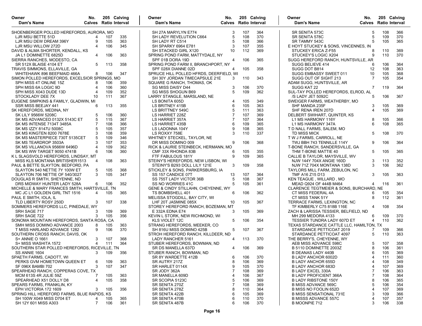| Owner<br>Dam's Name                           | No.            |     | 205 Calving<br><b>Calves</b> Ratio Interval | Owner<br>Dam's Name                     | No.<br><b>Calves</b> Ratio Interval |     | 205 Calving | Owner<br>Dam's Name                      | No.                   | 205 Calving<br><b>Calves</b> Ratio Interval |     |
|-----------------------------------------------|----------------|-----|---------------------------------------------|-----------------------------------------|-------------------------------------|-----|-------------|------------------------------------------|-----------------------|---------------------------------------------|-----|
| SHOENBERGER POLLED HEREFORDS, AURORA, MO      |                |     |                                             | SH 27A MARYLYN E774                     | 3                                   | 107 | 364         | SR SENITA 573C                           | 5                     | 108                                         | 366 |
| LJR MSU BETTE 51D                             |                | 107 | 335                                         | SH LADY REVELUTION C664                 | 5                                   | 108 | 370         | SR SENITA 578C                           | 5                     | 109                                         | 370 |
| LJR MSU DEW DREAM 396Y                        | 9              | 105 | 363                                         | SH LADY RT C514                         | 5                                   | 108 | 366         | SR TAMMY 543C                            | 5                     | 105                                         | 365 |
| LJR MSU WILLOW 272D                           | 4              | 106 | 345                                         | SH SPARKY 6964 E781                     | 3                                   | 107 | 355         | E HOYT STUCKEY & SONS, VINCENNES, IN     |                       |                                             |     |
| DAVID & ALMA SHORTER, KENDALL, KS             |                |     |                                             | SH STACKED GIRL X120                    | 10                                  | 112 | 369         | STUCKEY ERICA Z-F55                      | -8                    | 110                                         | 369 |
| JA L1 DOMINETTE 6825D                         | 4              | 106 | 363                                         | SPRING POND FARM, MATTYDALE, NY         |                                     |     |             | STUCKEY'S LOGIC X204                     | g                     | 110                                         | 370 |
| SIERRA RANCHES, MODESTO, CA                   |                |     |                                             | SPF 01B DORA 19D                        | 4                                   | 106 | 365         | SUGG HEREFORD RANCH, HUNTSVILLE, AR      |                       |                                             |     |
| <b>SR 512X BLAISE 4104 ET</b>                 | 5              | 113 | 358                                         | SPRING POND FARM II, BRANCHPORT, NY     |                                     |     |             | SUGG BELIEVE 414                         | 6                     | 106                                         | 364 |
| TRAVIS SIMMONS, ELLAVILLE, GA                 |                |     |                                             | SPF 028X DIANNE 02D                     | 4                                   | 105 | 358         | SUGG DOT B814                            | 12                    | 108                                         | 363 |
| WHITEHAWK 896 BEEFMAID 466A                   | 8              | 106 | 347                                         | SPRUCE HILL POLLED HFRDS, DEERFIELD, WI |                                     |     |             | SUGG EMBASSY SWEET 011                   | 10                    | 105                                         | 368 |
| SIMON POLLED HEREFORDS, EXCELSIOR SPRINGS, MO |                |     |                                             | SH 30Y JORDAN TIMECAPSULE 21E           | 3                                   | 110 | 343         | SUGG OUT OF SIGHT 213                    | $\overline{7}$        | 105                                         | 354 |
| SPH MISS 4T ONLINE 15Z                        | 8              | 106 | 359                                         | SQUARE G RANCH, THOMAS, OK              |                                     |     |             | ADAM SUGG, HUNTSVILLE, AR                |                       |                                             |     |
| SPH MISS 6A LOGIC 9D                          | 4              | 106 | 360                                         | <b>SG MISS DAISY D44</b>                | 3                                   | 106 | 370         | SUGG KAT 22                              | 7                     | 119                                         | 364 |
| SPH MISS X043 DUDE 13D                        | 4              | 109 | 352                                         | <b>SG MISS SHOGUN B69</b>               | 5                                   | 109 | 362         | SUL-TAY POLLED HEREFORDS, ELROD, AL      |                       |                                             |     |
| STOCKLADY DEE 7X                              | 10             | 111 | 367                                         | LARRY STANGLE, MARSLAND, NE             |                                     |     |             | /S LADY JET 5092C                        | 5                     | 106                                         | 367 |
| EUGENE SIMPKINS & FAMILY, GLADWIN, MI         |                |     |                                             | LS BONITA 605D                          | 4                                   | 105 | 349         | SWEIGER FARMS, WEATHERBY, MO             |                       |                                             |     |
| SSR MISS BEEJAY 441                           | 6              | 113 | 355                                         | LS BRITNEY 415B                         | 6                                   | 105 | 363         | SHF MANDA 235F                           | -3                    | 105                                         | 369 |
| SK HEREFORDS, MEDINA, NY                      |                |     |                                             | LS BRITTNEY 549C                        | 5                                   | 111 | 363         | SHF RENA IREN 207D                       | $\boldsymbol{\Delta}$ | 105                                         | 369 |
| <b>SK LILY 9566W 5208C</b>                    | 5              | 106 | 360                                         | LS HARRIET 228Z                         | $\overline{7}$                      | 107 | 369         | DELBERT SWIHART, QUINTER, KS             |                       |                                             |     |
| SK MS ADVANCED 0132X 5143C ET                 | 5              | 115 | 367                                         | LS HARRIET 357A                         | $\overline{7}$                      | 107 | 364         | L1 MS HARMONY 116Y                       | 8                     | 105                                         | 366 |
| SK MS INTENSE 7134T 3485A                     | $\overline{7}$ | 108 | 366                                         | LS HARRIET 435B                         | 6                                   | 109 | 365         | L1 MS HARMONY 347A                       | 6                     | 108                                         | 365 |
| SK MS IZZY 8147U 5008C                        | 5              | 105 | 357                                         | LS LADONNA 104Y                         | 9                                   | 108 | 365         | T D NALL FARMS, SALEM, MO                |                       |                                             |     |
| SK MS KINGTEN 8200 7678E                      | 3              | 108 | 359                                         | LS ROXXY 758E                           | 3                                   | 110 | 337         | TD MISS MICK                             | 5                     | 108                                         | 370 |
| SK MS MASTERPIECE 730T 5135CET                | 5              | 109 | 346                                         | WHITNEY STECKEL, TAYLOR, NE             |                                     |     |             | T W J FARMS, CARROLL, NE                 |                       |                                             |     |
| SK MS TEARDROP 3503A                          | 3              | 107 | 353                                         | DR MISS DOMINO 009                      | 9                                   | 106 | 368         | TWJ BBH 743 TENNILLE 114Y                | 9                     | 106                                         | 364 |
| SK MS VILLANOVA 9566W 6496D                   | 4              | 109 | 362                                         | RICK & LAURIE STEINBECK, HERMANN, MO    |                                     |     |             | T-BONE RANCH, SANDERSVILLE, GA           |                       |                                             |     |
| <b>SK MS WW TARGET 9050 4741B</b>             | 6              | 106 | 360                                         | CMF 33X RHONDA 83B                      | 6                                   | 105 | 355         | THM T-BONE MATTIE 40                     | 5                     | 105                                         | 365 |
| K L SLAGSVOLD HEREFORDS, LINDSAY, MT          |                |     |                                             | FTF FABULOUS 181Y                       | 9                                   | 109 | 365         | CALLIE B TAYLOR, MAYSVILLE, WV           |                       |                                             |     |
| MISS KLS MONTANA BRITISHER1513                | 4              | 108 | 363                                         | STEINY'S HEREFORDS, NEW LISBON, WI      |                                     |     |             | NJW 144Y 704X ANGIE 160D                 | 3                     | 113                                         | 352 |
| PAUL & BETTE SLAYTON, BEDFORD, PA             |                |     |                                             | STEINY'S B293 DOLL LILY 121E            | 3                                   | 109 | 358         | NJW 71Z 704X MONTANA 138D                | 3                     | 106                                         | 362 |
| SLAYTON 540 NETTIE 7Y 100W ET                 | 5              | 105 | 368                                         | STICKLEY & SONS, PARKERSBURG, IA        |                                     |     |             | TAYLORS MILL FARM, ZEBULON, NC           |                       |                                             |     |
| SLAYTON 706 NETTIE OF 540/3027                | 3              | 105 | 347                                         | SS 157 CANDICE 07T                      | 13                                  | 107 | 364         | TMF A16 Z15 D13                          | 3                     | 105                                         | 363 |
| DOUGLAS R SMITH, SHEYENNE, ND                 |                |     |                                             | SS 755T LADY VICTOR 36B                 | 5                                   | 108 | 367         | KEN TEAGUE, WILLARD, MO                  |                       |                                             |     |
| DRS MIDWAY HUNTER LADY 528A                   | 6              | 106 | 352                                         | SS NO WORRIES 41C                       | 5                                   | 105 | 361         | MEAD Q924 OF 444B M464                   | 4                     | 116                                         | 361 |
| MICHELLE & MARY FRANCES SMITH, HARTSVILLE, TN |                |     |                                             | GENE & CINDY STILLAHN, CHEYENNE, WY     |                                     |     |             | CLARENCE TEGTMEIER & SONS, BURCHARD, NE  |                       |                                             |     |
| MC JC L1 GOLDEN GIRL TNT 1516                 | 4              | 105 | 365                                         | TS BOMBSHELL 401                        | 6                                   | 106 | 362         | CT MISS FEDERAL 4A                       | 6                     | 105                                         | 354 |
| PAUL E SMITH, IOLA, IL                        |                |     |                                             | MELISSA STOGDILL, BAY CITY, WI          |                                     |     |             | CT MISS TANK 51Y                         | 8                     | 112                                         | 361 |
| TLD LIBERTY ROSY 250D                         |                | 107 | 338                                         | LHF 20T JASMINE 085X                    | 10                                  | 105 | 367         | TERRACE FARMS, LEXINGTON, NC             |                       |                                             |     |
| SOMMERS HEREFORDS LLC, PINEDALE, WY           |                |     |                                             | STOREY HEREFORD RANCH, BOZEMAN, MT      |                                     |     |             | TF KIMBERLY C75 818B 116E                | $\overline{4}$        | 108                                         | 354 |
| SRH SAGE 717                                  | 3              | 109 | 369                                         | E 332A EDNA E74                         | 3                                   | 105 | 369         | ZACH & LARISSA TESSIER, BELFIELD, ND     |                       |                                             |     |
| SRH SAGE 722                                  | 3              | 105 | 356                                         | KEVIN L STORK, NEW RICHMOND, WI         |                                     |     |             | MH 299 MEDORA 4133                       | 6                     | 109                                         | 370 |
| SONOMA MOUNTAIN HEREFORDS, SANTA ROSA, CA     |                |     |                                             | KLS VIOLET 12C                          | 5                                   | 106 | 354         | <b>TESSIER TUNDRA LADY 607D ET</b>       | 4                     | 110                                         | 362 |
| SMH MISS DOMINO ADVANCE 2003                  | 8              | 105 | 363                                         | STRANG HEREFORDS, MEEKER, CO            |                                     |     |             | TEXAS STARDANCE CATTLE LLC, HAMILTON, TX |                       |                                             |     |
| T MISS HARLAND ADVANCE 1282                   | 9              | 106 | 370                                         | SH 816U MISS DOMINO 425B                | 5                                   | 107 | 367         | STARDANCE PETTICOAT 2019                 | 7                     | 109                                         | 366 |
| SOUTHERN CROSS RANCH, DAVIS, OK               |                |     |                                             | STROH HEREFORD RANCH, KILLDEER, ND      |                                     |     |             | STARDANCE PETTICOAT 4097                 | 5                     | 110                                         | 363 |
| S+ ANNIE O 1661                               | 3              | 107 | 368                                         | LADY RANCHER 5161                       | 4                                   | 113 | 370         | THE BERRY'S, CHEYENNE, WY                |                       |                                             |     |
| S+ MISS WASHITA 1572                          | $\overline{4}$ | 111 | 364                                         | STUBER HEREFORDS, BOWMAN, ND            |                                     |     |             | AEB MISS ADVANCE 598C                    | 5                     | 107                                         | 358 |
| SOUTHERN STAR POLLED HEREFORDS, RICEVILLE, TN |                |     |                                             | SR DS MANELLA 637D                      | 4                                   | 106 | 369         | B 5110 DOMINETTE 2003Z                   | 8                     | 106                                         | 361 |
| SS ANNIE 1604                                 |                | 109 | 356                                         | STUBER RANCH, BOWMAN, ND                |                                     |     |             | <b>B DEANAS LADY 440B</b>                | 6                     | 105                                         | 369 |
| SPAETH FARMS, CADOTT, WI                      |                |     |                                             | SR 8Y WARDETTE 412B                     | 6                                   | 106 | 370         | B LADY ANCHOR 6002D                      | $\overline{4}$        | 111                                         | 360 |
| PERKS GVM HOMETOWN QUEEN ET                   | 6              | 109 | 363                                         | SR AUTRY 217Z                           | 8                                   | 106 | 369         | <b>B LADY ANCHOR 655D</b>                | $\overline{4}$        | 108                                         | 349 |
| SF 096X BAMBI 702                             | 3              | 107 | 347                                         | SR HARLET 0114X                         | 9                                   | 105 | 370         | B LADY ANCHOR 683D                       | $\overline{4}$        | 107                                         | 369 |
| SPEARHEAD RANCH, COPPERAS COVE, TX            |                |     |                                             | SR JODY 362A                            | $\overline{7}$                      | 108 | 369         | <b>B LADY EXCEL 330A</b>                 |                       | 106                                         | 363 |
| MCM 613S 4R JULIE 59Z                         | 7              | 105 | 363                                         | SR MANELLA 609D                         | 4                                   | 106 | 367         | <b>B LADY PROFICIENT 366A</b>            |                       | 108                                         | 364 |
| SPEARHEAD X51 DOLLY D8                        | 4              | 105 | 358                                         | SR SCOPIA 5123C                         | 5                                   | 106 | 369         | <b>B LADY RIBSTONE 150Y</b>              | 8                     | 106                                         | 365 |
| SPEARS FARMS, FRANKLIN, KY                    |                |     |                                             | SR SENITA 270Z                          | 7                                   | 108 | 369         | <b>B MISS ADVANCE 569C</b>               | 5                     | 106                                         | 354 |
| EPH VICTORIA 172 1609                         | 3              | 105 | 356                                         | SR SENITA 278Z                          | 8                                   | 110 | 364         | B MISS NO FOOLIN 652D                    | 4                     | 107                                         | 369 |
| SPRING HILL HEREFORD FARMS, BLUE RAPIDS, KS   |                |     |                                             | SR SENITA 422B                          | 6                                   | 105 | 369         | <b>B MISS SENSATIONAL 731E</b>           | 3                     | 109                                         | 366 |
| SH 100W X049 MISS D704 ET                     | 4              | 105 | 365                                         | SR SENITA 470B                          | 6                                   | 110 | 370         | <b>B MISSS ADVANCE 557C</b>              | $\overline{4}$        | 107                                         | 357 |
| SH 12Y 601 MISS A303                          | $\overline{7}$ | 106 | 361                                         | SR SENITA 487B                          | 6                                   | 106 | 370         | B MOONPIE 712                            | 3                     | 106                                         | 338 |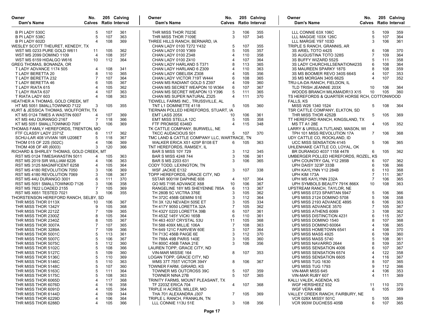| Owner<br>Dam's Name                                  | No.            |            | 205 Calving<br>Calves Ratio Interval | Owner<br>Dam's Name                                              | No.     |            | 205 Calving<br>Calves Ratio Interval | Owner<br>Dam's Name                                       | No.          |            | 205 Calving<br>Calves Ratio Interval |
|------------------------------------------------------|----------------|------------|--------------------------------------|------------------------------------------------------------------|---------|------------|--------------------------------------|-----------------------------------------------------------|--------------|------------|--------------------------------------|
| B PI LADY 530C                                       | 5              | 107        | 361                                  | THR MISS THOR 7023E                                              | 3       | 106        | 355                                  | LLL CONNIE 63X 106C                                       | 5            | 109        | 359                                  |
| B PI LADY 538C                                       | 5              | 107        | 363                                  | THR MISS THOR 7109E                                              | 3       | 107        | 345                                  | LLL MAGGIE 103X 126C                                      | 5            | 107        | 364                                  |
| B PI LADY 602D                                       |                | 108        | 369                                  | THREE HILLS RANCH, BERNARD, IA                                   |         |            |                                      | LLL MARGIE Y97 103D                                       | 3            | 106        | 361                                  |
| WESLEY SCOTT THEURET, KENEDY, TX                     |                |            |                                      | CHAN LADY 0100 T272 Y432                                         | 5       | 107        | 355                                  | TRIPLE S RANCH, GRANNIS, AR                               |              |            |                                      |
| WST MS 0233 PURE GOLD W611                           | 11             | 105        | 362                                  | CHAN LADY 0100 Y369                                              |         | 105        | 357                                  | 3S ARIEL TOTO 442S                                        | 6            | 108        | 370                                  |
| WST MS 2099 DOMINO 1109                              | $\overline{4}$ | 108        | 357                                  | CHAN LADY 0100 Z348                                              | 4       | 110        | 358                                  | 3S AUGUSTINA TOTO 328S                                    |              | 109        | 364                                  |
| WST MS 6159 HIDALGO W616                             | 10             | 112        | 364                                  | CHAN LADY 0100 Z410                                              |         | 107        | 364                                  | 3S BUFFY WIZARD 552S                                      |              | 111        | 358                                  |
| GREG THOMAS, BONANZA, OR                             |                |            |                                      | CHAN LADY HARLAND 5 T371                                         | 8       | 113        | 365                                  | 3S LADY CHURCHILLSENATION423S                             | 6            | 108        | 364                                  |
| T LADY ADVANCE 1174 505                              | 4              | 108        | 341                                  | CHAN LADY HARLAND 6 Z309                                         |         | 110        | 363                                  | 3S MAUREEN SPARKY 187S                                    | 8            | 108        | 359                                  |
| T LADY BERETTA 20                                    | 8              | 110        | 365                                  | CHAN LADY OBELISK Z308                                           |         | 105        | 356                                  | 3S MS BOOMER REVO 340S 664S                               | 4            | 107        | 353                                  |
| T LADY BERETTA 232                                   |                | 107        | 364                                  | CHAN LADY VICTOR 719T W444                                       | 6       | 108        | 365                                  | 3S MS MORGAN 340S 662S                                    | 4            | 107        | 352                                  |
| T LADY BERETTA 46                                    |                | 105        | 367                                  | CHAN MS RADIANT GOLD 5 Z397                                      |         | 109        | 360                                  | TRU-LA-DA RANCH, FIELDON, IL                              |              |            |                                      |
| T LADY RIATA 615                                     |                | 105        | 362                                  | CHAN MS SECRET WEAPON 10 W364                                    | 6       | 107        | 367                                  | TLD TRISH JEANNIE 203X                                    | 10           | 106        | 364                                  |
| T LADY RIATA 637                                     |                | 107<br>108 | 363<br>363                           | CHAN MS SECRET WEAPON 13 Y396                                    | 5<br>4  | 111<br>111 | 365<br>370                           | WOODS BRANCH MILKMAIDR13 X15                              | 10           | 105        | 360                                  |
| T RIATA LADY 603<br>HEATHER A THOMAS, GOLD CREEK, MT |                |            |                                      | CHAN MS SUPER NATURAL Z325<br>TIDWELL FARMS INC., TRUSSVILLE, AL |         |            |                                      | TS HEREFORDS & QUARTER HORSE RCH, COTTONWOOD<br>FALLS, KS |              |            |                                      |
| HT MS 5051 SMALLTOWNKID 7122                         | 3              | 105        | 355                                  | TNT L1 DOMINETTE 4118                                            | 5       | 105        | 360                                  | MISS W26 1340 1524                                        | 5            | 108        | 364                                  |
| KURT & JESSICA THOMAS, WOLFFORTH, TX                 |                |            |                                      | TIERNAN POLLED HEREFORDS, STUART, IA                             |         |            |                                      | TSR CATTLE COMPANY, ELKTON, SD                            |              |            |                                      |
| KT MS 0124 TIMES A WASTIN 6007                       | 4              | 107        | 369                                  | EMT LASS 205X                                                    | 10      | 106        | 361                                  | THR MISS THOR 4252B                                       | 5            | 105        | 369                                  |
| KT MS 44U DURANGO 2167                               |                | 118        | 366                                  | <b>EMT MISS STELLA 12C</b>                                       | 5       | 105        | 358                                  | TT HEREFORD RANCH, KINGSLAND, TX                          |              |            |                                      |
| KT MS 5051 SMALLTOWNKID 7097                         | 3              | 106        | 369                                  | FTF PROMISE 6346D                                                | 4       | 115        | 348                                  | <b>MS TT A1 28E</b>                                       | 4            | 105        | 352                                  |
| THOMAS FAMILY HEREFORDS, TRENTON, MO                 |                |            |                                      | TK CATTLE COMPANY, BURWELL, NE                                   |         |            |                                      | LARRY & URSULA TUTLAND, MASON, WI                         |              |            |                                      |
| FTF CLASSY LADY 2371Z                                | 6              | 117        | 362                                  | <b>TKCC AUDACIOUS 501</b>                                        | 5       | 107        | 370                                  | TPH 101 MISS REVOLUTION 17A                               | $\mathbf{7}$ | 106        | 368                                  |
| SCHU-LAR 408 VIVIAN 16R U208ET                       | 5              | 118        | 367                                  | TMC LAND & CATTLE COMPANY LLC. WARTRACE, TN                      |         |            |                                      | UDY CATTLE CO, ROCKLAND, ID                               |              |            |                                      |
| THOM 015 OF 22S (502C)                               |                | 106        | 369                                  | WALKER ERICA X51 425P B108 ET                                    | 6       | 105        | 363                                  | <b>UCC MISS SENSATION 4145</b>                            | 5            | 106        | 365                                  |
| THOM 408 OF 4R (6003)                                | 3              | 120        | 366                                  | TNT HEREFORDS, RAMSEY, IL                                        |         |            |                                      | UHLENHAKE CATTLE CO, LOYAL, OK                            |              |            |                                      |
| RICHARD & SHIRLEY THOMAS, GOLD CREEK, MT             |                |            |                                      | <b>BAR S MISS 10Y 729</b>                                        | 3       | 112        | 345                                  | BR DURANGO 4037 1158 4478                                 | 6            | 105        | 362                                  |
| RST MS 0124 TIMESAWASTIN 5011                        | 4              | 105        | 363                                  | <b>BAR S MISS 4248 744</b>                                       |         | 106        | 361                                  | UMBERGER POLLED HEREFORDS, ROZEL, KS                      |              |            |                                      |
| RST MS 2019 SIR WILLIAM 6226                         |                | 106        | 363                                  | BAR S MS 2203 631                                                | 3       | 106        | 365                                  | UPH COUNTRY GAL Y12 285B                                  | 6            | 107        | 362                                  |
| RST MS 3125 MAGNIFICENT 6258                         |                | 105        | 364                                  | CODY TODD, LEXINGTON, TN                                         |         |            |                                      | UPH DAISY 323P 333B                                       |              | 106        | 366                                  |
| RST MS 4180 REVOLUTION 7050                          | 3              | 106        | 369                                  | <b>WSF JACKIE E132</b>                                           | 3       | 107        | 338                                  | UPH KAYLYNN Y12 284B                                      | 6            | 110        | 368                                  |
| RST MS 4180 REVOLUTION 7069                          | 3              | 108        | 367                                  | TOPP HEREFORDS, GRACE CITY, ND                                   |         |            |                                      | UPH KIM 173A                                              |              | 111        | 367                                  |
| RST MS 44U DURANGO 3001                              | 6              | 111        | 370                                  | 5STAR 9001W DAPHNE 608                                           | 4       | 107        | 364                                  | UPH MS KAYLYNN 232A                                       | 7            | 106        | 365                                  |
| RST MS 5051 SMALLTOWNKID 7126                        | 3              | 106        | 358                                  | GO MS 7195 ADVANCE X68                                           | 10      | 106        | 367                                  | UPH SYMBOLS BEAUTY 791K 866X                              | 10           | 108        | 363                                  |
| RST MS 7822 LOADED 2155                              |                | 105        | 369                                  | RANGELINE 18Y MS SHEYENNE 785A                                   | 6       | 113        | 367                                  | UPSTREAM RANCH, TAYLOR, NE                                |              |            |                                      |
| RST MS X651 TESTED 7021                              | 3              | 106        | 355                                  | TH 280B 5C VICTRA 376E                                           |         | 105        | 362                                  | UPS MISS 0723 SPARTAN 5947                                | 5            | 106        | 366                                  |
| THORSTENSON HEREFORD RANCH, SELBY, SD                |                |            |                                      | TH 372C 456B GEMINI 51E                                          |         | 112        | 364                                  | UPS MISS 2124 DOMINO 5708                                 |              | 106        | 358                                  |
| THR MISS THOR 0113X                                  | 10             | 106        | 367                                  | TH 3X 12U NEVAEH 505E ET                                         | 3       | 105        | 334                                  | UPS MISS 2193 ADVANCE 4895                                | 6            | 106        | 363                                  |
| THR MISS THOR 1342Y                                  | 9              | 105        | 368                                  | TH 417Y 9050 LORETTA 32A                                         | 7       | 105        | 362                                  | UPS MISS ADVANCE 3570                                     |              | 105        | 367                                  |
| THR MISS THOR 2212Z                                  | -7             | 109        | 365                                  | TH 432Y 0220 LORETTA 39B                                         | 6       | 107        | 361                                  | UPS MISS ATHENS 6069                                      |              | 108        | 362                                  |
| THR MISS THOR 2300Z                                  |                | 105        | 364                                  | TH 453Z 145Y VICKI 165B                                          | 6       | 110        | 361                                  | UPS MISS DISTINCTION 4231                                 |              | 115        | 357                                  |
| THR MISS THOR 2340Z                                  | 8              | 105        | 367<br>365                           | TH 463 4037 CRYSTAL 53U                                          | 11<br>7 | 105        | 368                                  | UPS MISS DOMINO 1540<br>UPS MISS DOMINO 60064             |              | 107<br>106 | 368                                  |
| THR MISS THOR 3007A<br>THR MISS THOR 3289A           |                | 107<br>109 | 366                                  | TH 588 409X MILLIE 106A<br>TH 649 121C FAIRVIEW 60E              | 3       | 108<br>107 | 363<br>364                           | UPS MISS HOMETOWN 6541                                    |              | 108        | 365<br>370                           |
| THR MISS THOR 5001C                                  | 5              | 113        | 361                                  | TH 713C 456B PAIGE 6E                                            |         | 112        | 370                                  | UPS MISS MASS 4925                                        |              | 109        | 360                                  |
| THR MISS THOR 5007C                                  | 5              | 106        | 367                                  | TH 788A 49B PARIS 140E                                           |         | 105        | 360                                  | UPS MISS MASS 5740                                        |              | 108        | 361                                  |
| THR MISS THOR 5075C                                  | 5              | 112        | 360                                  | TH 800C 456B TANA 21E                                            | 3       | 106        | 356                                  | UPS MISS NAVARRO 2644                                     |              | 109        | 357                                  |
| THR MISS THOR 5102C                                  | 5              | 108        | 366                                  | LAUREN TOPP, GRACE CITY, ND                                      |         |            |                                      | UPS MISS SENSATION 4006                                   |              | 107        | 367                                  |
| THR MISS THOR 5127C                                  |                | 109        | 360                                  | VIN-MAR MISSIE 164                                               |         | 107        | 353                                  | UPS MISS SENSATION 6574                                   |              | 122        | 358                                  |
| THR MISS THOR 5136C                                  | 5              | 110        | 369                                  | LOGAN TOPP, GRACE CITY, ND                                       |         |            |                                      | UPS MISS SENSATION 6605                                   | 4            | 116        | 367                                  |
| THR MISS THOR 5146C                                  | 5              | 110        | 363                                  | WMS 37T 755T VICTOR 394Y                                         | 8       | 106        | 367                                  | UPS MISS TUG 1630                                         | 8            | 107        | 365                                  |
| THR MISS THOR 5148C                                  | 5              | 107        | 360                                  | TOWNER FARM, GIRARD, KS                                          |         |            |                                      | UPS MISS TUG 1793                                         | 9            | 112        | 366                                  |
| THR MISS THOR 5163C                                  | 5              | 111        | 364                                  | TOWNER MS OUTCROSS 39C                                           | 5       | 107        | 359                                  | VIN-MAR MISS 645                                          | 4            | 106        | 353                                  |
| THR MISS THOR 5175C                                  |                | 108        | 363                                  | <b>TOWNER NINA 27B</b>                                           | 5       | 107        | 365                                  | VIN-MAR RUBY 607                                          | 4            | 111        | 369                                  |
| THR MISS THOR 6065D                                  |                | 117        | 368                                  | TRINITY FARMS, MOUNT PLEASANT, TX                                |         |            |                                      | KALLI VALEK, AGENDA, KS                                   |              |            |                                      |
| THR MISS THOR 6076D                                  |                | 116        | 358                                  | <b>TF 2203Z ERICA 704</b>                                        | 4       | 107        | 368                                  | WGF HERSHEEZ 932                                          | 11           | 110        | 370                                  |
| THR MISS THOR 6091D                                  |                | 105        | 364                                  | TRIPLE H ACRES, MILLER, MO                                       |         |            |                                      | WGF VERA 48B                                              | 6            | 105        | 359                                  |
| THR MISS THOR 6144D                                  | 4              | 109        | 344                                  | THA 701 ALEXANDRA J307                                           | 7       | 105        | 369                                  | VALLEY CREEK RANCH, FAIRBURY, NE                          |              |            |                                      |
| THR MISS THOR 6229D                                  | 4              | 106        | 364                                  | TRIPLE L RANCH, FRANKLIN, TN                                     |         |            |                                      | VCR 028X MISSY 501C                                       | 5            | 105        | 369                                  |
| THR MISS THOR 6288D                                  |                | 105        | 366                                  | LLL CONNIE 113U 51E                                              | 3       | 108        | 356                                  | VCR 993W DUCHESS 405B                                     | 6            | 107        | 365                                  |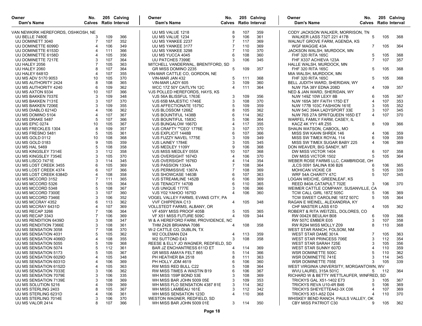| Owner<br>Dam's Name                      | No.                              |            | 205 Calving<br><b>Calves</b> Ratio Interval | Owner<br>Dam's Name                                      | No.                      |            | 205 Calving<br><b>Calves</b> Ratio Interval | Owner<br>Dam's Name                                                 | No.<br><b>Calves</b> Ratio Interval |     | 205 Calving |     |
|------------------------------------------|----------------------------------|------------|---------------------------------------------|----------------------------------------------------------|--------------------------|------------|---------------------------------------------|---------------------------------------------------------------------|-------------------------------------|-----|-------------|-----|
| VAN NEWKIRK HEREFORDS, OSHKOSH, NE       |                                  |            |                                             | UU MS VALUE 1218                                         | 8                        | 107        | 359                                         | CODY JACKSON WALKER, MORRISON, TN                                   |                                     |     |             |     |
| UU BELLE 7480E                           | 3                                | 109        | 366                                         | UU MS VALUE 1234                                         | 9                        | 106        | 361                                         | <b>WALKER LASS 732T 221 417B</b>                                    | 5                                   |     | 105         | 368 |
| UU DOMINETT 3040                         | $\overline{7}$                   | 107        | 352                                         | UU MS YANKEE 2237                                        | $\overline{7}$           | 117        | 369                                         | WALNUT GROVE FARM, AGENDA, KS                                       |                                     |     |             |     |
| UU DOMINETTE 6099D                       | $\overline{4}$                   | 106        | 349                                         | UU MS YANKEE 3177                                        | $\overline{7}$           | 110        | 369                                         | WGF MAGGIE 43A                                                      | 7                                   |     | 105         | 364 |
| UU DOMINETTE 6153D                       | $\overline{4}$                   | 111        | 366                                         | UU MS YANKEE 3298                                        | $\overline{7}$           | 110        | 370                                         | JACKSON WALSH, MURDOCK, MN                                          |                                     |     |             |     |
| UU DOMINETTE 6158D                       | $\overline{4}$                   | 105        | 356                                         | UU MS YUCCA 4045                                         | 6                        | 108        | 360                                         | FHF 320 RITA 165C                                                   | 5                                   |     | 105         | 368 |
| UU DOMINETTE 7217E                       | 3<br>$\overline{7}$              | 107        | 364                                         | UU PATCHES 7399E                                         | 3                        | 106        | 345                                         | FHF X337 ACHIEVA 123A                                               |                                     |     | 107         | 357 |
| UU HALEY 2056<br>UU HALEY 2060           | 8                                | 105<br>107 | 363<br>364                                  | MITCHELL VANDERWAL, BRENTFORD, SD<br>GR MISS DOMINO 2235 | 5                        | 109        | 357                                         | HALLE WALSH, MURDOCK, MN<br>FHF 320 RITA 165C                       | 5                                   |     | 105         | 368 |
| UU HALEY 6481D                           | $\overline{4}$                   | 107        | 355                                         | VIN-MAR CATTLE CO, GORDON, NE                            |                          |            |                                             | MIA WALSH, MURDOCK, MN                                              |                                     |     |             |     |
| <b>UU MS ADV 5170 9053</b>               | 10                               | 105        | 370                                         | VIN-MAR JAN 432                                          | 5                        | 111        | 368                                         | <b>FHF 320 RITA 165C</b>                                            | 5                                   |     | 105         | 368 |
| UU MS AUTHORITY 2424                     | 8                                | 108        | 365                                         | VIN-MAR LADY 605                                         | 3                        | 109        | 360                                         | BELL JUDITH WARD, SHERIDAN, WY                                      |                                     |     |             |     |
| UU MS AUTHORITY 4240                     | 6                                | 109        | 362                                         | WCC 17Z 50Y CAITLYN 12C                                  | $\overline{4}$           | 111        | 364                                         | NJW 75A 38Y EDNA 208D                                               | 4                                   |     | 109         | 357 |
| UU MS AXTON 9334                         | 10                               | 107        | 366                                         | VJS POLLED HEREFORDS, HAYS, KS                           |                          |            |                                             | NED & JAN WARD, SHERIDAN, WY                                        |                                     |     |             |     |
| UU MS BAKKEN 7037E                       | 3                                | 109        | 348                                         | VJS 56A BLISSFUL 1763E                                   | 3                        | 109        | 356                                         | NJW 149Z 10W LEXY 8B                                                | 6                                   |     | 105         | 367 |
| UU MS BAKKEN 7131E                       | 3                                | 107        | 370                                         | VJS 65B MAJESTIC 1746E                                   | 3                        | 108        | 370                                         | NJW 165A 38Y FAITH 175D ET                                          | 4                                   |     | 107         | 353 |
| UU MS BAKKEN 7206E                       | 3                                | 109        | 355                                         | VJS AFFECTIONATE 1575C                                   | 5                        | 109        | 359                                         | NJW 177B 103C FASHION 161E                                          | 3                                   |     | 105         | 352 |
| UU MS DIABLO 6214D                       | $\overline{4}$                   | 106        | 362                                         | VJS BLOSSOM 1268Z                                        | 8                        | 105        | 362                                         | NJW 54C 394A LADYSPORT 33E                                          | 3                                   |     | 107         | 345 |
| UU MS DOMINO 5104                        | $\overline{4}$                   | 107        | 367                                         | VJS BOUNTIFUL 1438B                                      | 6                        | 114        | 362                                         | NJW 76S 27A SPRITQUEEN 165D ET                                      | 4                                   |     | 107         | 370 |
| UU MS DRAKE 5487                         | 5                                | 107        | 366                                         | VJS BOUNTIFUL 1583C                                      | 5                        | 106        | 364                                         | WARFEL FAMILY FARM, CASEY, IL                                       |                                     |     |             |     |
| UU MS EPIC 0274                          | 10                               | 105        | 367                                         | VJS BUNGALOW 1667D                                       | $\overline{4}$           | 117        | 355                                         | KACZ 4K YY1 4R Z55                                                  | 8                                   |     | 109         | 366 |
| UU MS FRECKLES 1304                      | 8                                | 109        | 357                                         | VJS CRAFTY ""CEO' 1776E                                  | 3                        | 107        | 370                                         | SHAUN WATSON, CABOOL, MO                                            |                                     |     |             |     |
| UU MS FRESNO 5481                        | $\overline{5}$                   | 105        | 361                                         | VJS EXPLICIT 1448B                                       | 6                        | 107        | 366                                         | MISS SW KAHN SHREK 146                                              | 4                                   |     | 106         | 359 |
| UU MS GOLD 0112                          | 10                               | 108        | 368                                         | VJS FUZZY NAVEL 1775E                                    | 3                        | 109        | 349                                         | MISS SW TIMEX ROYAL 114                                             | 6                                   |     | 109         | 359 |
| UU MS GOLD 0183                          | 9                                | 105        | 359                                         | VJS LAINEY 1784E                                         | 3                        | 105        | 345                                         | MISS SW TIMEX SUGAR BABY 225                                        | 4                                   |     | 106         | 369 |
| UU MS HAL 5469                           | $\overline{5}$                   | 108        | 358                                         | VJS MEDLEY 1109Y                                         | 9                        | 106        | 368                                         | DON WEAVER, BIG SANDY, MT                                           |                                     |     |             |     |
| UU MS KINGSLEY 7314E                     | 3                                | 112        | 358                                         | VJS MISS MEDLEY 055X                                     | 10                       | 107        | 368                                         | DW MISS VICTOR 1404                                                 | 6                                   |     | 107         | 358 |
| UU MS KINGSLEY 7354E                     | 3                                | 105        | 370                                         | VJS OVERSIGHT 1674D                                      | $\overline{4}$           | 106        | 370                                         | DW MISS VICTOR 1502                                                 | 5                                   |     | 105         | 364 |
| UU MS LISCO 7471E                        | 3                                | 114        | 345                                         | VJS OVERSIGHT 1676D                                      | $\overline{4}$           | 114        | 354                                         | WEBER ROSE FARMS LLC, CAMBRIDGE, OH                                 |                                     |     |             |     |
| UU MS LOST CREEK 3455                    |                                  | 105        | 369                                         | VJS PASSION 1334A                                        | $\overline{7}$           | 108        | 364                                         | <b>JLCS 0091 SALINA 836 B26</b>                                     | 6                                   |     | 106         | 365 |
| UU MS LOST CREEK 4374                    | 6                                | 107        | 366                                         | VJS PERMISSIVE 1367A                                     | $\overline{7}$           | 108        | 369                                         | <b>MOHICAN VICKIE C8</b>                                            |                                     |     | 105         | 339 |
| UU MS LOST CREEK 6384D                   | $\overline{4}$<br>$\overline{7}$ | 108        | 358                                         | VJS SHOWCASE 1463B                                       | 6                        | 107        | 363                                         | WRF 54A CHARITY 47C                                                 |                                     |     | 107         | 345 |
| UU MS MCCORD 3152                        | $\overline{5}$                   | 111<br>105 | 365<br>364                                  | VJS STREAMLINE 1452B                                     | 6<br>6                   | 106<br>110 | 369                                         | LOGAN WEICHE, GREENLEAF, KS                                         | 3                                   |     | 106         |     |
| UU MS MCCORD 5326<br>UU MS MCCORD 5348   | 5                                | 108        | 367                                         | VJS TENACITY 1470B<br>VJS UNIQUE 1777E                   | 3                        | 106        | 365<br>366                                  | REED 840A CATAPULT 702E<br>WEIMER CATTLE COMPANY, SUSANVILLE, CA    |                                     |     |             | 370 |
| UU MS MCCORD 7300E                       | 3                                | 107        | 360                                         | VJS Y02 YAHOO 1675D                                      | $\boldsymbol{\varDelta}$ | 106        | 360                                         | TCW CALL GIRL 187Z 505C                                             | 5                                   |     | 106         | 369 |
| UU MS MCCORD 7346E                       | 3                                | 106        | 352                                         | VOGEL VALLEY FARMS, EVANS CITY, PA                       |                          |            |                                             | TCW SWEET CAROLINE 187Z 507C                                        | 5                                   |     | 105         | 364 |
| UU MS MCCRAY 4352                        | 6                                | 113        | 362                                         | <b>VVF CHIPPEWA C13</b>                                  | 4                        | 105        | 348                                         | RAGAN E WEINEL, ALEXANDRIA, KY                                      |                                     |     |             |     |
| UU MS MCCRAY 6431D                       | $\overline{4}$                   | 107        | 369                                         | VOLLSTEDT FARMS, ALBANY, OR                              |                          |            |                                             | CHF MASTER LASS 61D                                                 | 4                                   |     | 105         | 362 |
| UU MS RECAP 3266                         |                                  | 106        | 364                                         | VF 459Y MISS PROOF 405B                                  | 5                        | 105        | 365                                         | ROBERT & RITA WEITZEL, DOLORES, CO                                  |                                     |     |             |     |
| UU MS RECAP 3343                         | 7                                | 106        | 369                                         | VF X51 MISS FUTURE 509C                                  | 4                        | 109        | 344                                         | RW 0042X BEULAH B08                                                 | 6                                   |     | 109         | 366 |
| UU MS RENDITION 6439D                    | 3                                | 108        | 347                                         | W & A HEREFORD FARM, PROVIDENCE, NC                      |                          |            |                                             | RW 507C EMBER E05                                                   | 3                                   |     | 107         | 358 |
| UU MS RENDITION 7366E                    | 3                                | 108        | 361                                         | THM Z426 BRIANNA 7086                                    | 4                        | 108        | 358                                         | RW R294 MISS MOLLY Z09                                              | 8                                   |     | 110         | 368 |
| UU MS SENSATION 3058                     | $\overline{7}$                   | 108        | 370                                         | W-2 CATTLE CO, DUBLIN, TX                                |                          |            |                                             | WEST STAR RANCH, FOLSOM, NM                                         |                                     |     |             |     |
| UU MS SENSATION 4031                     | 5                                | 105        | 362                                         | W2 COLEMAN D24                                           | 4                        | 113        | 359                                         | WEST STAR DAME 301A                                                 |                                     |     | 105         | 363 |
| UU MS SENSATION 4066D                    | $\overline{4}$                   | 108        | 355                                         | W2 SUTTOND E43                                           | 3                        | 108        | 358                                         | <b>WEST STAR PRINCESS 706E</b>                                      | 3                                   |     | 112         | 354 |
| UU MS SENSATION 5055                     | 5                                | 109        | 368                                         | REESE & ELLY JO WAGNER, REDFIELD, SD                     |                          |            |                                             | WEST STAR SARAH 725E                                                |                                     |     | 105         | 356 |
| UU MS SENSATION 5074                     | 5                                | 112        | 361                                         | <b>BAR JZ ENCHANTRESS 611D ET</b>                        | 4                        | 114        | 369                                         | WEST STAR SUNNY 607D                                                | 4                                   |     | 110         | 359 |
| UU MS SENSATION 5173                     | 5                                | 105        | 367                                         | GR MISS AMAYA FELT 865                                   | 5                        | 114        | 366                                         | WSR DOMINETTE 500C                                                  | 5                                   |     | 110         | 362 |
| UU MS SENSATION 6029D                    | 4                                | 105        | 348                                         | PH HEATHER BA 2518                                       | 8                        | 111        | 363                                         | WSR DOMINETTE 741E                                                  | 3                                   |     | 114         | 345 |
| UU MS SENSATION 6031D                    | $\overline{4}$                   | 106        | 369                                         | PH HOLLY JDM 4619                                        | 6                        | 106        | 360                                         | WSR DOMINETTE 755E                                                  | 3                                   |     | 105         | 339 |
| UU MS SENSATION 6152D                    | 4                                | 105        | 363                                         | RW MISS RED BULL C22                                     | 5                        | 108        | 364                                         | WEST VIRGINIA UNIVERSITY, MORGANTOWN, WV                            |                                     |     |             |     |
| UU MS SENSATION 7033E                    | 3                                | 106        | 362                                         | RW MISS TIMES A WASTIN B19                               | 6                        | 106        | 367                                         | WVU LAUREL 315A 501C                                                | 5                                   | 112 |             | 364 |
| UU MS SENSATION 7079E                    | 3                                | 106        | 335                                         | WH MISS 159P BOND 53E                                    | 3                        | 108        | 369                                         | RICHARD W & BETTY WETTLAUFER, WINFRED, SD                           |                                     |     |             |     |
| UU MS SENSATION 7139E                    | 3                                | 108        | 369                                         | WH MISS BAR JOHN 5009 05E                                | 3                        | 109        | 353                                         | <b>TRICKYS GAL X51-1402 E73</b>                                     | 3                                   |     | 105         | 367 |
| UU MS SOLUTION 5216                      |                                  | 109        | 369                                         | WH MISS FLO SENSATION 4387 81E                           | 3                        | 114        | 362                                         | TRICKYS REVA U10-4R B46                                             | 5                                   |     | 106         | 369 |
| UU MS STERLING 2403                      | 8                                | 105        | 367                                         | WH MISS LAMBEAU 161E                                     | 3                        | 112        | 342                                         | TRICKYS SHEYETTEA42-3X C06                                          | 4                                   |     | 107         | 369 |
| UU MS STERLING 6231D                     |                                  | 106        | 361                                         | WH MISS SENSATION 123D                                   | $\overline{4}$           | 110        | 368                                         | <b>TRICKYS X51-A52 D24</b>                                          | 4                                   |     | 110         | 370 |
| UU MS STERLING 7014E<br>UU MS VALOR 2414 | 3<br>8                           | 106<br>107 | 370<br>366                                  | WESTON WAGNER, REDFIELD, SD<br>WH MISS BAR JOHN 5009 01E | 3                        | 114        | 350                                         | WHISKEY BEND RANCH, PAULS VALLEY, OK<br><b>CBY MISS PATRIOT C30</b> | 9                                   |     | 105         | 362 |